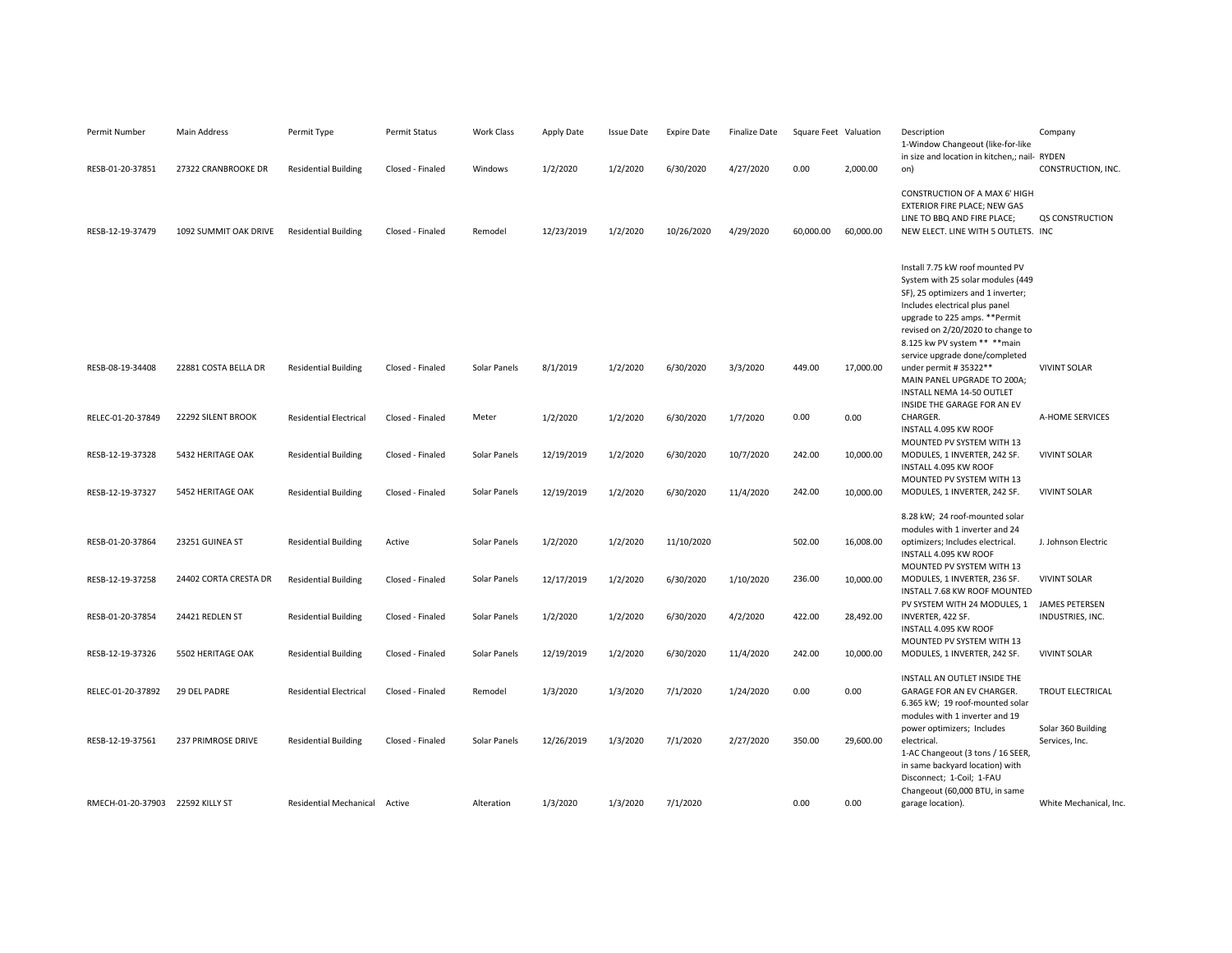| Permit Number     | <b>Main Address</b>   | Permit Type                   | Permit Status    | Work Class   | Apply Date | <b>Issue Date</b> | <b>Expire Date</b> | <b>Finalize Date</b> | Square Feet Valuation |           | Description<br>1-Window Changeout (like-for-like                                                                                                                                                                                                                                                                                                | Company                              |
|-------------------|-----------------------|-------------------------------|------------------|--------------|------------|-------------------|--------------------|----------------------|-----------------------|-----------|-------------------------------------------------------------------------------------------------------------------------------------------------------------------------------------------------------------------------------------------------------------------------------------------------------------------------------------------------|--------------------------------------|
| RESB-01-20-37851  | 27322 CRANBROOKE DR   | <b>Residential Building</b>   | Closed - Finaled | Windows      | 1/2/2020   | 1/2/2020          | 6/30/2020          | 4/27/2020            | 0.00                  | 2,000.00  | in size and location in kitchen,; nail- RYDEN<br>on)                                                                                                                                                                                                                                                                                            | CONSTRUCTION, INC.                   |
| RESB-12-19-37479  | 1092 SUMMIT OAK DRIVE | <b>Residential Building</b>   | Closed - Finaled | Remodel      | 12/23/2019 | 1/2/2020          | 10/26/2020         | 4/29/2020            | 60,000.00             | 60,000.00 | CONSTRUCTION OF A MAX 6' HIGH<br>EXTERIOR FIRE PLACE; NEW GAS<br>LINE TO BBQ AND FIRE PLACE;<br>NEW ELECT. LINE WITH 5 OUTLETS. INC                                                                                                                                                                                                             | QS CONSTRUCTION                      |
| RESB-08-19-34408  | 22881 COSTA BELLA DR  | <b>Residential Building</b>   | Closed - Finaled | Solar Panels | 8/1/2019   | 1/2/2020          | 6/30/2020          | 3/3/2020             | 449.00                | 17,000.00 | Install 7.75 kW roof mounted PV<br>System with 25 solar modules (449<br>SF), 25 optimizers and 1 inverter;<br>Includes electrical plus panel<br>upgrade to 225 amps. ** Permit<br>revised on 2/20/2020 to change to<br>8.125 kw PV system ** ** main<br>service upgrade done/completed<br>under permit # 35322**<br>MAIN PANEL UPGRADE TO 200A; | <b>VIVINT SOLAR</b>                  |
| RELEC-01-20-37849 | 22292 SILENT BROOK    | <b>Residential Electrical</b> | Closed - Finaled | Meter        | 1/2/2020   | 1/2/2020          | 6/30/2020          | 1/7/2020             | 0.00                  | 0.00      | INSTALL NEMA 14-50 OUTLET<br>INSIDE THE GARAGE FOR AN EV<br>CHARGER.                                                                                                                                                                                                                                                                            | A-HOME SERVICES                      |
|                   |                       |                               |                  |              |            |                   |                    |                      |                       |           | INSTALL 4.095 KW ROOF<br>MOUNTED PV SYSTEM WITH 13                                                                                                                                                                                                                                                                                              |                                      |
| RESB-12-19-37328  | 5432 HERITAGE OAK     | <b>Residential Building</b>   | Closed - Finaled | Solar Panels | 12/19/2019 | 1/2/2020          | 6/30/2020          | 10/7/2020            | 242.00                | 10,000.00 | MODULES, 1 INVERTER, 242 SF.<br>INSTALL 4.095 KW ROOF<br>MOUNTED PV SYSTEM WITH 13                                                                                                                                                                                                                                                              | <b>VIVINT SOLAR</b>                  |
| RESB-12-19-37327  | 5452 HERITAGE OAK     | <b>Residential Building</b>   | Closed - Finaled | Solar Panels | 12/19/2019 | 1/2/2020          | 6/30/2020          | 11/4/2020            | 242.00                | 10,000.00 | MODULES, 1 INVERTER, 242 SF.                                                                                                                                                                                                                                                                                                                    | <b>VIVINT SOLAR</b>                  |
| RESB-01-20-37864  | 23251 GUINEA ST       | <b>Residential Building</b>   | Active           | Solar Panels | 1/2/2020   | 1/2/2020          | 11/10/2020         |                      | 502.00                | 16,008.00 | 8.28 kW; 24 roof-mounted solar<br>modules with 1 inverter and 24<br>optimizers; Includes electrical.<br>INSTALL 4.095 KW ROOF                                                                                                                                                                                                                   | J. Johnson Electric                  |
| RESB-12-19-37258  | 24402 CORTA CRESTA DR | <b>Residential Building</b>   | Closed - Finaled | Solar Panels | 12/17/2019 | 1/2/2020          | 6/30/2020          | 1/10/2020            | 236.00                | 10,000.00 | MOUNTED PV SYSTEM WITH 13<br>MODULES, 1 INVERTER, 236 SF.<br>INSTALL 7.68 KW ROOF MOUNTED                                                                                                                                                                                                                                                       | <b>VIVINT SOLAR</b>                  |
| RESB-01-20-37854  | 24421 REDLEN ST       | <b>Residential Building</b>   | Closed - Finaled | Solar Panels | 1/2/2020   | 1/2/2020          | 6/30/2020          | 4/2/2020             | 422.00                | 28,492.00 | PV SYSTEM WITH 24 MODULES, 1<br>INVERTER, 422 SF.<br>INSTALL 4.095 KW ROOF                                                                                                                                                                                                                                                                      | JAMES PETERSEN<br>INDUSTRIES, INC.   |
| RESB-12-19-37326  | 5502 HERITAGE OAK     | <b>Residential Building</b>   | Closed - Finaled | Solar Panels | 12/19/2019 | 1/2/2020          | 6/30/2020          | 11/4/2020            | 242.00                | 10,000.00 | MOUNTED PV SYSTEM WITH 13<br>MODULES, 1 INVERTER, 242 SF.                                                                                                                                                                                                                                                                                       | <b>VIVINT SOLAR</b>                  |
| RELEC-01-20-37892 | 29 DEL PADRE          | <b>Residential Electrical</b> | Closed - Finaled | Remodel      | 1/3/2020   | 1/3/2020          | 7/1/2020           | 1/24/2020            | 0.00                  | 0.00      | INSTALL AN OUTLET INSIDE THE<br>GARAGE FOR AN EV CHARGER.<br>6.365 kW; 19 roof-mounted solar<br>modules with 1 inverter and 19                                                                                                                                                                                                                  | TROUT ELECTRICAL                     |
| RESB-12-19-37561  | 237 PRIMROSE DRIVE    | <b>Residential Building</b>   | Closed - Finaled | Solar Panels | 12/26/2019 | 1/3/2020          | 7/1/2020           | 2/27/2020            | 350.00                | 29,600.00 | power optimizers; Includes<br>electrical.<br>1-AC Changeout (3 tons / 16 SEER,<br>in same backyard location) with<br>Disconnect; 1-Coil; 1-FAU<br>Changeout (60,000 BTU, in same                                                                                                                                                                | Solar 360 Building<br>Services, Inc. |
| RMECH-01-20-37903 | 22592 KILLY ST        | Residential Mechanical        | Active           | Alteration   | 1/3/2020   | 1/3/2020          | 7/1/2020           |                      | 0.00                  | 0.00      | garage location).                                                                                                                                                                                                                                                                                                                               | White Mechanical, Inc.               |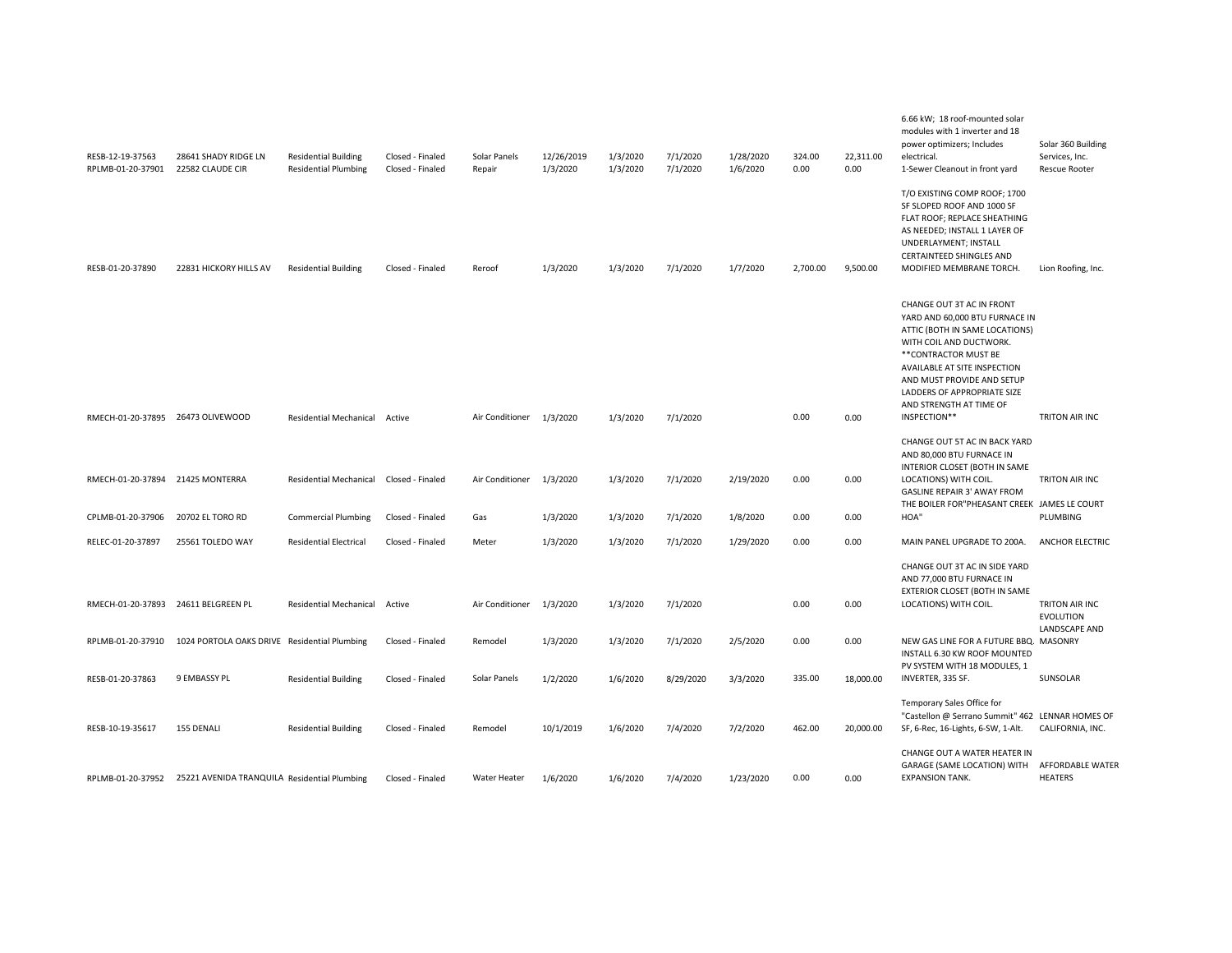| RESB-12-19-37563<br>RPLMB-01-20-37901 | 28641 SHADY RIDGE LN<br>22582 CLAUDE CIR     | <b>Residential Building</b><br><b>Residential Plumbing</b> | Closed - Finaled<br>Closed - Finaled | Solar Panels<br>Repair | 12/26/2019<br>1/3/2020 | 1/3/2020<br>1/3/2020 | 7/1/2020<br>7/1/2020 | 1/28/2020<br>1/6/2020 | 324.00<br>0.00 | 22,311.00<br>0.00 | 6.66 kW; 18 roof-mounted solar<br>modules with 1 inverter and 18<br>power optimizers; Includes<br>electrical.<br>1-Sewer Cleanout in front yard                                                                                                                                           | Solar 360 Building<br>Services, Inc.<br><b>Rescue Rooter</b> |
|---------------------------------------|----------------------------------------------|------------------------------------------------------------|--------------------------------------|------------------------|------------------------|----------------------|----------------------|-----------------------|----------------|-------------------|-------------------------------------------------------------------------------------------------------------------------------------------------------------------------------------------------------------------------------------------------------------------------------------------|--------------------------------------------------------------|
| RESB-01-20-37890                      | 22831 HICKORY HILLS AV                       | <b>Residential Building</b>                                | Closed - Finaled                     | Reroof                 | 1/3/2020               | 1/3/2020             | 7/1/2020             | 1/7/2020              | 2,700.00       | 9,500.00          | T/O EXISTING COMP ROOF; 1700<br>SF SLOPED ROOF AND 1000 SF<br>FLAT ROOF; REPLACE SHEATHING<br>AS NEEDED; INSTALL 1 LAYER OF<br>UNDERLAYMENT; INSTALL<br><b>CERTAINTEED SHINGLES AND</b><br>MODIFIED MEMBRANE TORCH.                                                                       | Lion Roofing, Inc.                                           |
| RMECH-01-20-37895 26473 OLIVEWOOD     |                                              | <b>Residential Mechanical</b>                              | Active                               | Air Conditioner        | 1/3/2020               | 1/3/2020             | 7/1/2020             |                       | 0.00           | 0.00              | CHANGE OUT 3T AC IN FRONT<br>YARD AND 60,000 BTU FURNACE IN<br>ATTIC (BOTH IN SAME LOCATIONS)<br>WITH COIL AND DUCTWORK.<br>** CONTRACTOR MUST BE<br>AVAILABLE AT SITE INSPECTION<br>AND MUST PROVIDE AND SETUP<br>LADDERS OF APPROPRIATE SIZE<br>AND STRENGTH AT TIME OF<br>INSPECTION** | TRITON AIR INC                                               |
|                                       |                                              |                                                            |                                      |                        |                        |                      |                      |                       |                |                   | CHANGE OUT 5T AC IN BACK YARD<br>AND 80,000 BTU FURNACE IN<br>INTERIOR CLOSET (BOTH IN SAME                                                                                                                                                                                               |                                                              |
| RMECH-01-20-37894 21425 MONTERRA      |                                              | Residential Mechanical                                     | Closed - Finaled                     | Air Conditioner        | 1/3/2020               | 1/3/2020             | 7/1/2020             | 2/19/2020             | 0.00           | 0.00              | LOCATIONS) WITH COIL.<br><b>GASLINE REPAIR 3' AWAY FROM</b><br>THE BOILER FOR"PHEASANT CREEK JAMES LE COURT                                                                                                                                                                               | TRITON AIR INC                                               |
| CPLMB-01-20-37906                     | 20702 EL TORO RD                             | <b>Commercial Plumbing</b>                                 | Closed - Finaled                     | Gas                    | 1/3/2020               | 1/3/2020             | 7/1/2020             | 1/8/2020              | 0.00           | 0.00              | HOA"                                                                                                                                                                                                                                                                                      | PLUMBING                                                     |
| RELEC-01-20-37897                     | 25561 TOLEDO WAY                             | <b>Residential Electrical</b>                              | Closed - Finaled                     | Meter                  | 1/3/2020               | 1/3/2020             | 7/1/2020             | 1/29/2020             | 0.00           | 0.00              | MAIN PANEL UPGRADE TO 200A.                                                                                                                                                                                                                                                               | <b>ANCHOR ELECTRIC</b>                                       |
| RMECH-01-20-37893 24611 BELGREEN PL   |                                              | <b>Residential Mechanical</b>                              | Active                               | Air Conditioner        | 1/3/2020               | 1/3/2020             | 7/1/2020             |                       | 0.00           | 0.00              | CHANGE OUT 3T AC IN SIDE YARD<br>AND 77,000 BTU FURNACE IN<br>EXTERIOR CLOSET (BOTH IN SAME<br>LOCATIONS) WITH COIL.                                                                                                                                                                      | TRITON AIR INC<br><b>EVOLUTION</b><br>LANDSCAPE AND          |
| RPLMB-01-20-37910                     | 1024 PORTOLA OAKS DRIVE Residential Plumbing |                                                            | Closed - Finaled                     | Remodel                | 1/3/2020               | 1/3/2020             | 7/1/2020             | 2/5/2020              | 0.00           | 0.00              | NEW GAS LINE FOR A FUTURE BBQ. MASONRY<br>INSTALL 6.30 KW ROOF MOUNTED                                                                                                                                                                                                                    |                                                              |
| RESB-01-20-37863                      | 9 EMBASSY PL                                 | <b>Residential Building</b>                                | Closed - Finaled                     | Solar Panels           | 1/2/2020               | 1/6/2020             | 8/29/2020            | 3/3/2020              | 335.00         | 18,000.00         | PV SYSTEM WITH 18 MODULES, 1<br>INVERTER, 335 SF.                                                                                                                                                                                                                                         | SUNSOLAR                                                     |
| RESB-10-19-35617                      | 155 DENALI                                   | <b>Residential Building</b>                                | Closed - Finaled                     | Remodel                | 10/1/2019              | 1/6/2020             | 7/4/2020             | 7/2/2020              | 462.00         | 20,000.00         | Temporary Sales Office for<br>"Castellon @ Serrano Summit" 462 LENNAR HOMES OF<br>SF, 6-Rec, 16-Lights, 6-SW, 1-Alt.<br>CHANGE OUT A WATER HEATER IN                                                                                                                                      | CALIFORNIA, INC.                                             |
| RPLMB-01-20-37952                     | 25221 AVENIDA TRANQUILA Residential Plumbing |                                                            | Closed - Finaled                     | Water Heater           | 1/6/2020               | 1/6/2020             | 7/4/2020             | 1/23/2020             | 0.00           | 0.00              | GARAGE (SAME LOCATION) WITH<br><b>EXPANSION TANK.</b>                                                                                                                                                                                                                                     | AFFORDABLE WATER<br>HEATERS                                  |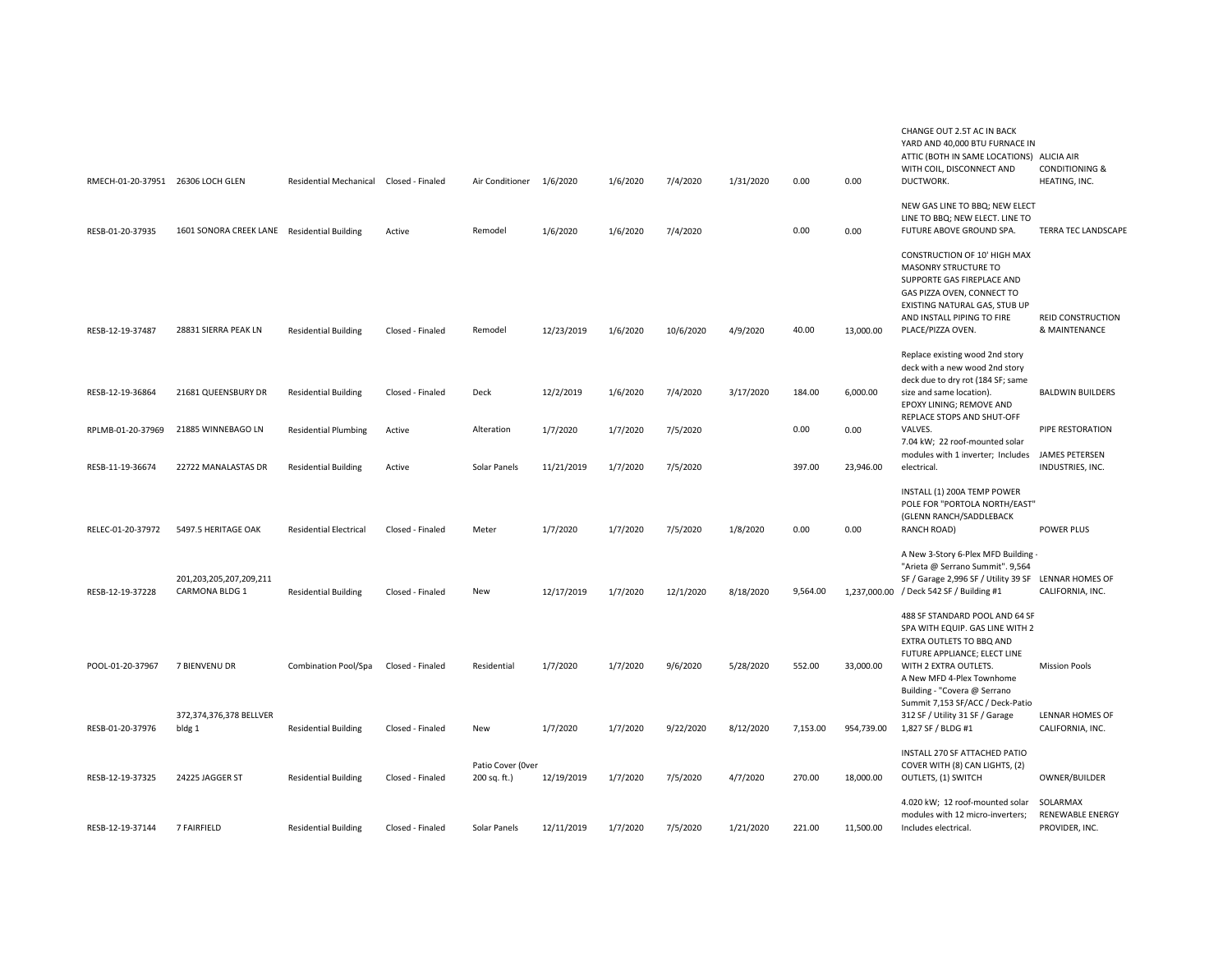| RMECH-01-20-37951 26306 LOCH GLEN |                                             | Residential Mechanical Closed - Finaled |                  | Air Conditioner 1/6/2020          |            | 1/6/2020 | 7/4/2020  | 1/31/2020 | 0.00     | 0.00       | CHANGE OUT 2.5T AC IN BACK<br>YARD AND 40,000 BTU FURNACE IN<br>ATTIC (BOTH IN SAME LOCATIONS) ALICIA AIR<br>WITH COIL, DISCONNECT AND<br>DUCTWORK.                                                                 | <b>CONDITIONING &amp;</b><br>HEATING, INC.            |
|-----------------------------------|---------------------------------------------|-----------------------------------------|------------------|-----------------------------------|------------|----------|-----------|-----------|----------|------------|---------------------------------------------------------------------------------------------------------------------------------------------------------------------------------------------------------------------|-------------------------------------------------------|
| RESB-01-20-37935                  | 1601 SONORA CREEK LANE Residential Building |                                         | Active           | Remodel                           | 1/6/2020   | 1/6/2020 | 7/4/2020  |           | 0.00     | 0.00       | NEW GAS LINE TO BBQ; NEW ELECT<br>LINE TO BBQ; NEW ELECT. LINE TO<br>FUTURE ABOVE GROUND SPA.                                                                                                                       | <b>TERRA TEC LANDSCAPI</b>                            |
| RESB-12-19-37487                  | 28831 SIERRA PEAK LN                        | <b>Residential Building</b>             | Closed - Finaled | Remodel                           | 12/23/2019 | 1/6/2020 | 10/6/2020 | 4/9/2020  | 40.00    | 13,000.00  | CONSTRUCTION OF 10' HIGH MAX<br><b>MASONRY STRUCTURE TO</b><br>SUPPORTE GAS FIREPLACE AND<br>GAS PIZZA OVEN, CONNECT TO<br>EXISTING NATURAL GAS, STUB UP<br>AND INSTALL PIPING TO FIRE<br>PLACE/PIZZA OVEN.         | REID CONSTRUCTION<br>& MAINTENANCE                    |
| RESB-12-19-36864                  | 21681 QUEENSBURY DR                         | <b>Residential Building</b>             | Closed - Finaled | Deck                              | 12/2/2019  | 1/6/2020 | 7/4/2020  | 3/17/2020 | 184.00   | 6,000.00   | Replace existing wood 2nd story<br>deck with a new wood 2nd story<br>deck due to dry rot (184 SF; same<br>size and same location).<br>EPOXY LINING; REMOVE AND<br>REPLACE STOPS AND SHUT-OFF                        | <b>BALDWIN BUILDERS</b>                               |
| RPLMB-01-20-37969                 | 21885 WINNEBAGO LN                          | <b>Residential Plumbing</b>             | Active           | Alteration                        | 1/7/2020   | 1/7/2020 | 7/5/2020  |           | 0.00     | 0.00       | VALVES.<br>7.04 kW; 22 roof-mounted solar                                                                                                                                                                           | PIPE RESTORATION                                      |
| RESB-11-19-36674                  | 22722 MANALASTAS DR                         | <b>Residential Building</b>             | Active           | Solar Panels                      | 11/21/2019 | 1/7/2020 | 7/5/2020  |           | 397.00   | 23,946.00  | modules with 1 inverter; Includes<br>electrical.                                                                                                                                                                    | <b>JAMES PETERSEN</b><br>INDUSTRIES, INC.             |
| RELEC-01-20-37972                 | 5497.5 HERITAGE OAK                         | <b>Residential Electrical</b>           | Closed - Finaled | Meter                             | 1/7/2020   | 1/7/2020 | 7/5/2020  | 1/8/2020  | 0.00     | 0.00       | INSTALL (1) 200A TEMP POWER<br>POLE FOR "PORTOLA NORTH/EAST"<br>(GLENN RANCH/SADDLEBACK<br>RANCH ROAD)                                                                                                              | POWER PLUS                                            |
| RESB-12-19-37228                  | 201,203,205,207,209,211<br>CARMONA BLDG 1   | <b>Residential Building</b>             | Closed - Finaled | New                               | 12/17/2019 | 1/7/2020 | 12/1/2020 | 8/18/2020 | 9,564.00 |            | A New 3-Story 6-Plex MFD Building -<br>"Arieta @ Serrano Summit". 9,564<br>SF / Garage 2,996 SF / Utility 39 SF LENNAR HOMES OF<br>1,237,000.00 / Deck 542 SF / Building #1                                         | CALIFORNIA, INC.                                      |
| POOL-01-20-37967                  | 7 BIENVENU DR                               | Combination Pool/Spa                    | Closed - Finaled | Residential                       | 1/7/2020   | 1/7/2020 | 9/6/2020  | 5/28/2020 | 552.00   | 33,000.00  | 488 SF STANDARD POOL AND 64 SF<br>SPA WITH EQUIP. GAS LINE WITH 2<br>EXTRA OUTLETS TO BBQ AND<br>FUTURE APPLIANCE; ELECT LINE<br>WITH 2 EXTRA OUTLETS.<br>A New MFD 4-Plex Townhome<br>Building - "Covera @ Serrano | <b>Mission Pools</b>                                  |
| RESB-01-20-37976                  | 372,374,376,378 BELLVER<br>bldg 1           | <b>Residential Building</b>             | Closed - Finaled | New                               | 1/7/2020   | 1/7/2020 | 9/22/2020 | 8/12/2020 | 7,153.00 | 954,739.00 | Summit 7,153 SF/ACC / Deck-Patio<br>312 SF / Utility 31 SF / Garage<br>1,827 SF / BLDG #1                                                                                                                           | LENNAR HOMES OF<br>CALIFORNIA, INC.                   |
| RESB-12-19-37325                  | 24225 JAGGER ST                             | <b>Residential Building</b>             | Closed - Finaled | Patio Cover (Over<br>200 sq. ft.) | 12/19/2019 | 1/7/2020 | 7/5/2020  | 4/7/2020  | 270.00   | 18,000.00  | INSTALL 270 SF ATTACHED PATIO<br>COVER WITH (8) CAN LIGHTS, (2)<br>OUTLETS, (1) SWITCH                                                                                                                              | OWNER/BUILDER                                         |
| RESB-12-19-37144                  | 7 FAIRFIELD                                 | <b>Residential Building</b>             | Closed - Finaled | Solar Panels                      | 12/11/2019 | 1/7/2020 | 7/5/2020  | 1/21/2020 | 221.00   | 11,500.00  | 4.020 kW; 12 roof-mounted solar<br>modules with 12 micro-inverters;<br>Includes electrical.                                                                                                                         | SOLARMAX<br><b>RENEWABLE ENERGY</b><br>PROVIDER, INC. |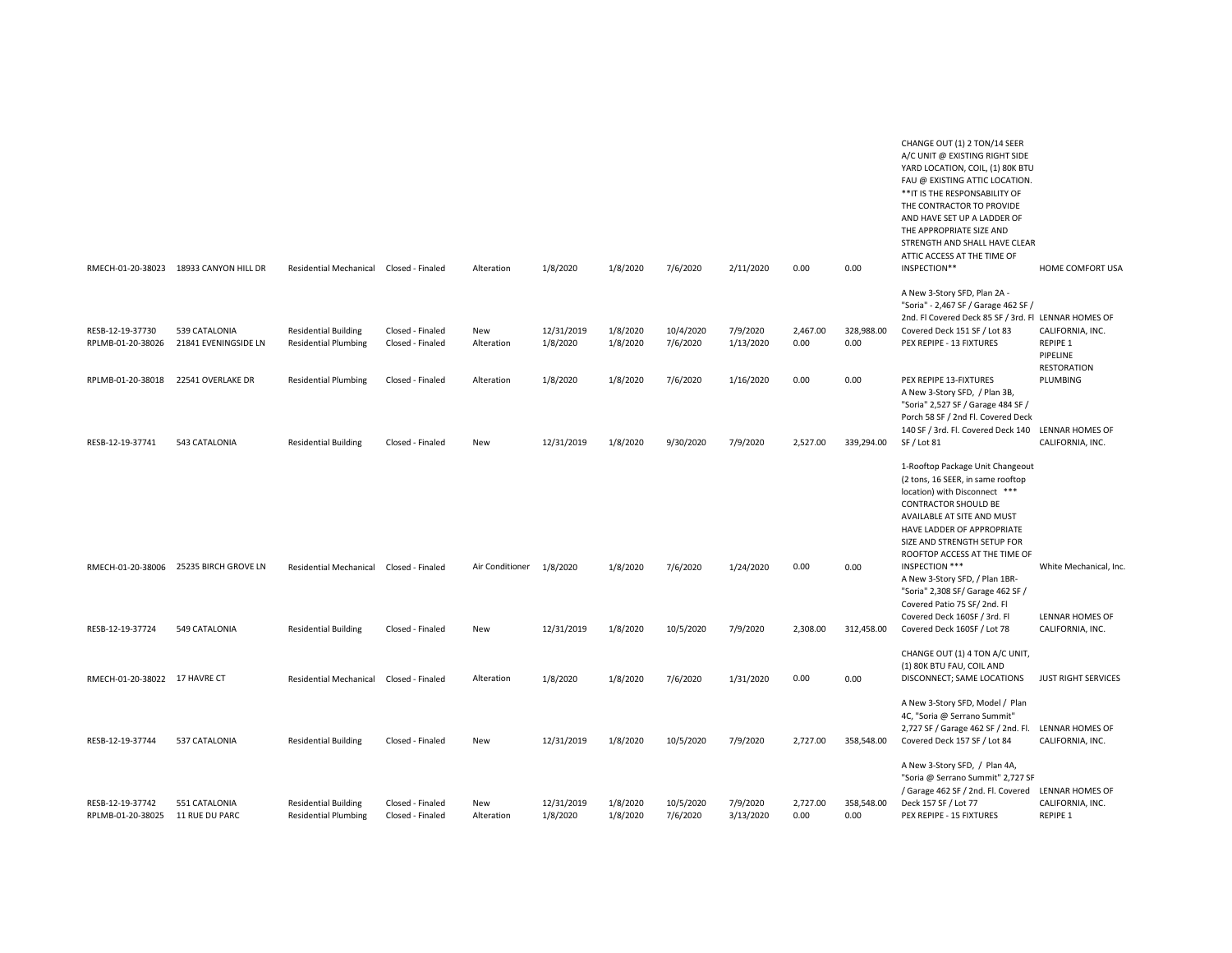|                                       |                                        |                                                            |                                      |                          |                        |                      |                       |                       |                  |                    | CHANGE OUT (1) 2 TON/14 SEER<br>A/C UNIT @ EXISTING RIGHT SIDE<br>YARD LOCATION, COIL, (1) 80K BTU<br>FAU @ EXISTING ATTIC LOCATION.<br>** IT IS THE RESPONSABILITY OF<br>THE CONTRACTOR TO PROVIDE<br>AND HAVE SET UP A LADDER OF<br>THE APPROPRIATE SIZE AND<br>STRENGTH AND SHALL HAVE CLEAR<br>ATTIC ACCESS AT THE TIME OF |                                     |
|---------------------------------------|----------------------------------------|------------------------------------------------------------|--------------------------------------|--------------------------|------------------------|----------------------|-----------------------|-----------------------|------------------|--------------------|--------------------------------------------------------------------------------------------------------------------------------------------------------------------------------------------------------------------------------------------------------------------------------------------------------------------------------|-------------------------------------|
| RMECH-01-20-38023                     | 18933 CANYON HILL DR                   | <b>Residential Mechanical</b>                              | Closed - Finaled                     | Alteration               | 1/8/2020               | 1/8/2020             | 7/6/2020              | 2/11/2020             | 0.00             | 0.00               | INSPECTION**                                                                                                                                                                                                                                                                                                                   | HOME COMFORT USA                    |
| RESB-12-19-37730<br>RPLMB-01-20-38026 | 539 CATALONIA<br>21841 EVENINGSIDE LN  | <b>Residential Building</b><br><b>Residential Plumbing</b> | Closed - Finaled<br>Closed - Finaled | New<br>Alteration        | 12/31/2019<br>1/8/2020 | 1/8/2020<br>1/8/2020 | 10/4/2020<br>7/6/2020 | 7/9/2020<br>1/13/2020 | 2,467.00<br>0.00 | 328,988.00<br>0.00 | A New 3-Story SFD, Plan 2A -<br>"Soria" - 2,467 SF / Garage 462 SF /<br>2nd. Fl Covered Deck 85 SF / 3rd. Fl LENNAR HOMES OF<br>Covered Deck 151 SF / Lot 83<br>PEX REPIPE - 13 FIXTURES                                                                                                                                       | CALIFORNIA, INC.<br>REPIPE 1        |
|                                       |                                        |                                                            |                                      |                          |                        |                      |                       |                       |                  |                    |                                                                                                                                                                                                                                                                                                                                | PIPELINE                            |
| RPLMB-01-20-38018                     | 22541 OVERLAKE DR                      | <b>Residential Plumbing</b>                                | Closed - Finaled                     | Alteration               | 1/8/2020               | 1/8/2020             | 7/6/2020              | 1/16/2020             | 0.00             | 0.00               | PEX REPIPE 13-FIXTURES<br>A New 3-Story SFD, / Plan 3B,<br>"Soria" 2,527 SF / Garage 484 SF /<br>Porch 58 SF / 2nd Fl. Covered Deck                                                                                                                                                                                            | <b>RESTORATION</b><br>PLUMBING      |
| RESB-12-19-37741                      | 543 CATALONIA                          | <b>Residential Building</b>                                | Closed - Finaled                     | New                      | 12/31/2019             | 1/8/2020             | 9/30/2020             | 7/9/2020              | 2,527.00         | 339,294.00         | 140 SF / 3rd. Fl. Covered Deck 140 LENNAR HOMES OF<br>SF / Lot 81                                                                                                                                                                                                                                                              | CALIFORNIA, INC.                    |
|                                       | RMECH-01-20-38006 25235 BIRCH GROVE LN | <b>Residential Mechanical</b>                              | Closed - Finaled                     | Air Conditioner 1/8/2020 |                        | 1/8/2020             | 7/6/2020              | 1/24/2020             | 0.00             | 0.00               | 1-Rooftop Package Unit Changeout<br>(2 tons, 16 SEER, in same rooftop<br>location) with Disconnect ***<br>CONTRACTOR SHOULD BE<br>AVAILABLE AT SITE AND MUST<br>HAVE LADDER OF APPROPRIATE<br>SIZE AND STRENGTH SETUP FOR<br>ROOFTOP ACCESS AT THE TIME OF<br>INSPECTION ***                                                   | White Mechanical, Inc.              |
|                                       |                                        |                                                            |                                      |                          |                        |                      |                       |                       |                  |                    | A New 3-Story SFD, / Plan 1BR-<br>"Soria" 2,308 SF/ Garage 462 SF /<br>Covered Patio 75 SF/2nd. Fl<br>Covered Deck 160SF / 3rd. Fl                                                                                                                                                                                             | LENNAR HOMES OF                     |
| RESB-12-19-37724                      | 549 CATALONIA                          | <b>Residential Building</b>                                | Closed - Finaled                     | New                      | 12/31/2019             | 1/8/2020             | 10/5/2020             | 7/9/2020              | 2,308.00         | 312,458.00         | Covered Deck 160SF / Lot 78                                                                                                                                                                                                                                                                                                    | CALIFORNIA, INC.                    |
| RMECH-01-20-38022 17 HAVRE CT         |                                        | <b>Residential Mechanical</b>                              | Closed - Finaled                     | Alteration               | 1/8/2020               | 1/8/2020             | 7/6/2020              | 1/31/2020             | 0.00             | 0.00               | CHANGE OUT (1) 4 TON A/C UNIT,<br>(1) 80K BTU FAU, COIL AND<br>DISCONNECT; SAME LOCATIONS                                                                                                                                                                                                                                      | <b>JUST RIGHT SERVICES</b>          |
| RESB-12-19-37744                      | 537 CATALONIA                          | <b>Residential Building</b>                                | Closed - Finaled                     | New                      | 12/31/2019             | 1/8/2020             | 10/5/2020             | 7/9/2020              | 2.727.00         | 358,548.00         | A New 3-Story SFD, Model / Plan<br>4C, "Soria @ Serrano Summit"<br>2,727 SF / Garage 462 SF / 2nd. Fl.<br>Covered Deck 157 SF / Lot 84                                                                                                                                                                                         | LENNAR HOMES OF<br>CALIFORNIA, INC. |
|                                       |                                        |                                                            |                                      |                          |                        |                      |                       |                       |                  |                    | A New 3-Story SFD, / Plan 4A,<br>"Soria @ Serrano Summit" 2,727 SF<br>/ Garage 462 SF / 2nd. Fl. Covered                                                                                                                                                                                                                       | LENNAR HOMES OF                     |
| RESB-12-19-37742<br>RPLMB-01-20-38025 | 551 CATALONIA<br>11 RUE DU PARC        | <b>Residential Building</b><br><b>Residential Plumbing</b> | Closed - Finaled<br>Closed - Finaled | New<br>Alteration        | 12/31/2019<br>1/8/2020 | 1/8/2020<br>1/8/2020 | 10/5/2020<br>7/6/2020 | 7/9/2020<br>3/13/2020 | 2,727.00<br>0.00 | 358,548.00<br>0.00 | Deck 157 SF / Lot 77<br>PEX REPIPE - 15 FIXTURES                                                                                                                                                                                                                                                                               | CALIFORNIA, INC.<br>REPIPE 1        |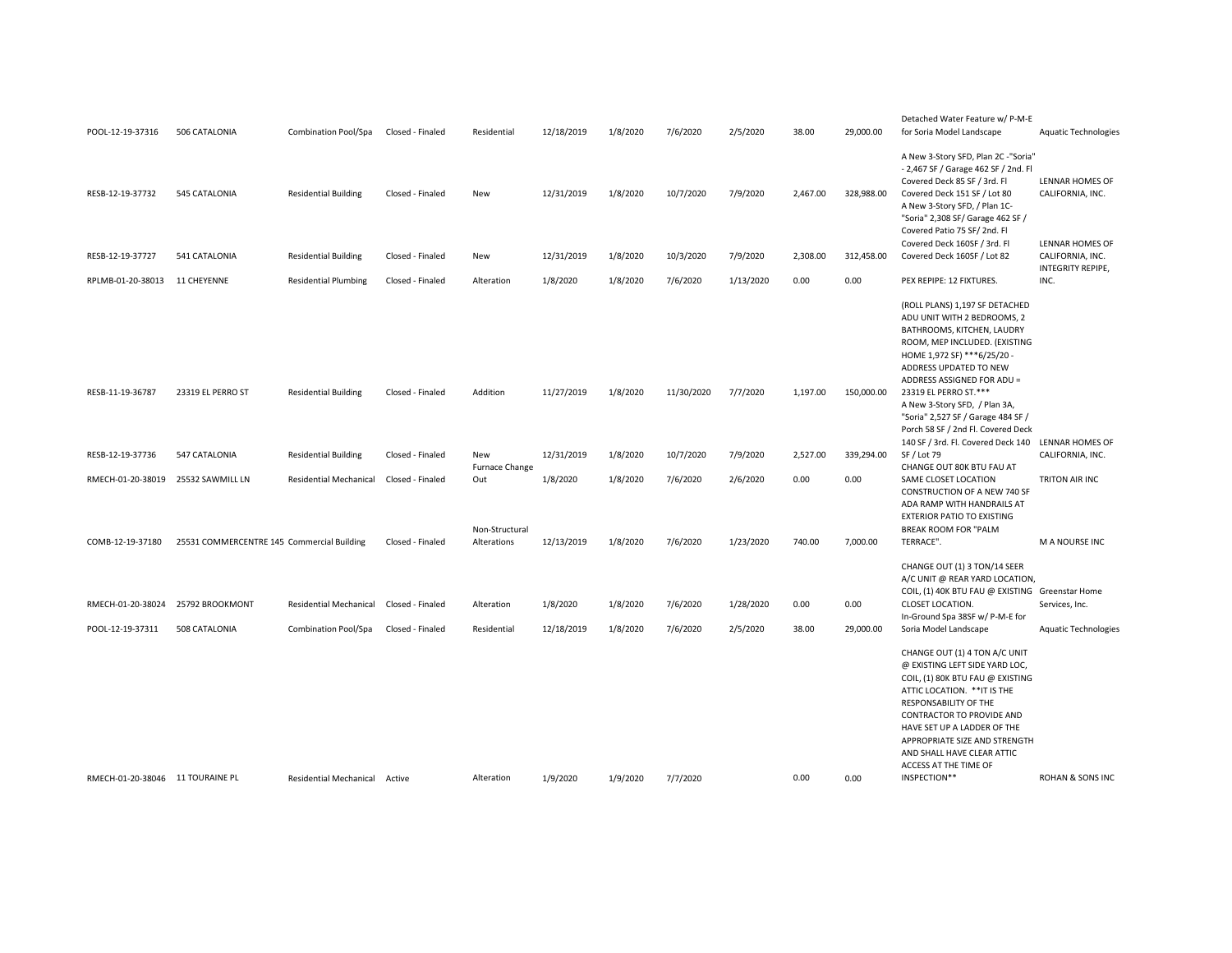| POOL-12-19-37316                      | 506 CATALONIA                              | <b>Combination Pool/Spa</b>                           | Closed - Finaled                     | Residential                  | 12/18/2019             | 1/8/2020             | 7/6/2020             | 2/5/2020              | 38.00         | 29,000.00         | Detached Water Feature w/ P-M-E<br>for Soria Model Landscape                                                                                                                                                                                                                                                                                                                                    | <b>Aquatic Technologies</b>                              |
|---------------------------------------|--------------------------------------------|-------------------------------------------------------|--------------------------------------|------------------------------|------------------------|----------------------|----------------------|-----------------------|---------------|-------------------|-------------------------------------------------------------------------------------------------------------------------------------------------------------------------------------------------------------------------------------------------------------------------------------------------------------------------------------------------------------------------------------------------|----------------------------------------------------------|
| RESB-12-19-37732                      | 545 CATALONIA                              | <b>Residential Building</b>                           | Closed - Finaled                     | New                          | 12/31/2019             | 1/8/2020             | 10/7/2020            | 7/9/2020              | 2,467.00      | 328,988.00        | A New 3-Story SFD, Plan 2C -"Soria"<br>- 2,467 SF / Garage 462 SF / 2nd. Fl<br>Covered Deck 85 SF / 3rd. Fl<br>Covered Deck 151 SF / Lot 80<br>A New 3-Story SFD, / Plan 1C-<br>"Soria" 2,308 SF/ Garage 462 SF /<br>Covered Patio 75 SF/2nd. Fl                                                                                                                                                | LENNAR HOMES OF<br>CALIFORNIA, INC.                      |
| RESB-12-19-37727                      | 541 CATALONIA                              | <b>Residential Building</b>                           | Closed - Finaled                     | New                          | 12/31/2019             | 1/8/2020             | 10/3/2020            | 7/9/2020              | 2,308.00      | 312,458.00        | Covered Deck 160SF / 3rd. Fl<br>Covered Deck 160SF / Lot 82                                                                                                                                                                                                                                                                                                                                     | LENNAR HOMES OF<br>CALIFORNIA, INC.<br>INTEGRITY REPIPE, |
| RPLMB-01-20-38013                     | 11 CHEYENNE                                | <b>Residential Plumbing</b>                           | Closed - Finaled                     | Alteration                   | 1/8/2020               | 1/8/2020             | 7/6/2020             | 1/13/2020             | 0.00          | 0.00              | PEX REPIPE: 12 FIXTURES.                                                                                                                                                                                                                                                                                                                                                                        | INC.                                                     |
| RESB-11-19-36787                      | 23319 EL PERRO ST                          | <b>Residential Building</b>                           | Closed - Finaled                     | Addition                     | 11/27/2019             | 1/8/2020             | 11/30/2020           | 7/7/2020              | 1,197.00      | 150,000.00        | (ROLL PLANS) 1,197 SF DETACHED<br>ADU UNIT WITH 2 BEDROOMS, 2<br>BATHROOMS, KITCHEN, LAUDRY<br>ROOM, MEP INCLUDED. (EXISTING<br>HOME 1,972 SF) ***6/25/20 -<br>ADDRESS UPDATED TO NEW<br>ADDRESS ASSIGNED FOR ADU =<br>23319 EL PERRO ST.***<br>A New 3-Story SFD, / Plan 3A,<br>"Soria" 2,527 SF / Garage 484 SF /<br>Porch 58 SF / 2nd Fl. Covered Deck<br>140 SF / 3rd. Fl. Covered Deck 140 | LENNAR HOMES OF                                          |
| RESB-12-19-37736                      | 547 CATALONIA                              | <b>Residential Building</b>                           | Closed - Finaled                     | New<br><b>Furnace Change</b> | 12/31/2019             | 1/8/2020             | 10/7/2020            | 7/9/2020              | 2,527.00      | 339,294.00        | SF / Lot 79<br>CHANGE OUT 80K BTU FAU AT                                                                                                                                                                                                                                                                                                                                                        | CALIFORNIA, INC.                                         |
| RMECH-01-20-38019                     | 25532 SAWMILL LN                           | <b>Residential Mechanical</b>                         | Closed - Finaled                     | Out<br>Non-Structural        | 1/8/2020               | 1/8/2020             | 7/6/2020             | 2/6/2020              | 0.00          | 0.00              | SAME CLOSET LOCATION<br>CONSTRUCTION OF A NEW 740 SF<br>ADA RAMP WITH HANDRAILS AT<br><b>EXTERIOR PATIO TO EXISTING</b><br><b>BREAK ROOM FOR "PALM</b>                                                                                                                                                                                                                                          | TRITON AIR INC                                           |
| COMB-12-19-37180                      | 25531 COMMERCENTRE 145 Commercial Building |                                                       | Closed - Finaled                     | Alterations                  | 12/13/2019             | 1/8/2020             | 7/6/2020             | 1/23/2020             | 740.00        | 7,000.00          | TERRACE".                                                                                                                                                                                                                                                                                                                                                                                       | M A NOURSE INC                                           |
| RMECH-01-20-38024<br>POOL-12-19-37311 | 25792 BROOKMONT<br>508 CATALONIA           | <b>Residential Mechanical</b><br>Combination Pool/Spa | Closed - Finaled<br>Closed - Finaled | Alteration<br>Residential    | 1/8/2020<br>12/18/2019 | 1/8/2020<br>1/8/2020 | 7/6/2020<br>7/6/2020 | 1/28/2020<br>2/5/2020 | 0.00<br>38.00 | 0.00<br>29,000.00 | CHANGE OUT (1) 3 TON/14 SEER<br>A/C UNIT @ REAR YARD LOCATION,<br>COIL, (1) 40K BTU FAU @ EXISTING Greenstar Home<br>CLOSET LOCATION.<br>In-Ground Spa 38SF w/ P-M-E for<br>Soria Model Landscape                                                                                                                                                                                               | Services, Inc.<br><b>Aquatic Technologies</b>            |
| RMECH-01-20-38046 11 TOURAINE PL      |                                            | Residential Mechanical Active                         |                                      | Alteration                   | 1/9/2020               | 1/9/2020             | 7/7/2020             |                       | 0.00          | 0.00              | CHANGE OUT (1) 4 TON A/C UNIT<br>@ EXISTING LEFT SIDE YARD LOC,<br>COIL, (1) 80K BTU FAU @ EXISTING<br>ATTIC LOCATION. ** IT IS THE<br>RESPONSABILITY OF THE<br>CONTRACTOR TO PROVIDE AND<br>HAVE SET UP A LADDER OF THE<br>APPROPRIATE SIZE AND STRENGTH<br>AND SHALL HAVE CLEAR ATTIC<br>ACCESS AT THE TIME OF<br>INSPECTION**                                                                | ROHAN & SONS INC                                         |
|                                       |                                            |                                                       |                                      |                              |                        |                      |                      |                       |               |                   |                                                                                                                                                                                                                                                                                                                                                                                                 |                                                          |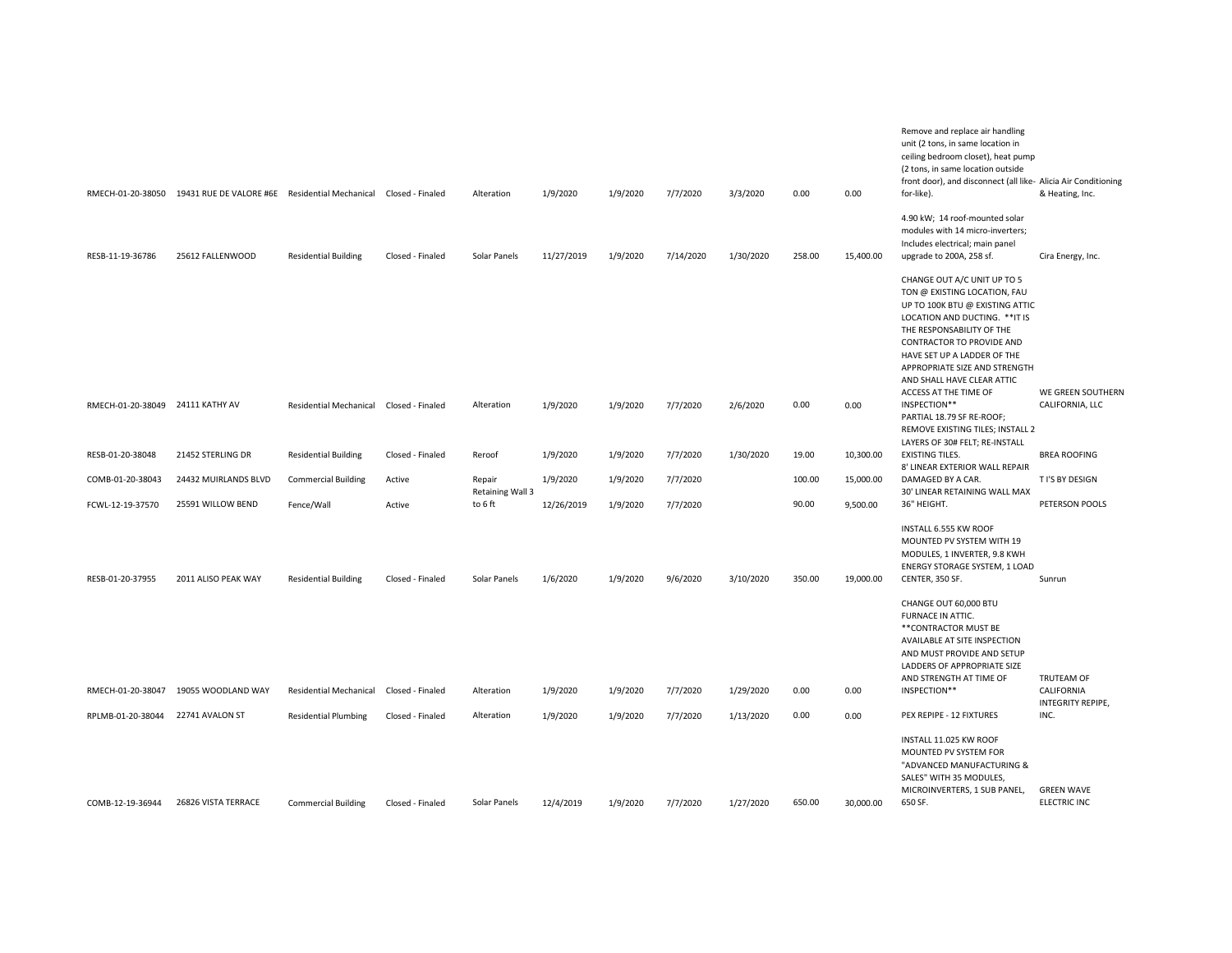|                                  | RMECH-01-20-38050 19431 RUE DE VALORE #6E Residential Mechanical Closed - Finaled |                               |                  | Alteration                 | 1/9/2020   | 1/9/2020 | 7/7/2020  | 3/3/2020  | 0.00   | 0.00      | Remove and replace air handling<br>unit (2 tons, in same location in<br>ceiling bedroom closet), heat pump<br>(2 tons, in same location outside<br>front door), and disconnect (all like- Alicia Air Conditioning<br>for-like).                                                                                   | & Heating, Inc.                   |
|----------------------------------|-----------------------------------------------------------------------------------|-------------------------------|------------------|----------------------------|------------|----------|-----------|-----------|--------|-----------|-------------------------------------------------------------------------------------------------------------------------------------------------------------------------------------------------------------------------------------------------------------------------------------------------------------------|-----------------------------------|
| RESB-11-19-36786                 | 25612 FALLENWOOD                                                                  | <b>Residential Building</b>   | Closed - Finaled | Solar Panels               | 11/27/2019 | 1/9/2020 | 7/14/2020 | 1/30/2020 | 258.00 | 15,400.00 | 4.90 kW; 14 roof-mounted solar<br>modules with 14 micro-inverters;<br>Includes electrical; main panel<br>upgrade to 200A, 258 sf.                                                                                                                                                                                 | Cira Energy, Inc.                 |
|                                  |                                                                                   |                               |                  |                            |            |          |           |           |        |           | CHANGE OUT A/C UNIT UP TO 5<br>TON @ EXISTING LOCATION, FAU<br>UP TO 100K BTU @ EXISTING ATTIC<br>LOCATION AND DUCTING. ** IT IS<br>THE RESPONSABILITY OF THE<br>CONTRACTOR TO PROVIDE AND<br>HAVE SET UP A LADDER OF THE<br>APPROPRIATE SIZE AND STRENGTH<br>AND SHALL HAVE CLEAR ATTIC<br>ACCESS AT THE TIME OF | WE GREEN SOUTHERN                 |
| RMECH-01-20-38049 24111 KATHY AV |                                                                                   | <b>Residential Mechanical</b> | Closed - Finaled | Alteration                 | 1/9/2020   | 1/9/2020 | 7/7/2020  | 2/6/2020  | 0.00   | 0.00      | INSPECTION**<br>PARTIAL 18.79 SF RE-ROOF;<br>REMOVE EXISTING TILES; INSTALL 2<br>LAYERS OF 30# FELT; RE-INSTALL                                                                                                                                                                                                   | CALIFORNIA, LLC                   |
| RESB-01-20-38048                 | 21452 STERLING DR                                                                 | <b>Residential Building</b>   | Closed - Finaled | Reroof                     | 1/9/2020   | 1/9/2020 | 7/7/2020  | 1/30/2020 | 19.00  | 10,300.00 | <b>EXISTING TILES.</b><br>8' LINEAR EXTERIOR WALL REPAIR                                                                                                                                                                                                                                                          | <b>BREA ROOFING</b>               |
| COMB-01-20-38043                 | 24432 MUIRLANDS BLVD                                                              | <b>Commercial Building</b>    | Active           | Repair<br>Retaining Wall 3 | 1/9/2020   | 1/9/2020 | 7/7/2020  |           | 100.00 | 15,000.00 | DAMAGED BY A CAR.<br>30' LINEAR RETAINING WALL MAX                                                                                                                                                                                                                                                                | T I'S BY DESIGN                   |
| FCWL-12-19-37570                 | 25591 WILLOW BEND                                                                 | Fence/Wall                    | Active           | to 6 ft                    | 12/26/2019 | 1/9/2020 | 7/7/2020  |           | 90.00  | 9,500.00  | 36" HEIGHT.                                                                                                                                                                                                                                                                                                       | PETERSON POOLS                    |
| RESB-01-20-37955                 | 2011 ALISO PEAK WAY                                                               | <b>Residential Building</b>   | Closed - Finaled | Solar Panels               | 1/6/2020   | 1/9/2020 | 9/6/2020  | 3/10/2020 | 350.00 | 19,000.00 | INSTALL 6.555 KW ROOF<br>MOUNTED PV SYSTEM WITH 19<br>MODULES, 1 INVERTER, 9.8 KWH<br>ENERGY STORAGE SYSTEM, 1 LOAD<br>CENTER, 350 SF.                                                                                                                                                                            | Sunrun                            |
|                                  |                                                                                   |                               |                  |                            |            |          |           |           |        |           | CHANGE OUT 60,000 BTU<br>FURNACE IN ATTIC.<br>** CONTRACTOR MUST BE<br>AVAILABLE AT SITE INSPECTION<br>AND MUST PROVIDE AND SETUP<br>LADDERS OF APPROPRIATE SIZE<br>AND STRENGTH AT TIME OF                                                                                                                       | TRUTEAM OF                        |
| RMECH-01-20-38047                | 19055 WOODLAND WAY                                                                | <b>Residential Mechanical</b> | Closed - Finaled | Alteration                 | 1/9/2020   | 1/9/2020 | 7/7/2020  | 1/29/2020 | 0.00   | 0.00      | INSPECTION**                                                                                                                                                                                                                                                                                                      | CALIFORNIA<br>INTEGRITY REPIPE,   |
| RPLMB-01-20-38044                | 22741 AVALON ST                                                                   | <b>Residential Plumbing</b>   | Closed - Finaled | Alteration                 | 1/9/2020   | 1/9/2020 | 7/7/2020  | 1/13/2020 | 0.00   | 0.00      | PEX REPIPE - 12 FIXTURES                                                                                                                                                                                                                                                                                          | INC.                              |
| COMB-12-19-36944                 | 26826 VISTA TERRACE                                                               | <b>Commercial Building</b>    | Closed - Finaled | Solar Panels               | 12/4/2019  | 1/9/2020 | 7/7/2020  | 1/27/2020 | 650.00 | 30,000.00 | INSTALL 11.025 KW ROOF<br>MOUNTED PV SYSTEM FOR<br>"ADVANCED MANUFACTURING &<br>SALES" WITH 35 MODULES,<br>MICROINVERTERS, 1 SUB PANEL,<br>650 SF.                                                                                                                                                                | <b>GREEN WAVE</b><br>ELECTRIC INC |
|                                  |                                                                                   |                               |                  |                            |            |          |           |           |        |           |                                                                                                                                                                                                                                                                                                                   |                                   |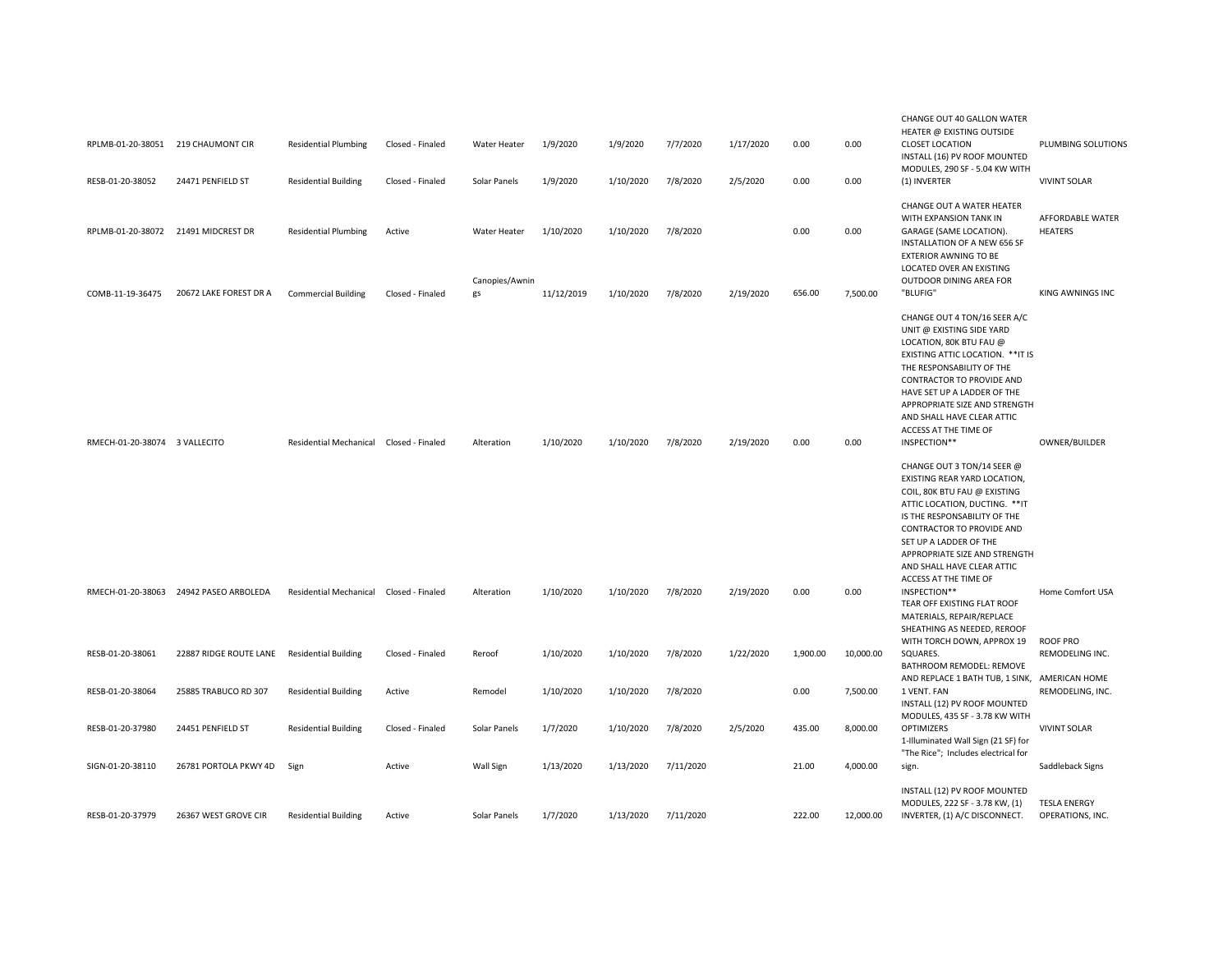| RPLMB-01-20-38051 219 CHAUMONT CIR<br>RESB-01-20-38052 | 24471 PENFIELD ST                      | <b>Residential Plumbing</b><br><b>Residential Building</b> | Closed - Finaled<br>Closed - Finaled | Water Heater<br>Solar Panels | 1/9/2020<br>1/9/2020 | 1/9/2020<br>1/10/2020 | 7/7/2020<br>7/8/2020 | 1/17/2020<br>2/5/2020 | 0.00<br>0.00 | 0.00<br>0.00 | CHANGE OUT 40 GALLON WATER<br>HEATER @ EXISTING OUTSIDE<br><b>CLOSET LOCATION</b><br>INSTALL (16) PV ROOF MOUNTED<br>MODULES, 290 SF - 5.04 KW WITH<br>(1) INVERTER                                                                                                                                                                                                                                                                                        | PLUMBING SOLUTIONS<br><b>VIVINT SOLAR</b> |
|--------------------------------------------------------|----------------------------------------|------------------------------------------------------------|--------------------------------------|------------------------------|----------------------|-----------------------|----------------------|-----------------------|--------------|--------------|------------------------------------------------------------------------------------------------------------------------------------------------------------------------------------------------------------------------------------------------------------------------------------------------------------------------------------------------------------------------------------------------------------------------------------------------------------|-------------------------------------------|
| RPLMB-01-20-38072 21491 MIDCREST DR                    |                                        | <b>Residential Plumbing</b>                                | Active                               | Water Heater                 | 1/10/2020            | 1/10/2020             | 7/8/2020             |                       | 0.00         | 0.00         | CHANGE OUT A WATER HEATER<br>WITH EXPANSION TANK IN<br>GARAGE (SAME LOCATION).<br>INSTALLATION OF A NEW 656 SF<br><b>EXTERIOR AWNING TO BE</b><br>LOCATED OVER AN EXISTING                                                                                                                                                                                                                                                                                 | <b>AFFORDABLE WATER</b><br><b>HEATERS</b> |
| COMB-11-19-36475                                       | 20672 LAKE FOREST DR A                 | <b>Commercial Building</b>                                 | Closed - Finaled                     | Canopies/Awnin<br>gs         | 11/12/2019           | 1/10/2020             | 7/8/2020             | 2/19/2020             | 656.00       | 7,500.00     | OUTDOOR DINING AREA FOR<br>"BLUFIG"                                                                                                                                                                                                                                                                                                                                                                                                                        | KING AWNINGS INC                          |
| RMECH-01-20-38074 3 VALLECITO                          |                                        | <b>Residential Mechanical</b>                              | Closed - Finaled                     | Alteration                   | 1/10/2020            | 1/10/2020             | 7/8/2020             | 2/19/2020             | 0.00         | 0.00         | CHANGE OUT 4 TON/16 SEER A/C<br>UNIT @ EXISTING SIDE YARD<br>LOCATION, 80K BTU FAU @<br>EXISTING ATTIC LOCATION. ** IT IS<br>THE RESPONSABILITY OF THE<br>CONTRACTOR TO PROVIDE AND<br>HAVE SET UP A LADDER OF THE<br>APPROPRIATE SIZE AND STRENGTH<br>AND SHALL HAVE CLEAR ATTIC<br>ACCESS AT THE TIME OF<br>INSPECTION**<br>CHANGE OUT 3 TON/14 SEER @<br>EXISTING REAR YARD LOCATION,<br>COIL, 80K BTU FAU @ EXISTING<br>ATTIC LOCATION, DUCTING. ** IT | OWNER/BUILDER                             |
|                                                        | RMECH-01-20-38063 24942 PASEO ARBOLEDA | Residential Mechanical Closed - Finaled                    |                                      | Alteration                   | 1/10/2020            | 1/10/2020             | 7/8/2020             | 2/19/2020             | 0.00         | 0.00         | IS THE RESPONSABILITY OF THE<br>CONTRACTOR TO PROVIDE AND<br>SET UP A LADDER OF THE<br>APPROPRIATE SIZE AND STRENGTH<br>AND SHALL HAVE CLEAR ATTIC<br>ACCESS AT THE TIME OF<br>INSPECTION**<br>TEAR OFF EXISTING FLAT ROOF<br>MATERIALS, REPAIR/REPLACE<br>SHEATHING AS NEEDED, REROOF                                                                                                                                                                     | Home Comfort USA                          |
| RESB-01-20-38061                                       | 22887 RIDGE ROUTE LANE                 | <b>Residential Building</b>                                | Closed - Finaled                     | Reroof                       | 1/10/2020            | 1/10/2020             | 7/8/2020             | 1/22/2020             | 1,900.00     | 10,000.00    | WITH TORCH DOWN, APPROX 19<br>SQUARES.                                                                                                                                                                                                                                                                                                                                                                                                                     | ROOF PRO<br>REMODELING INC.               |
| RESB-01-20-38064                                       | 25885 TRABUCO RD 307                   | <b>Residential Building</b>                                | Active                               | Remodel                      | 1/10/2020            | 1/10/2020             | 7/8/2020             |                       | 0.00         | 7,500.00     | BATHROOM REMODEL: REMOVE<br>AND REPLACE 1 BATH TUB, 1 SINK, AMERICAN HOME<br>1 VENT. FAN<br>INSTALL (12) PV ROOF MOUNTED                                                                                                                                                                                                                                                                                                                                   | REMODELING, INC.                          |
| RESB-01-20-37980                                       | 24451 PENFIELD ST                      | <b>Residential Building</b>                                | Closed - Finaled                     | Solar Panels                 | 1/7/2020             | 1/10/2020             | 7/8/2020             | 2/5/2020              | 435.00       | 8,000.00     | MODULES, 435 SF - 3.78 KW WITH<br>OPTIMIZERS<br>1-Illuminated Wall Sign (21 SF) for                                                                                                                                                                                                                                                                                                                                                                        | <b>VIVINT SOLAR</b>                       |
| SIGN-01-20-38110                                       | 26781 PORTOLA PKWY 4D                  | Sign                                                       | Active                               | Wall Sign                    | 1/13/2020            | 1/13/2020             | 7/11/2020            |                       | 21.00        | 4,000.00     | "The Rice"; Includes electrical for<br>sign.                                                                                                                                                                                                                                                                                                                                                                                                               | Saddleback Signs                          |
| RESB-01-20-37979                                       | 26367 WEST GROVE CIR                   | <b>Residential Building</b>                                | Active                               | Solar Panels                 | 1/7/2020             | 1/13/2020             | 7/11/2020            |                       | 222.00       | 12.000.00    | INSTALL (12) PV ROOF MOUNTED<br>MODULES, 222 SF - 3.78 KW, (1)<br>INVERTER, (1) A/C DISCONNECT.                                                                                                                                                                                                                                                                                                                                                            | <b>TESLA ENERGY</b><br>OPERATIONS, INC.   |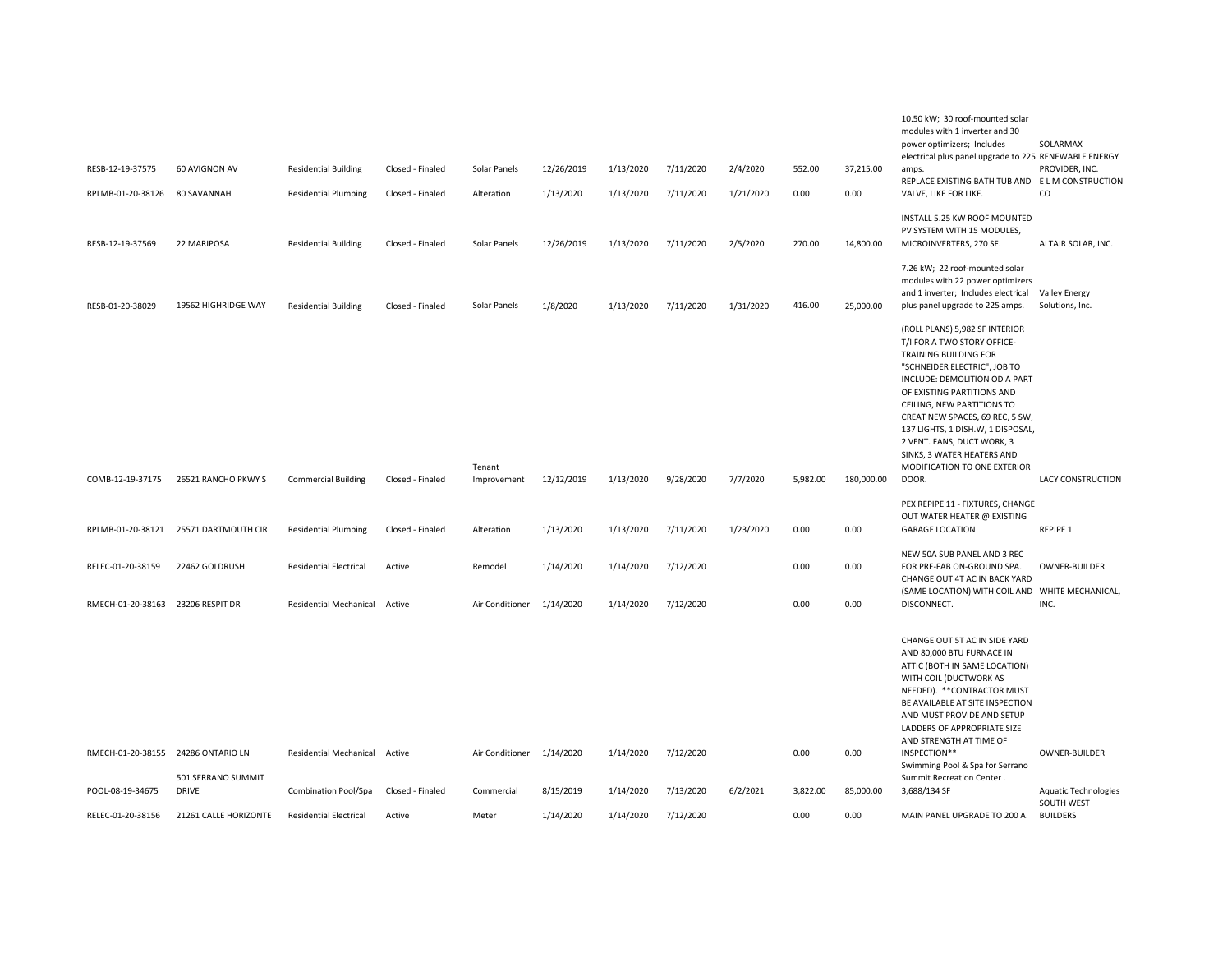|                                    |                       |                               |                  |                           |            |           |           |           |          |            | 10.50 kW; 30 roof-mounted solar<br>modules with 1 inverter and 30<br>power optimizers; Includes<br>electrical plus panel upgrade to 225 RENEWABLE ENERGY                                                                                                                                                                                                                                         | SOLARMAX                                  |
|------------------------------------|-----------------------|-------------------------------|------------------|---------------------------|------------|-----------|-----------|-----------|----------|------------|--------------------------------------------------------------------------------------------------------------------------------------------------------------------------------------------------------------------------------------------------------------------------------------------------------------------------------------------------------------------------------------------------|-------------------------------------------|
| RESB-12-19-37575                   | 60 AVIGNON AV         | <b>Residential Building</b>   | Closed - Finaled | Solar Panels              | 12/26/2019 | 1/13/2020 | 7/11/2020 | 2/4/2020  | 552.00   | 37,215.00  | amps.                                                                                                                                                                                                                                                                                                                                                                                            | PROVIDER, INC.                            |
| RPLMB-01-20-38126                  | 80 SAVANNAH           | <b>Residential Plumbing</b>   | Closed - Finaled | Alteration                | 1/13/2020  | 1/13/2020 | 7/11/2020 | 1/21/2020 | 0.00     | 0.00       | REPLACE EXISTING BATH TUB AND ELM CONSTRUCTION<br>VALVE, LIKE FOR LIKE.                                                                                                                                                                                                                                                                                                                          | CO                                        |
| RESB-12-19-37569                   | 22 MARIPOSA           | <b>Residential Building</b>   | Closed - Finaled | Solar Panels              | 12/26/2019 | 1/13/2020 | 7/11/2020 | 2/5/2020  | 270.00   | 14,800.00  | INSTALL 5.25 KW ROOF MOUNTED<br>PV SYSTEM WITH 15 MODULES,<br>MICROINVERTERS, 270 SF.                                                                                                                                                                                                                                                                                                            | ALTAIR SOLAR, INC.                        |
| RESB-01-20-38029                   | 19562 HIGHRIDGE WAY   | <b>Residential Building</b>   | Closed - Finaled | Solar Panels              | 1/8/2020   | 1/13/2020 | 7/11/2020 | 1/31/2020 | 416.00   | 25,000.00  | 7.26 kW; 22 roof-mounted solar<br>modules with 22 power optimizers<br>and 1 inverter; Includes electrical<br>plus panel upgrade to 225 amps.                                                                                                                                                                                                                                                     | <b>Valley Energy</b><br>Solutions, Inc.   |
| COMB-12-19-37175                   | 26521 RANCHO PKWY S   | <b>Commercial Building</b>    | Closed - Finaled | Tenant<br>Improvement     | 12/12/2019 | 1/13/2020 | 9/28/2020 | 7/7/2020  | 5,982.00 | 180.000.00 | (ROLL PLANS) 5,982 SF INTERIOR<br>T/I FOR A TWO STORY OFFICE-<br>TRAINING BUILDING FOR<br>"SCHNEIDER ELECTRIC", JOB TO<br>INCLUDE: DEMOLITION OD A PART<br>OF EXISTING PARTITIONS AND<br>CEILING, NEW PARTITIONS TO<br>CREAT NEW SPACES, 69 REC, 5 SW,<br>137 LIGHTS, 1 DISH.W, 1 DISPOSAL,<br>2 VENT. FANS, DUCT WORK, 3<br>SINKS, 3 WATER HEATERS AND<br>MODIFICATION TO ONE EXTERIOR<br>DOOR. | LACY CONSTRUCTION                         |
|                                    |                       |                               |                  |                           |            |           |           |           |          |            | PEX REPIPE 11 - FIXTURES, CHANGE                                                                                                                                                                                                                                                                                                                                                                 |                                           |
| RPLMB-01-20-38121                  | 25571 DARTMOUTH CIR   | <b>Residential Plumbing</b>   | Closed - Finaled | Alteration                | 1/13/2020  | 1/13/2020 | 7/11/2020 | 1/23/2020 | 0.00     | 0.00       | OUT WATER HEATER @ EXISTING<br><b>GARAGE LOCATION</b>                                                                                                                                                                                                                                                                                                                                            | REPIPE 1                                  |
| RELEC-01-20-38159                  | 22462 GOLDRUSH        | <b>Residential Electrical</b> | Active           | Remodel                   | 1/14/2020  | 1/14/2020 | 7/12/2020 |           | 0.00     | 0.00       | NEW 50A SUB PANEL AND 3 REC<br>FOR PRE-FAB ON-GROUND SPA.<br>CHANGE OUT 4T AC IN BACK YARD<br>(SAME LOCATION) WITH COIL AND WHITE MECHANICAL,                                                                                                                                                                                                                                                    | OWNER-BUILDER                             |
| RMECH-01-20-38163                  | 23206 RESPIT DR       | <b>Residential Mechanical</b> | Active           | Air Conditioner           | 1/14/2020  | 1/14/2020 | 7/12/2020 |           | 0.00     | 0.00       | DISCONNECT.                                                                                                                                                                                                                                                                                                                                                                                      | INC.                                      |
|                                    |                       |                               |                  |                           |            |           |           |           |          |            | CHANGE OUT 5T AC IN SIDE YARD<br>AND 80,000 BTU FURNACE IN<br>ATTIC (BOTH IN SAME LOCATION)<br>WITH COIL (DUCTWORK AS<br>NEEDED). ** CONTRACTOR MUST<br>BE AVAILABLE AT SITE INSPECTION<br>AND MUST PROVIDE AND SETUP<br>LADDERS OF APPROPRIATE SIZE<br>AND STRENGTH AT TIME OF                                                                                                                  |                                           |
| RMECH-01-20-38155 24286 ONTARIO LN | 501 SERRANO SUMMIT    | Residential Mechanical Active |                  | Air Conditioner 1/14/2020 |            | 1/14/2020 | 7/12/2020 |           | 0.00     | 0.00       | INSPECTION**<br>Swimming Pool & Spa for Serrano<br>Summit Recreation Center.                                                                                                                                                                                                                                                                                                                     | OWNER-BUILDER                             |
| POOL-08-19-34675                   | DRIVE                 | Combination Pool/Spa          | Closed - Finaled | Commercial                | 8/15/2019  | 1/14/2020 | 7/13/2020 | 6/2/2021  | 3,822.00 | 85,000.00  | 3,688/134 SF                                                                                                                                                                                                                                                                                                                                                                                     | <b>Aquatic Technologies</b><br>SOUTH WEST |
| RELEC-01-20-38156                  | 21261 CALLE HORIZONTE | <b>Residential Electrical</b> | Active           | Meter                     | 1/14/2020  | 1/14/2020 | 7/12/2020 |           | 0.00     | 0.00       | MAIN PANEL UPGRADE TO 200 A.                                                                                                                                                                                                                                                                                                                                                                     | <b>BUILDERS</b>                           |
|                                    |                       |                               |                  |                           |            |           |           |           |          |            |                                                                                                                                                                                                                                                                                                                                                                                                  |                                           |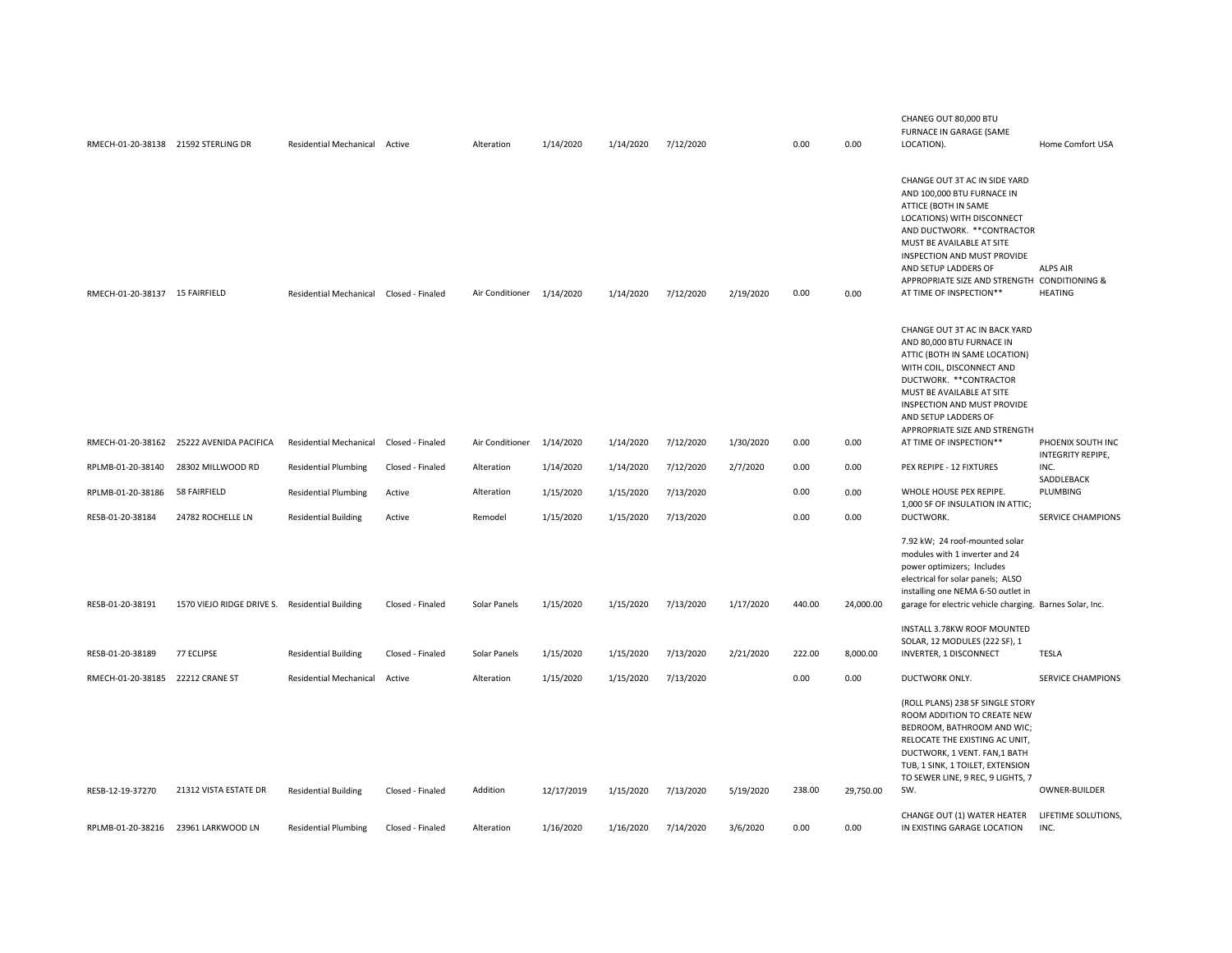| RMECH-01-20-38138 21592 STERLING DR |                                                | Residential Mechanical Active           |                  | Alteration                | 1/14/2020  | 1/14/2020 | 7/12/2020 |           | 0.00   | 0.00      | CHANEG OUT 80,000 BTU<br><b>FURNACE IN GARAGE (SAME</b><br>LOCATION).                                                                                                                                                                                                                                           | Home Comfort USA                       |
|-------------------------------------|------------------------------------------------|-----------------------------------------|------------------|---------------------------|------------|-----------|-----------|-----------|--------|-----------|-----------------------------------------------------------------------------------------------------------------------------------------------------------------------------------------------------------------------------------------------------------------------------------------------------------------|----------------------------------------|
| RMECH-01-20-38137 15 FAIRFIELD      |                                                | Residential Mechanical Closed - Finaled |                  | Air Conditioner 1/14/2020 |            | 1/14/2020 | 7/12/2020 | 2/19/2020 | 0.00   | 0.00      | CHANGE OUT 3T AC IN SIDE YARD<br>AND 100,000 BTU FURNACE IN<br>ATTICE (BOTH IN SAME<br>LOCATIONS) WITH DISCONNECT<br>AND DUCTWORK. ** CONTRACTOR<br>MUST BE AVAILABLE AT SITE<br>INSPECTION AND MUST PROVIDE<br>AND SETUP LADDERS OF<br>APPROPRIATE SIZE AND STRENGTH CONDITIONING &<br>AT TIME OF INSPECTION** | <b>ALPS AIR</b><br><b>HEATING</b>      |
|                                     |                                                |                                         |                  |                           |            |           |           |           |        |           | CHANGE OUT 3T AC IN BACK YARD<br>AND 80,000 BTU FURNACE IN<br>ATTIC (BOTH IN SAME LOCATION)<br>WITH COIL, DISCONNECT AND<br>DUCTWORK. ** CONTRACTOR<br>MUST BE AVAILABLE AT SITE<br>INSPECTION AND MUST PROVIDE<br>AND SETUP LADDERS OF<br>APPROPRIATE SIZE AND STRENGTH                                        |                                        |
| RMECH-01-20-38162                   | 25222 AVENIDA PACIFICA                         | <b>Residential Mechanical</b>           | Closed - Finaled | Air Conditioner           | 1/14/2020  | 1/14/2020 | 7/12/2020 | 1/30/2020 | 0.00   | 0.00      | AT TIME OF INSPECTION**                                                                                                                                                                                                                                                                                         | PHOENIX SOUTH INC<br>INTEGRITY REPIPE, |
| RPLMB-01-20-38140                   | 28302 MILLWOOD RD                              | <b>Residential Plumbing</b>             | Closed - Finaled | Alteration                | 1/14/2020  | 1/14/2020 | 7/12/2020 | 2/7/2020  | 0.00   | 0.00      | PEX REPIPE - 12 FIXTURES                                                                                                                                                                                                                                                                                        | INC.<br>SADDLEBACK                     |
| RPLMB-01-20-38186                   | 58 FAIRFIELD                                   | <b>Residential Plumbing</b>             | Active           | Alteration                | 1/15/2020  | 1/15/2020 | 7/13/2020 |           | 0.00   | 0.00      | WHOLE HOUSE PEX REPIPE.<br>1,000 SF OF INSULATION IN ATTIC;                                                                                                                                                                                                                                                     | PLUMBING                               |
| RESB-01-20-38184                    | 24782 ROCHELLE LN                              | <b>Residential Building</b>             | Active           | Remodel                   | 1/15/2020  | 1/15/2020 | 7/13/2020 |           | 0.00   | 0.00      | DUCTWORK.                                                                                                                                                                                                                                                                                                       | SERVICE CHAMPIONS                      |
|                                     |                                                |                                         |                  |                           |            |           |           |           |        |           | 7.92 kW; 24 roof-mounted solar<br>modules with 1 inverter and 24<br>power optimizers; Includes<br>electrical for solar panels; ALSO<br>installing one NEMA 6-50 outlet in                                                                                                                                       |                                        |
| RESB-01-20-38191                    | 1570 VIEJO RIDGE DRIVE S. Residential Building |                                         | Closed - Finaled | Solar Panels              | 1/15/2020  | 1/15/2020 | 7/13/2020 | 1/17/2020 | 440.00 | 24,000.00 | garage for electric vehicle charging. Barnes Solar, Inc.                                                                                                                                                                                                                                                        |                                        |
| RESB-01-20-38189                    | 77 ECLIPSE                                     | <b>Residential Building</b>             | Closed - Finaled | Solar Panels              | 1/15/2020  | 1/15/2020 | 7/13/2020 | 2/21/2020 | 222.00 | 8,000.00  | INSTALL 3.78KW ROOF MOUNTED<br>SOLAR, 12 MODULES (222 SF), 1<br>INVERTER, 1 DISCONNECT                                                                                                                                                                                                                          | <b>TESLA</b>                           |
| RMECH-01-20-38185                   | 22212 CRANE ST                                 | <b>Residential Mechanical</b>           | Active           | Alteration                | 1/15/2020  | 1/15/2020 | 7/13/2020 |           | 0.00   | 0.00      | DUCTWORK ONLY.                                                                                                                                                                                                                                                                                                  | <b>SERVICE CHAMPIONS</b>               |
|                                     |                                                |                                         |                  |                           |            |           |           |           |        |           | (ROLL PLANS) 238 SF SINGLE STORY<br>ROOM ADDITION TO CREATE NEW<br>BEDROOM, BATHROOM AND WIC;<br>RELOCATE THE EXISTING AC UNIT,<br>DUCTWORK, 1 VENT. FAN,1 BATH<br>TUB, 1 SINK, 1 TOILET, EXTENSION<br>TO SEWER LINE, 9 REC, 9 LIGHTS, 7                                                                        |                                        |
| RESB-12-19-37270                    | 21312 VISTA ESTATE DR                          | <b>Residential Building</b>             | Closed - Finaled | Addition                  | 12/17/2019 | 1/15/2020 | 7/13/2020 | 5/19/2020 | 238.00 | 29,750.00 | SW.                                                                                                                                                                                                                                                                                                             | OWNER-BUILDER                          |
|                                     | RPLMB-01-20-38216 23961 LARKWOOD LN            | <b>Residential Plumbing</b>             | Closed - Finaled | Alteration                | 1/16/2020  | 1/16/2020 | 7/14/2020 | 3/6/2020  | 0.00   | 0.00      | CHANGE OUT (1) WATER HEATER<br>IN EXISTING GARAGE LOCATION                                                                                                                                                                                                                                                      | LIFETIME SOLUTIONS,<br>INC.            |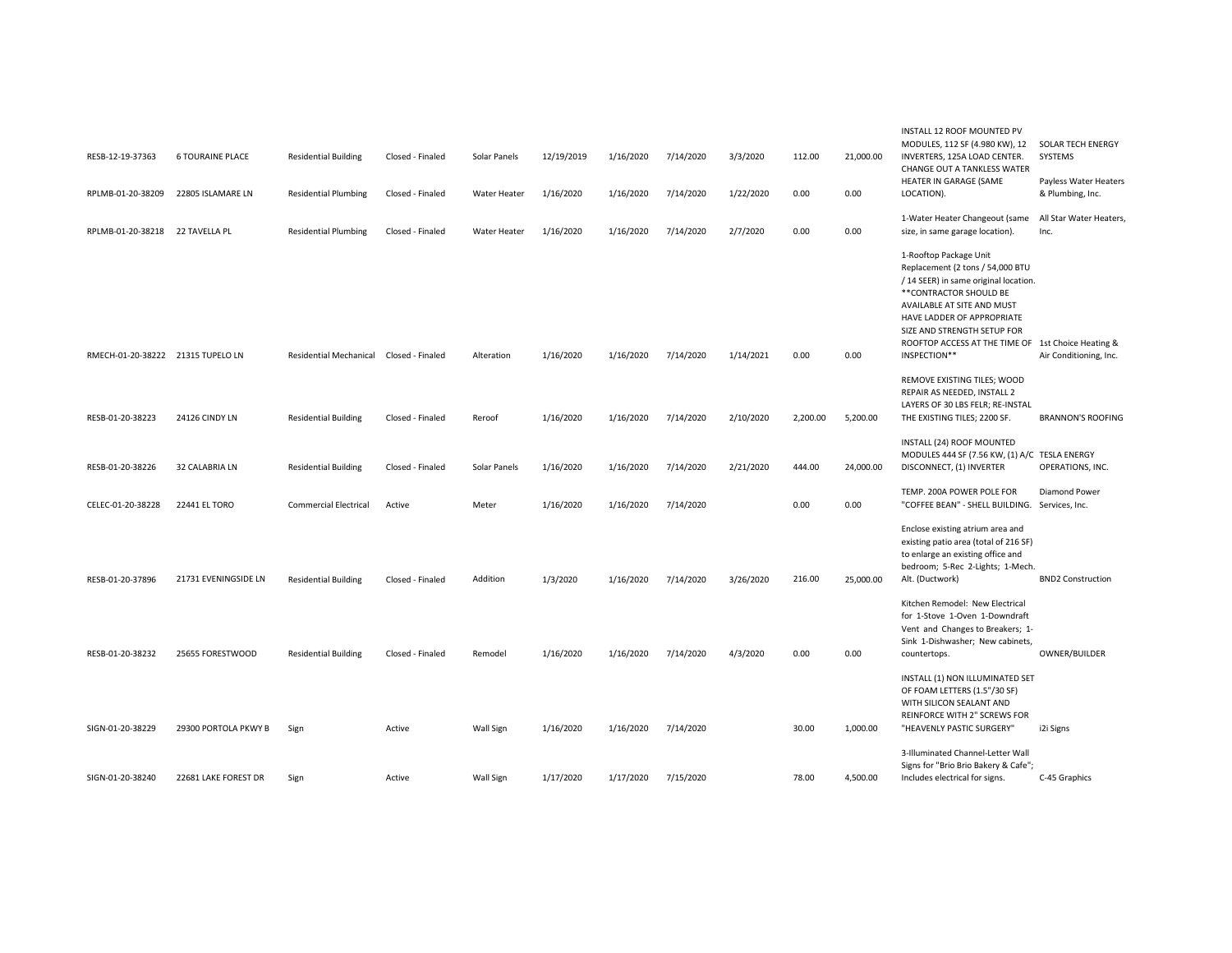| RESB-12-19-37363                  | <b>6 TOURAINE PLACE</b> | <b>Residential Building</b>             | Closed - Finaled | Solar Panels | 12/19/2019 | 1/16/2020 | 7/14/2020 | 3/3/2020  | 112.00   | 21,000.00 | INSTALL 12 ROOF MOUNTED PV<br>MODULES, 112 SF (4.980 KW), 12<br>INVERTERS, 125A LOAD CENTER.<br>CHANGE OUT A TANKLESS WATER                                                                                                                                                                     | SOLAR TECH ENERGY<br>SYSTEMS              |
|-----------------------------------|-------------------------|-----------------------------------------|------------------|--------------|------------|-----------|-----------|-----------|----------|-----------|-------------------------------------------------------------------------------------------------------------------------------------------------------------------------------------------------------------------------------------------------------------------------------------------------|-------------------------------------------|
| RPLMB-01-20-38209                 | 22805 ISLAMARE LN       | <b>Residential Plumbing</b>             | Closed - Finaled | Water Heater | 1/16/2020  | 1/16/2020 | 7/14/2020 | 1/22/2020 | 0.00     | 0.00      | HEATER IN GARAGE (SAME<br>LOCATION).                                                                                                                                                                                                                                                            | Payless Water Heaters<br>& Plumbing, Inc. |
| RPLMB-01-20-38218                 | 22 TAVELLA PL           | <b>Residential Plumbing</b>             | Closed - Finaled | Water Heater | 1/16/2020  | 1/16/2020 | 7/14/2020 | 2/7/2020  | 0.00     | 0.00      | 1-Water Heater Changeout (same<br>size, in same garage location).                                                                                                                                                                                                                               | All Star Water Heaters,<br>Inc.           |
| RMECH-01-20-38222 21315 TUPELO LN |                         | Residential Mechanical Closed - Finaled |                  | Alteration   | 1/16/2020  | 1/16/2020 | 7/14/2020 | 1/14/2021 | 0.00     | 0.00      | 1-Rooftop Package Unit<br>Replacement (2 tons / 54,000 BTU<br>/ 14 SEER) in same original location.<br>** CONTRACTOR SHOULD BE<br>AVAILABLE AT SITE AND MUST<br>HAVE LADDER OF APPROPRIATE<br>SIZE AND STRENGTH SETUP FOR<br>ROOFTOP ACCESS AT THE TIME OF 1st Choice Heating &<br>INSPECTION** | Air Conditioning, Inc.                    |
|                                   |                         |                                         |                  |              |            |           |           |           |          |           | REMOVE EXISTING TILES; WOOD<br>REPAIR AS NEEDED, INSTALL 2                                                                                                                                                                                                                                      |                                           |
| RESB-01-20-38223                  | 24126 CINDY LN          | <b>Residential Building</b>             | Closed - Finaled | Reroof       | 1/16/2020  | 1/16/2020 | 7/14/2020 | 2/10/2020 | 2,200.00 | 5,200.00  | LAYERS OF 30 LBS FELR; RE-INSTAL<br>THE EXISTING TILES; 2200 SF.                                                                                                                                                                                                                                | <b>BRANNON'S ROOFING</b>                  |
| RESB-01-20-38226                  | 32 CALABRIA LN          | <b>Residential Building</b>             | Closed - Finaled | Solar Panels | 1/16/2020  | 1/16/2020 | 7/14/2020 | 2/21/2020 | 444.00   | 24,000.00 | INSTALL (24) ROOF MOUNTED<br>MODULES 444 SF (7.56 KW, (1) A/C TESLA ENERGY<br>DISCONNECT, (1) INVERTER                                                                                                                                                                                          | OPERATIONS, INC.                          |
| CELEC-01-20-38228                 | 22441 EL TORO           | <b>Commercial Electrical</b>            | Active           | Meter        | 1/16/2020  | 1/16/2020 | 7/14/2020 |           | 0.00     | 0.00      | TEMP. 200A POWER POLE FOR<br>"COFFEE BEAN" - SHELL BUILDING.                                                                                                                                                                                                                                    | Diamond Power<br>Services, Inc.           |
| RESB-01-20-37896                  | 21731 EVENINGSIDE LN    | <b>Residential Building</b>             | Closed - Finaled | Addition     | 1/3/2020   | 1/16/2020 | 7/14/2020 | 3/26/2020 | 216.00   | 25,000.00 | Enclose existing atrium area and<br>existing patio area (total of 216 SF)<br>to enlarge an existing office and<br>bedroom; 5-Rec 2-Lights; 1-Mech.<br>Alt. (Ductwork)                                                                                                                           | <b>BND2 Construction</b>                  |
| RESB-01-20-38232                  | 25655 FORESTWOOD        | <b>Residential Building</b>             | Closed - Finaled | Remodel      | 1/16/2020  | 1/16/2020 | 7/14/2020 | 4/3/2020  | 0.00     | 0.00      | Kitchen Remodel: New Electrical<br>for 1-Stove 1-Oven 1-Downdraft<br>Vent and Changes to Breakers; 1-<br>Sink 1-Dishwasher; New cabinets,<br>countertops.                                                                                                                                       | OWNER/BUILDER                             |
| SIGN-01-20-38229                  | 29300 PORTOLA PKWY B    | Sign                                    | Active           | Wall Sign    | 1/16/2020  | 1/16/2020 | 7/14/2020 |           | 30.00    | 1,000.00  | INSTALL (1) NON ILLUMINATED SET<br>OF FOAM LETTERS (1.5"/30 SF)<br>WITH SILICON SEALANT AND<br><b>REINFORCE WITH 2" SCREWS FOR</b><br>"HEAVENLY PASTIC SURGERY"                                                                                                                                 | i2i Signs                                 |
| SIGN-01-20-38240                  | 22681 LAKE FOREST DR    | Sign                                    | Active           | Wall Sign    | 1/17/2020  | 1/17/2020 | 7/15/2020 |           | 78.00    | 4,500.00  | 3-Illuminated Channel-Letter Wall<br>Signs for "Brio Brio Bakery & Cafe";<br>Includes electrical for signs.                                                                                                                                                                                     | C-45 Graphics                             |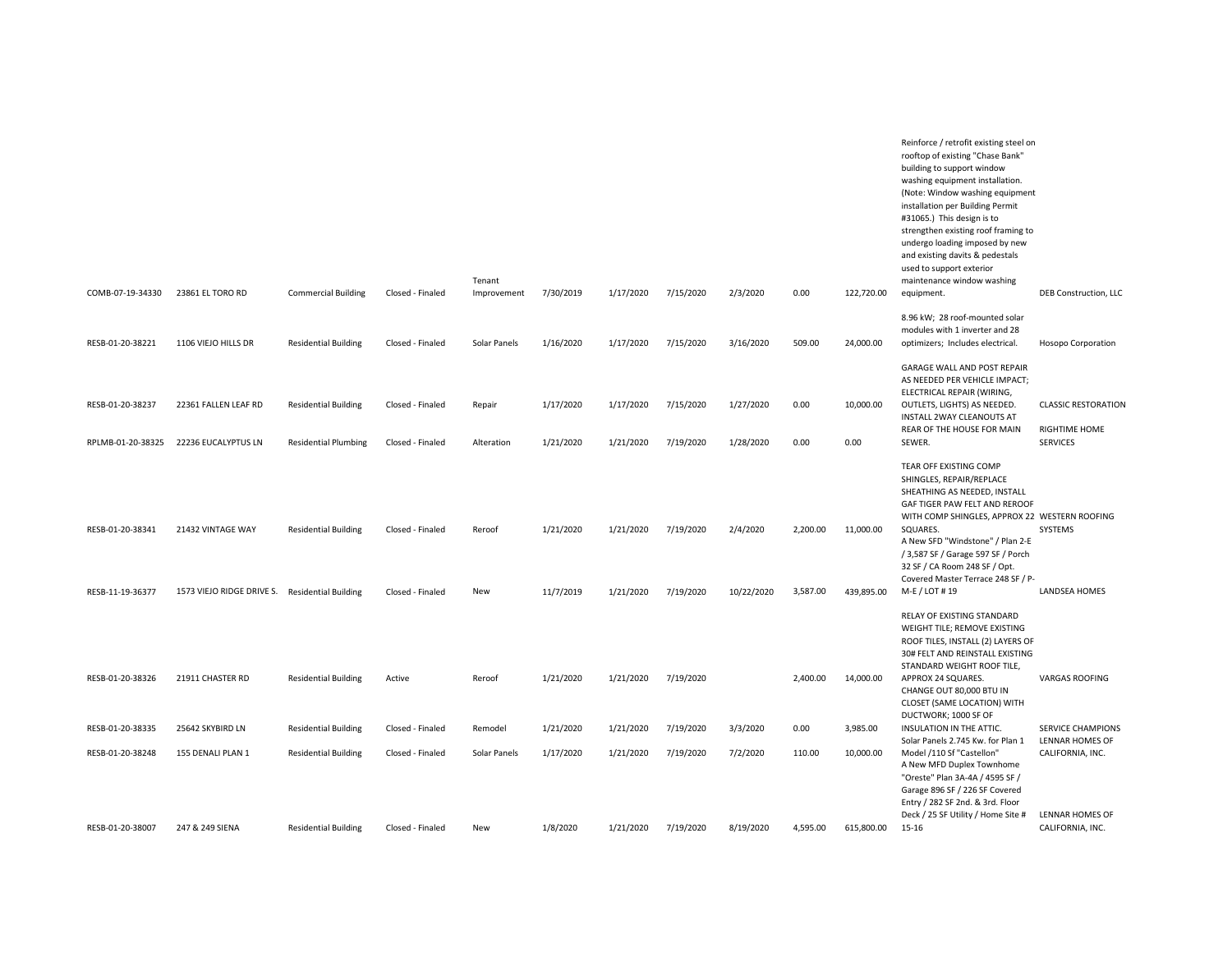|                   |                                                |                             |                  | Tenant       |           |           |           |            |          |            | Reinforce / retrofit existing steel on<br>rooftop of existing "Chase Bank"<br>building to support window<br>washing equipment installation.<br>(Note: Window washing equipment<br>installation per Building Permit<br>#31065.) This design is to<br>strengthen existing roof framing to<br>undergo loading imposed by new<br>and existing davits & pedestals<br>used to support exterior<br>maintenance window washing |                                             |
|-------------------|------------------------------------------------|-----------------------------|------------------|--------------|-----------|-----------|-----------|------------|----------|------------|------------------------------------------------------------------------------------------------------------------------------------------------------------------------------------------------------------------------------------------------------------------------------------------------------------------------------------------------------------------------------------------------------------------------|---------------------------------------------|
| COMB-07-19-34330  | 23861 EL TORO RD                               | <b>Commercial Building</b>  | Closed - Finaled | Improvement  | 7/30/2019 | 1/17/2020 | 7/15/2020 | 2/3/2020   | 0.00     | 122,720.00 | equipment.                                                                                                                                                                                                                                                                                                                                                                                                             | DEB Construction, LLC                       |
| RESB-01-20-38221  | 1106 VIEJO HILLS DR                            | <b>Residential Building</b> | Closed - Finaled | Solar Panels | 1/16/2020 | 1/17/2020 | 7/15/2020 | 3/16/2020  | 509.00   | 24,000.00  | 8.96 kW; 28 roof-mounted solar<br>modules with 1 inverter and 28<br>optimizers; Includes electrical.                                                                                                                                                                                                                                                                                                                   | Hosopo Corporation                          |
| RESB-01-20-38237  | 22361 FALLEN LEAF RD                           | <b>Residential Building</b> | Closed - Finaled | Repair       | 1/17/2020 | 1/17/2020 | 7/15/2020 | 1/27/2020  | 0.00     | 10,000.00  | GARAGE WALL AND POST REPAIR<br>AS NEEDED PER VEHICLE IMPACT;<br>ELECTRICAL REPAIR (WIRING,<br>OUTLETS, LIGHTS) AS NEEDED.<br>INSTALL 2WAY CLEANOUTS AT<br>REAR OF THE HOUSE FOR MAIN                                                                                                                                                                                                                                   | <b>CLASSIC RESTORATION</b><br>RIGHTIME HOME |
| RPLMB-01-20-38325 | 22236 EUCALYPTUS LN                            | <b>Residential Plumbing</b> | Closed - Finaled | Alteration   | 1/21/2020 | 1/21/2020 | 7/19/2020 | 1/28/2020  | 0.00     | 0.00       | SEWER.                                                                                                                                                                                                                                                                                                                                                                                                                 | <b>SERVICES</b>                             |
| RESB-01-20-38341  | 21432 VINTAGE WAY                              | <b>Residential Building</b> | Closed - Finaled | Reroof       | 1/21/2020 | 1/21/2020 | 7/19/2020 | 2/4/2020   | 2,200.00 | 11,000.00  | TEAR OFF EXISTING COMP<br>SHINGLES, REPAIR/REPLACE<br>SHEATHING AS NEEDED, INSTALL<br>GAF TIGER PAW FELT AND REROOF<br>WITH COMP SHINGLES, APPROX 22 WESTERN ROOFING<br>SQUARES.<br>A New SFD "Windstone" / Plan 2-E<br>/ 3,587 SF / Garage 597 SF / Porch<br>32 SF / CA Room 248 SF / Opt.<br>Covered Master Terrace 248 SF / P-                                                                                      | SYSTEMS                                     |
| RESB-11-19-36377  | 1573 VIEJO RIDGE DRIVE S. Residential Building |                             | Closed - Finaled | New          | 11/7/2019 | 1/21/2020 | 7/19/2020 | 10/22/2020 | 3,587.00 | 439,895.00 | M-E / LOT # 19                                                                                                                                                                                                                                                                                                                                                                                                         | <b>LANDSEA HOMES</b>                        |
|                   |                                                |                             |                  |              |           |           |           |            |          |            | RELAY OF EXISTING STANDARD<br>WEIGHT TILE; REMOVE EXISTING<br>ROOF TILES, INSTALL (2) LAYERS OF<br>30# FELT AND REINSTALL EXISTING<br>STANDARD WEIGHT ROOF TILE,                                                                                                                                                                                                                                                       |                                             |
| RESB-01-20-38326  | 21911 CHASTER RD                               | <b>Residential Building</b> | Active           | Reroof       | 1/21/2020 | 1/21/2020 | 7/19/2020 |            | 2,400.00 | 14,000.00  | APPROX 24 SQUARES.<br>CHANGE OUT 80,000 BTU IN<br>CLOSET (SAME LOCATION) WITH<br>DUCTWORK; 1000 SF OF                                                                                                                                                                                                                                                                                                                  | <b>VARGAS ROOFING</b>                       |
| RESB-01-20-38335  | 25642 SKYBIRD LN                               | <b>Residential Building</b> | Closed - Finaled | Remodel      | 1/21/2020 | 1/21/2020 | 7/19/2020 | 3/3/2020   | 0.00     | 3,985.00   | INSULATION IN THE ATTIC.                                                                                                                                                                                                                                                                                                                                                                                               | <b>SERVICE CHAMPIONS</b>                    |
| RESB-01-20-38248  | 155 DENALI PLAN 1                              | <b>Residential Building</b> | Closed - Finaled | Solar Panels | 1/17/2020 | 1/21/2020 | 7/19/2020 | 7/2/2020   | 110.00   | 10,000.00  | Solar Panels 2.745 Kw. for Plan 1<br>Model /110 Sf "Castellon"<br>A New MFD Duplex Townhome<br>"Oreste" Plan 3A-4A / 4595 SF /<br>Garage 896 SF / 226 SF Covered<br>Entry / 282 SF 2nd. & 3rd. Floor                                                                                                                                                                                                                   | LENNAR HOMES OF<br>CALIFORNIA, INC.         |
| RESB-01-20-38007  | 247 & 249 SIENA                                | <b>Residential Building</b> | Closed - Finaled | New          | 1/8/2020  | 1/21/2020 | 7/19/2020 | 8/19/2020  | 4,595.00 | 615,800.00 | Deck / 25 SF Utility / Home Site #<br>15-16                                                                                                                                                                                                                                                                                                                                                                            | LENNAR HOMES OF<br>CALIFORNIA, INC.         |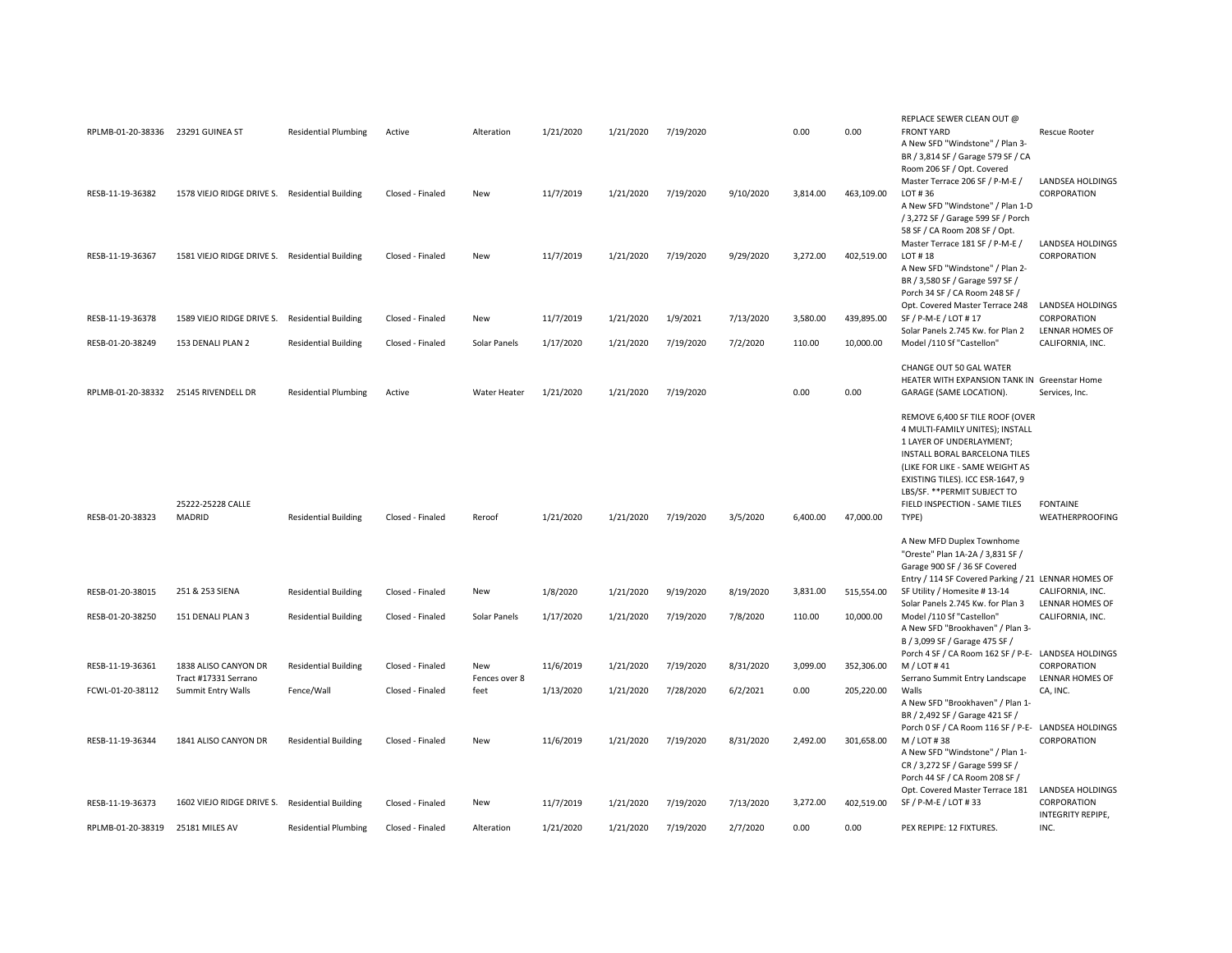|                                   |                                                |                             |                  |               |           |           |           |           |          |            | REPLACE SEWER CLEAN OUT @                                         |                                    |
|-----------------------------------|------------------------------------------------|-----------------------------|------------------|---------------|-----------|-----------|-----------|-----------|----------|------------|-------------------------------------------------------------------|------------------------------------|
| RPLMB-01-20-38336 23291 GUINEA ST |                                                | <b>Residential Plumbing</b> | Active           | Alteration    | 1/21/2020 | 1/21/2020 | 7/19/2020 |           | 0.00     | 0.00       | <b>FRONT YARD</b><br>A New SFD "Windstone" / Plan 3-              | <b>Rescue Rooter</b>               |
|                                   |                                                |                             |                  |               |           |           |           |           |          |            | BR / 3,814 SF / Garage 579 SF / CA                                |                                    |
|                                   |                                                |                             |                  |               |           |           |           |           |          |            | Room 206 SF / Opt. Covered                                        |                                    |
|                                   |                                                |                             |                  |               |           |           |           |           |          |            | Master Terrace 206 SF / P-M-E /                                   | LANDSEA HOLDINGS                   |
| RESB-11-19-36382                  | 1578 VIEJO RIDGE DRIVE S. Residential Building |                             | Closed - Finaled | <b>New</b>    | 11/7/2019 | 1/21/2020 | 7/19/2020 | 9/10/2020 | 3,814.00 | 463,109.00 | LOT #36                                                           | CORPORATION                        |
|                                   |                                                |                             |                  |               |           |           |           |           |          |            | A New SFD "Windstone" / Plan 1-D                                  |                                    |
|                                   |                                                |                             |                  |               |           |           |           |           |          |            | / 3,272 SF / Garage 599 SF / Porch                                |                                    |
|                                   |                                                |                             |                  |               |           |           |           |           |          |            | 58 SF / CA Room 208 SF / Opt.                                     |                                    |
|                                   |                                                |                             |                  |               |           |           |           |           |          |            | Master Terrace 181 SF / P-M-E /                                   | <b>LANDSEA HOLDINGS</b>            |
| RESB-11-19-36367                  | 1581 VIEJO RIDGE DRIVE S. Residential Building |                             | Closed - Finaled | <b>New</b>    | 11/7/2019 | 1/21/2020 | 7/19/2020 | 9/29/2020 | 3.272.00 | 402.519.00 | LOT #18                                                           | CORPORATION                        |
|                                   |                                                |                             |                  |               |           |           |           |           |          |            | A New SFD "Windstone" / Plan 2-                                   |                                    |
|                                   |                                                |                             |                  |               |           |           |           |           |          |            | BR / 3,580 SF / Garage 597 SF /                                   |                                    |
|                                   |                                                |                             |                  |               |           |           |           |           |          |            | Porch 34 SF / CA Room 248 SF /<br>Opt. Covered Master Terrace 248 | LANDSEA HOLDINGS                   |
| RESB-11-19-36378                  | 1589 VIEJO RIDGE DRIVE S. Residential Building |                             | Closed - Finaled | <b>New</b>    | 11/7/2019 | 1/21/2020 | 1/9/2021  | 7/13/2020 | 3,580.00 | 439,895.00 | SF / P-M-E / LOT # 17                                             | CORPORATION                        |
|                                   |                                                |                             |                  |               |           |           |           |           |          |            | Solar Panels 2.745 Kw. for Plan 2                                 | LENNAR HOMES OF                    |
| RESB-01-20-38249                  | 153 DENALI PLAN 2                              | <b>Residential Building</b> | Closed - Finaled | Solar Panels  | 1/17/2020 | 1/21/2020 | 7/19/2020 | 7/2/2020  | 110.00   | 10,000.00  | Model /110 Sf "Castellon"                                         | CALIFORNIA, INC.                   |
|                                   |                                                |                             |                  |               |           |           |           |           |          |            |                                                                   |                                    |
|                                   |                                                |                             |                  |               |           |           |           |           |          |            | CHANGE OUT 50 GAL WATER                                           |                                    |
|                                   |                                                |                             |                  |               |           |           |           |           |          |            | HEATER WITH EXPANSION TANK IN Greenstar Home                      |                                    |
| RPLMB-01-20-38332                 | 25145 RIVENDELL DR                             | <b>Residential Plumbing</b> | Active           | Water Heater  | 1/21/2020 | 1/21/2020 | 7/19/2020 |           | 0.00     | 0.00       | GARAGE (SAME LOCATION).                                           | Services, Inc.                     |
|                                   |                                                |                             |                  |               |           |           |           |           |          |            |                                                                   |                                    |
|                                   |                                                |                             |                  |               |           |           |           |           |          |            | REMOVE 6,400 SF TILE ROOF (OVER                                   |                                    |
|                                   |                                                |                             |                  |               |           |           |           |           |          |            | 4 MULTI-FAMILY UNITES); INSTALL                                   |                                    |
|                                   |                                                |                             |                  |               |           |           |           |           |          |            | 1 LAYER OF UNDERLAYMENT;                                          |                                    |
|                                   |                                                |                             |                  |               |           |           |           |           |          |            | INSTALL BORAL BARCELONA TILES                                     |                                    |
|                                   |                                                |                             |                  |               |           |           |           |           |          |            | (LIKE FOR LIKE - SAME WEIGHT AS                                   |                                    |
|                                   |                                                |                             |                  |               |           |           |           |           |          |            | EXISTING TILES). ICC ESR-1647, 9                                  |                                    |
|                                   |                                                |                             |                  |               |           |           |           |           |          |            | LBS/SF. ** PERMIT SUBJECT TO                                      |                                    |
|                                   | 25222-25228 CALLE<br>MADRID                    |                             |                  | Reroof        |           |           |           |           | 6,400.00 |            | FIELD INSPECTION - SAME TILES<br>TYPE)                            | <b>FONTAINE</b><br>WEATHERPROOFING |
| RESB-01-20-38323                  |                                                | <b>Residential Building</b> | Closed - Finaled |               | 1/21/2020 | 1/21/2020 | 7/19/2020 | 3/5/2020  |          | 47,000.00  |                                                                   |                                    |
|                                   |                                                |                             |                  |               |           |           |           |           |          |            | A New MFD Duplex Townhome                                         |                                    |
|                                   |                                                |                             |                  |               |           |           |           |           |          |            | "Oreste" Plan 1A-2A / 3,831 SF /                                  |                                    |
|                                   |                                                |                             |                  |               |           |           |           |           |          |            | Garage 900 SF / 36 SF Covered                                     |                                    |
|                                   |                                                |                             |                  |               |           |           |           |           |          |            | Entry / 114 SF Covered Parking / 21 LENNAR HOMES OF               |                                    |
| RESB-01-20-38015                  | 251 & 253 SIENA                                | <b>Residential Building</b> | Closed - Finaled | New           | 1/8/2020  | 1/21/2020 | 9/19/2020 | 8/19/2020 | 3,831.00 | 515,554.00 | SF Utility / Homesite #13-14                                      | CALIFORNIA, INC.                   |
|                                   |                                                |                             |                  |               |           |           |           |           |          |            | Solar Panels 2.745 Kw. for Plan 3                                 | LENNAR HOMES OF                    |
| RESB-01-20-38250                  | 151 DENALI PLAN 3                              | <b>Residential Building</b> | Closed - Finaled | Solar Panels  | 1/17/2020 | 1/21/2020 | 7/19/2020 | 7/8/2020  | 110.00   | 10,000.00  | Model /110 Sf "Castellon"                                         | CALIFORNIA, INC.                   |
|                                   |                                                |                             |                  |               |           |           |           |           |          |            | A New SFD "Brookhaven" / Plan 3-                                  |                                    |
|                                   |                                                |                             |                  |               |           |           |           |           |          |            | B / 3,099 SF / Garage 475 SF /                                    |                                    |
|                                   |                                                |                             |                  |               |           |           |           |           |          |            | Porch 4 SF / CA Room 162 SF / P-E- LANDSEA HOLDINGS               |                                    |
| RESB-11-19-36361                  | 1838 ALISO CANYON DR                           | <b>Residential Building</b> | Closed - Finaled | New           | 11/6/2019 | 1/21/2020 | 7/19/2020 | 8/31/2020 | 3,099.00 | 352,306.00 | M / LOT #41                                                       | CORPORATION                        |
|                                   | Tract #17331 Serrano                           |                             |                  | Fences over 8 |           |           |           |           |          |            | Serrano Summit Entry Landscape                                    | <b>LENNAR HOMES OF</b>             |
| FCWL-01-20-38112                  | Summit Entry Walls                             | Fence/Wall                  | Closed - Finaled | feet          | 1/13/2020 | 1/21/2020 | 7/28/2020 | 6/2/2021  | 0.00     | 205,220.00 | Walls                                                             | CA, INC.                           |
|                                   |                                                |                             |                  |               |           |           |           |           |          |            | A New SFD "Brookhaven" / Plan 1-                                  |                                    |
|                                   |                                                |                             |                  |               |           |           |           |           |          |            | BR / 2,492 SF / Garage 421 SF /                                   |                                    |
|                                   |                                                |                             |                  |               |           |           |           |           |          |            | Porch 0 SF / CA Room 116 SF / P-E- LANDSEA HOLDINGS               |                                    |
| RESB-11-19-36344                  | 1841 ALISO CANYON DR                           | <b>Residential Building</b> | Closed - Finaled | New           | 11/6/2019 | 1/21/2020 | 7/19/2020 | 8/31/2020 | 2,492.00 | 301.658.00 | M / LOT #38                                                       | CORPORATION                        |
|                                   |                                                |                             |                  |               |           |           |           |           |          |            | A New SFD "Windstone" / Plan 1-                                   |                                    |
|                                   |                                                |                             |                  |               |           |           |           |           |          |            | CR / 3,272 SF / Garage 599 SF /                                   |                                    |
|                                   |                                                |                             |                  |               |           |           |           |           |          |            | Porch 44 SF / CA Room 208 SF /<br>Opt. Covered Master Terrace 181 | LANDSEA HOLDINGS                   |
| RESB-11-19-36373                  | 1602 VIEJO RIDGE DRIVE S. Residential Building |                             | Closed - Finaled | New           | 11/7/2019 | 1/21/2020 | 7/19/2020 | 7/13/2020 | 3,272.00 | 402,519.00 | SF / P-M-E / LOT #33                                              | CORPORATION                        |
|                                   |                                                |                             |                  |               |           |           |           |           |          |            |                                                                   | INTEGRITY REPIPE,                  |
| RPLMB-01-20-38319                 | 25181 MILES AV                                 | <b>Residential Plumbing</b> | Closed - Finaled | Alteration    | 1/21/2020 | 1/21/2020 | 7/19/2020 | 2/7/2020  | 0.00     | 0.00       | PEX REPIPE: 12 FIXTURES.                                          | INC.                               |
|                                   |                                                |                             |                  |               |           |           |           |           |          |            |                                                                   |                                    |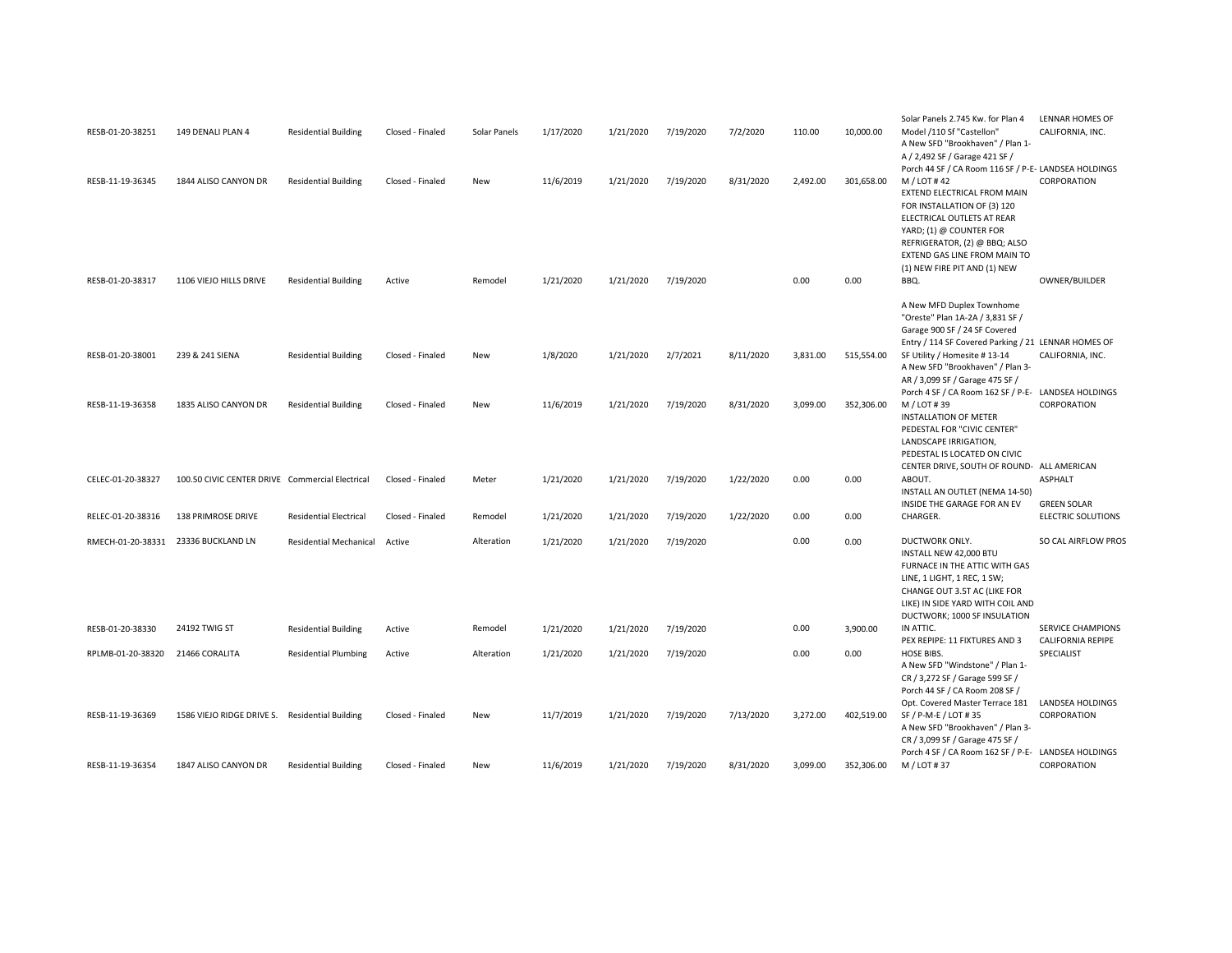| RESB-01-20-38251  | 149 DENALI PLAN 4                               | <b>Residential Building</b>   | Closed - Finaled | Solar Panels | 1/17/2020 | 1/21/2020 | 7/19/2020 | 7/2/2020  | 110.00   | 10,000.00  | Solar Panels 2.745 Kw. for Plan 4<br>Model /110 Sf "Castellon"<br>A New SFD "Brookhaven" / Plan 1-<br>A / 2,492 SF / Garage 421 SF /                                                                                                                                                        | LENNAR HOMES OF<br>CALIFORNIA, INC.                  |
|-------------------|-------------------------------------------------|-------------------------------|------------------|--------------|-----------|-----------|-----------|-----------|----------|------------|---------------------------------------------------------------------------------------------------------------------------------------------------------------------------------------------------------------------------------------------------------------------------------------------|------------------------------------------------------|
| RESB-11-19-36345  | 1844 ALISO CANYON DR                            | <b>Residential Building</b>   | Closed - Finaled | New          | 11/6/2019 | 1/21/2020 | 7/19/2020 | 8/31/2020 | 2,492.00 | 301,658.00 | Porch 44 SF / CA Room 116 SF / P-E- LANDSEA HOLDINGS<br>M / LOT #42<br>EXTEND ELECTRICAL FROM MAIN<br>FOR INSTALLATION OF (3) 120<br>ELECTRICAL OUTLETS AT REAR<br>YARD; (1) @ COUNTER FOR<br>REFRIGERATOR, (2) @ BBQ; ALSO<br>EXTEND GAS LINE FROM MAIN TO<br>(1) NEW FIRE PIT AND (1) NEW | CORPORATION                                          |
| RESB-01-20-38317  | 1106 VIEJO HILLS DRIVE                          | <b>Residential Building</b>   | Active           | Remodel      | 1/21/2020 | 1/21/2020 | 7/19/2020 |           | 0.00     | 0.00       | BBQ.                                                                                                                                                                                                                                                                                        | OWNER/BUILDER                                        |
|                   |                                                 |                               |                  |              |           |           |           |           |          |            | A New MFD Duplex Townhome<br>"Oreste" Plan 1A-2A / 3,831 SF /<br>Garage 900 SF / 24 SF Covered<br>Entry / 114 SF Covered Parking / 21 LENNAR HOMES OF                                                                                                                                       |                                                      |
| RESB-01-20-38001  | 239 & 241 SIENA                                 | <b>Residential Building</b>   | Closed - Finaled | <b>New</b>   | 1/8/2020  | 1/21/2020 | 2/7/2021  | 8/11/2020 | 3,831.00 | 515,554.00 | SF Utility / Homesite #13-14<br>A New SFD "Brookhaven" / Plan 3-<br>AR / 3,099 SF / Garage 475 SF /                                                                                                                                                                                         | CALIFORNIA, INC.                                     |
| RESB-11-19-36358  | 1835 ALISO CANYON DR                            | <b>Residential Building</b>   | Closed - Finaled | New          | 11/6/2019 | 1/21/2020 | 7/19/2020 | 8/31/2020 | 3,099.00 | 352,306.00 | Porch 4 SF / CA Room 162 SF / P-E- LANDSEA HOLDINGS<br>M / LOT #39<br>INSTALLATION OF METER<br>PEDESTAL FOR "CIVIC CENTER"<br>LANDSCAPE IRRIGATION,<br>PEDESTAL IS LOCATED ON CIVIC                                                                                                         | CORPORATION                                          |
| CELEC-01-20-38327 | 100.50 CIVIC CENTER DRIVE Commercial Electrical |                               | Closed - Finaled | Meter        | 1/21/2020 | 1/21/2020 | 7/19/2020 | 1/22/2020 | 0.00     | 0.00       | CENTER DRIVE, SOUTH OF ROUND- ALL AMERICAN<br>ABOUT.<br>INSTALL AN OUTLET (NEMA 14-50)<br>INSIDE THE GARAGE FOR AN EV                                                                                                                                                                       | <b>ASPHALT</b><br><b>GREEN SOLAR</b>                 |
| RELEC-01-20-38316 | <b>138 PRIMROSE DRIVE</b>                       | <b>Residential Electrical</b> | Closed - Finaled | Remodel      | 1/21/2020 | 1/21/2020 | 7/19/2020 | 1/22/2020 | 0.00     | 0.00       | CHARGER.                                                                                                                                                                                                                                                                                    | <b>ELECTRIC SOLUTIONS</b>                            |
| RMECH-01-20-38331 | 23336 BUCKLAND LN                               | <b>Residential Mechanical</b> | Active           | Alteration   | 1/21/2020 | 1/21/2020 | 7/19/2020 |           | 0.00     | 0.00       | DUCTWORK ONLY.<br>INSTALL NEW 42,000 BTU<br>FURNACE IN THE ATTIC WITH GAS<br>LINE, 1 LIGHT, 1 REC, 1 SW;<br>CHANGE OUT 3.5T AC (LIKE FOR<br>LIKE) IN SIDE YARD WITH COIL AND<br>DUCTWORK; 1000 SF INSULATION                                                                                | SO CAL AIRFLOW PROS                                  |
| RESB-01-20-38330  | 24192 TWIG ST                                   | <b>Residential Building</b>   | Active           | Remodel      | 1/21/2020 | 1/21/2020 | 7/19/2020 |           | 0.00     | 3,900.00   | IN ATTIC.<br>PEX REPIPE: 11 FIXTURES AND 3                                                                                                                                                                                                                                                  | <b>SERVICE CHAMPIONS</b><br><b>CALIFORNIA REPIPE</b> |
| RPLMB-01-20-38320 | 21466 CORALITA                                  | <b>Residential Plumbing</b>   | Active           | Alteration   | 1/21/2020 | 1/21/2020 | 7/19/2020 |           | 0.00     | 0.00       | HOSE BIBS.<br>A New SFD "Windstone" / Plan 1-<br>CR / 3,272 SF / Garage 599 SF /<br>Porch 44 SF / CA Room 208 SF /                                                                                                                                                                          | SPECIALIST                                           |
| RESB-11-19-36369  | 1586 VIEJO RIDGE DRIVE S. Residential Building  |                               | Closed - Finaled | New          | 11/7/2019 | 1/21/2020 | 7/19/2020 | 7/13/2020 | 3,272.00 | 402,519.00 | Opt. Covered Master Terrace 181<br>SF / P-M-E / LOT #35<br>A New SFD "Brookhaven" / Plan 3-<br>CR / 3,099 SF / Garage 475 SF /<br>Porch 4 SF / CA Room 162 SF / P-E- LANDSEA HOLDINGS                                                                                                       | LANDSEA HOLDINGS<br>CORPORATION                      |
| RESB-11-19-36354  | 1847 ALISO CANYON DR                            | <b>Residential Building</b>   | Closed - Finaled | <b>New</b>   | 11/6/2019 | 1/21/2020 | 7/19/2020 | 8/31/2020 | 3.099.00 | 352.306.00 | M / LOT #37                                                                                                                                                                                                                                                                                 | CORPORATION                                          |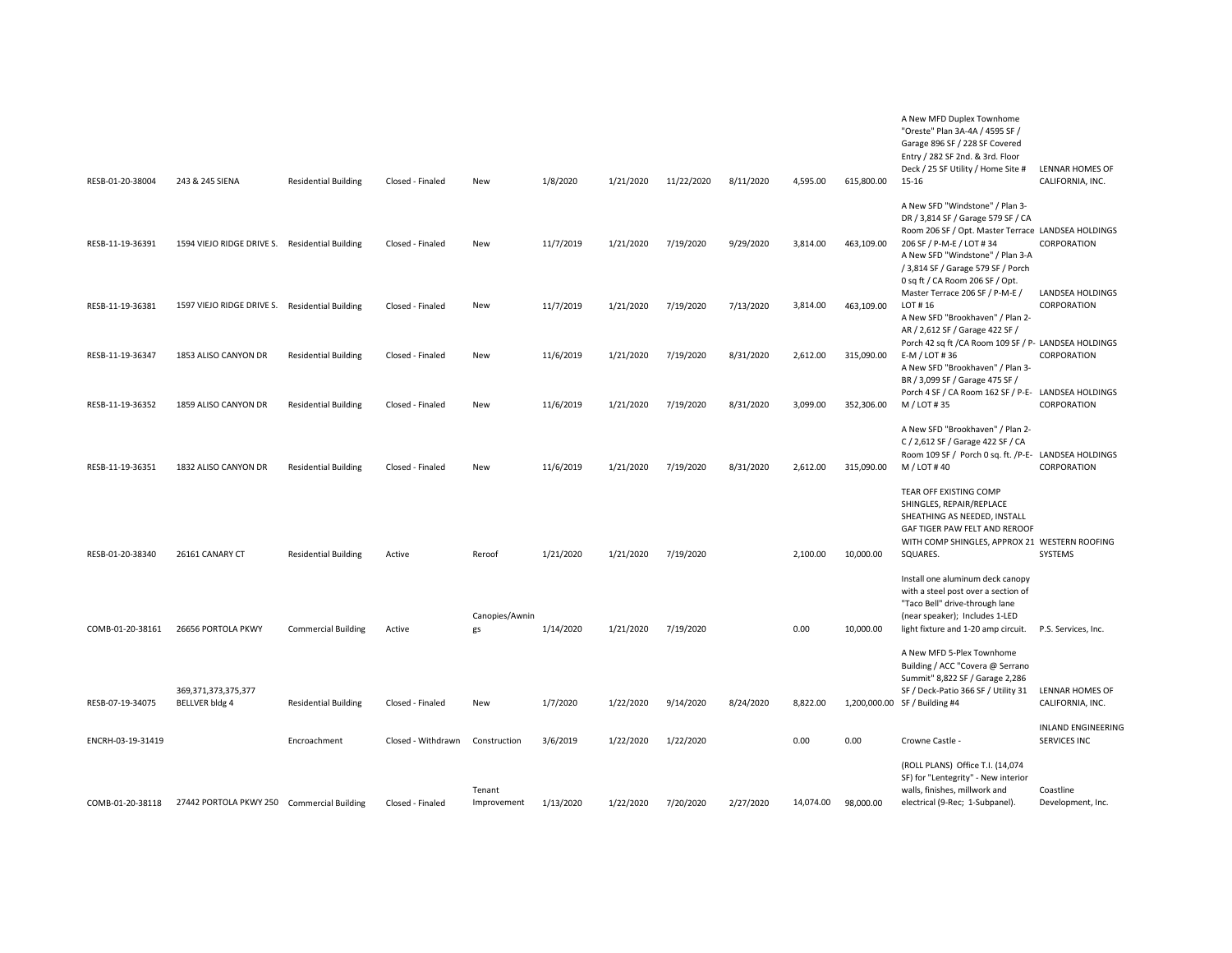| RESB-01-20-38004  | 243 & 245 SIENA                                | <b>Residential Building</b> | Closed - Finaled   | New                   | 1/8/2020  | 1/21/2020 | 11/22/2020 | 8/11/2020 | 4,595.00  | 615,800.00 | A New MFD Duplex Townhome<br>"Oreste" Plan 3A-4A / 4595 SF /<br>Garage 896 SF / 228 SF Covered<br>Entry / 282 SF 2nd. & 3rd. Floor<br>Deck / 25 SF Utility / Home Site #<br>15-16            | <b>LENNAR HOMES OF</b><br>CALIFORNIA, INC. |
|-------------------|------------------------------------------------|-----------------------------|--------------------|-----------------------|-----------|-----------|------------|-----------|-----------|------------|----------------------------------------------------------------------------------------------------------------------------------------------------------------------------------------------|--------------------------------------------|
| RESB-11-19-36391  | 1594 VIEJO RIDGE DRIVE S. Residential Building |                             | Closed - Finaled   | New                   | 11/7/2019 | 1/21/2020 | 7/19/2020  | 9/29/2020 | 3,814.00  | 463,109.00 | A New SFD "Windstone" / Plan 3-<br>DR / 3,814 SF / Garage 579 SF / CA<br>Room 206 SF / Opt. Master Terrace LANDSEA HOLDINGS<br>206 SF / P-M-E / LOT # 34<br>A New SFD "Windstone" / Plan 3-A | CORPORATION                                |
| RESB-11-19-36381  | 1597 VIEJO RIDGE DRIVE S. Residential Building |                             | Closed - Finaled   | New                   | 11/7/2019 | 1/21/2020 | 7/19/2020  | 7/13/2020 | 3,814.00  | 463,109.00 | / 3,814 SF / Garage 579 SF / Porch<br>0 sq ft / CA Room 206 SF / Opt.<br>Master Terrace 206 SF / P-M-E /<br>LOT #16<br>A New SFD "Brookhaven" / Plan 2-                                      | LANDSEA HOLDINGS<br>CORPORATION            |
| RESB-11-19-36347  | 1853 ALISO CANYON DR                           | <b>Residential Building</b> | Closed - Finaled   | New                   | 11/6/2019 | 1/21/2020 | 7/19/2020  | 8/31/2020 | 2,612.00  | 315,090.00 | AR / 2,612 SF / Garage 422 SF /<br>Porch 42 sq ft / CA Room 109 SF / P- LANDSEA HOLDINGS<br>E-M / LOT #36<br>A New SFD "Brookhaven" / Plan 3-<br>BR / 3,099 SF / Garage 475 SF /             | CORPORATION                                |
| RESB-11-19-36352  | 1859 ALISO CANYON DR                           | <b>Residential Building</b> | Closed - Finaled   | New                   | 11/6/2019 | 1/21/2020 | 7/19/2020  | 8/31/2020 | 3,099.00  | 352,306.00 | Porch 4 SF / CA Room 162 SF / P-E- LANDSEA HOLDINGS<br>M / LOT #35                                                                                                                           | CORPORATION                                |
| RESB-11-19-36351  | 1832 ALISO CANYON DR                           | <b>Residential Building</b> | Closed - Finaled   | New                   | 11/6/2019 | 1/21/2020 | 7/19/2020  | 8/31/2020 | 2,612.00  | 315,090.00 | A New SFD "Brookhaven" / Plan 2-<br>C / 2,612 SF / Garage 422 SF / CA<br>Room 109 SF / Porch 0 sq. ft. /P-E- LANDSEA HOLDINGS<br>M / LOT #40                                                 | CORPORATION                                |
|                   |                                                |                             |                    |                       |           |           |            |           |           |            | TEAR OFF EXISTING COMP<br>SHINGLES, REPAIR/REPLACE<br>SHEATHING AS NEEDED, INSTALL<br>GAF TIGER PAW FELT AND REROOF<br>WITH COMP SHINGLES, APPROX 21 WESTERN ROOFING                         |                                            |
| RESB-01-20-38340  | 26161 CANARY CT                                | <b>Residential Building</b> | Active             | Reroof                | 1/21/2020 | 1/21/2020 | 7/19/2020  |           | 2,100.00  | 10,000.00  | SQUARES.                                                                                                                                                                                     | SYSTEMS                                    |
| COMB-01-20-38161  | 26656 PORTOLA PKWY                             | <b>Commercial Building</b>  | Active             | Canopies/Awnin<br>gs  | 1/14/2020 | 1/21/2020 | 7/19/2020  |           | 0.00      | 10,000.00  | Install one aluminum deck canopy<br>with a steel post over a section of<br>"Taco Bell" drive-through lane<br>(near speaker); Includes 1-LED<br>light fixture and 1-20 amp circuit.           | P.S. Services, Inc.                        |
|                   |                                                |                             |                    |                       |           |           |            |           |           |            | A New MFD 5-Plex Townhome<br>Building / ACC "Covera @ Serrano<br>Summit" 8,822 SF / Garage 2,286                                                                                             |                                            |
| RESB-07-19-34075  | 369,371,373,375,377<br>BELLVER bldg 4          | <b>Residential Building</b> | Closed - Finaled   | New                   | 1/7/2020  | 1/22/2020 | 9/14/2020  | 8/24/2020 | 8,822.00  |            | SF / Deck-Patio 366 SF / Utility 31<br>1,200,000.00 SF / Building #4                                                                                                                         | LENNAR HOMES OF<br>CALIFORNIA, INC.        |
| ENCRH-03-19-31419 |                                                | Encroachment                | Closed - Withdrawn | Construction          | 3/6/2019  | 1/22/2020 | 1/22/2020  |           | 0.00      | 0.00       | Crowne Castle -                                                                                                                                                                              | <b>INLAND ENGINEERING</b><br>SERVICES INC  |
| COMB-01-20-38118  | 27442 PORTOLA PKWY 250 Commercial Building     |                             | Closed - Finaled   | Tenant<br>Improvement | 1/13/2020 | 1/22/2020 | 7/20/2020  | 2/27/2020 | 14.074.00 | 98.000.00  | (ROLL PLANS) Office T.I. (14,074<br>SF) for "Lentegrity" - New interior<br>walls, finishes, millwork and<br>electrical (9-Rec; 1-Subpanel).                                                  | Coastline<br>Development, Inc.             |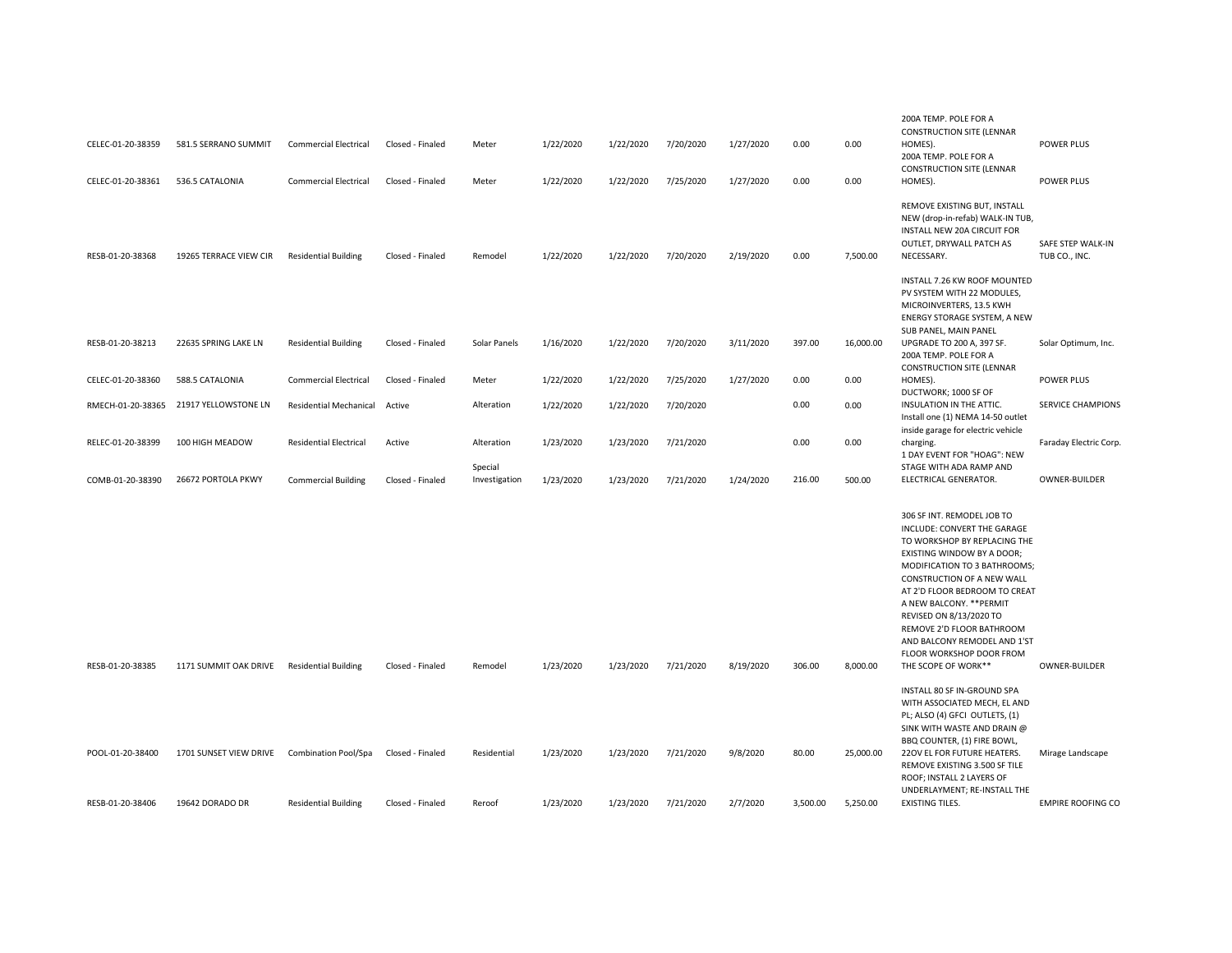| CELEC-01-20-38359 | 581.5 SERRANO SUMMIT                        | <b>Commercial Electrical</b>  | Closed - Finaled | Meter                    | 1/22/2020 | 1/22/2020 | 7/20/2020 | 1/27/2020 | 0.00     | 0.00      | 200A TEMP. POLE FOR A<br><b>CONSTRUCTION SITE (LENNAR</b><br>HOMES).<br>200A TEMP. POLE FOR A                                                                                                                                                                                                                                                                                                 | POWER PLUS                         |
|-------------------|---------------------------------------------|-------------------------------|------------------|--------------------------|-----------|-----------|-----------|-----------|----------|-----------|-----------------------------------------------------------------------------------------------------------------------------------------------------------------------------------------------------------------------------------------------------------------------------------------------------------------------------------------------------------------------------------------------|------------------------------------|
| CELEC-01-20-38361 | 536.5 CATALONIA                             | <b>Commercial Electrical</b>  | Closed - Finaled | Meter                    | 1/22/2020 | 1/22/2020 | 7/25/2020 | 1/27/2020 | 0.00     | 0.00      | <b>CONSTRUCTION SITE (LENNAR</b><br>HOMES).                                                                                                                                                                                                                                                                                                                                                   | POWER PLUS                         |
| RESB-01-20-38368  | 19265 TERRACE VIEW CIR                      | <b>Residential Building</b>   | Closed - Finaled | Remodel                  | 1/22/2020 | 1/22/2020 | 7/20/2020 | 2/19/2020 | 0.00     | 7,500.00  | REMOVE EXISTING BUT, INSTALL<br>NEW (drop-in-refab) WALK-IN TUB,<br>INSTALL NEW 20A CIRCUIT FOR<br>OUTLET, DRYWALL PATCH AS<br>NECESSARY.                                                                                                                                                                                                                                                     | SAFE STEP WALK-IN<br>TUB CO., INC. |
|                   |                                             |                               |                  |                          |           |           |           |           |          |           | INSTALL 7.26 KW ROOF MOUNTED<br>PV SYSTEM WITH 22 MODULES,<br>MICROINVERTERS, 13.5 KWH<br><b>ENERGY STORAGE SYSTEM, A NEW</b><br>SUB PANEL, MAIN PANEL                                                                                                                                                                                                                                        |                                    |
| RESB-01-20-38213  | 22635 SPRING LAKE LN                        | <b>Residential Building</b>   | Closed - Finaled | Solar Panels             | 1/16/2020 | 1/22/2020 | 7/20/2020 | 3/11/2020 | 397.00   | 16,000.00 | UPGRADE TO 200 A, 397 SF.<br>200A TEMP. POLE FOR A<br><b>CONSTRUCTION SITE (LENNAR</b>                                                                                                                                                                                                                                                                                                        | Solar Optimum, Inc.                |
| CELEC-01-20-38360 | 588.5 CATALONIA                             | <b>Commercial Electrical</b>  | Closed - Finaled | Meter                    | 1/22/2020 | 1/22/2020 | 7/25/2020 | 1/27/2020 | 0.00     | 0.00      | HOMES).<br>DUCTWORK; 1000 SF OF                                                                                                                                                                                                                                                                                                                                                               | POWER PLUS                         |
| RMECH-01-20-38365 | 21917 YELLOWSTONE LN                        | <b>Residential Mechanical</b> | Active           | Alteration               | 1/22/2020 | 1/22/2020 | 7/20/2020 |           | 0.00     | 0.00      | INSULATION IN THE ATTIC.<br>Install one (1) NEMA 14-50 outlet<br>inside garage for electric vehicle                                                                                                                                                                                                                                                                                           | <b>SERVICE CHAMPIONS</b>           |
| RELEC-01-20-38399 | 100 HIGH MEADOW                             | <b>Residential Electrical</b> | Active           | Alteration               | 1/23/2020 | 1/23/2020 | 7/21/2020 |           | 0.00     | 0.00      | charging.<br>1 DAY EVENT FOR "HOAG": NEW                                                                                                                                                                                                                                                                                                                                                      | Faraday Electric Corp.             |
| COMB-01-20-38390  | 26672 PORTOLA PKWY                          | <b>Commercial Building</b>    | Closed - Finaled | Special<br>Investigation | 1/23/2020 | 1/23/2020 | 7/21/2020 | 1/24/2020 | 216.00   | 500.00    | STAGE WITH ADA RAMP AND<br>ELECTRICAL GENERATOR.                                                                                                                                                                                                                                                                                                                                              | OWNER-BUILDER                      |
| RESB-01-20-38385  | 1171 SUMMIT OAK DRIVE                       | <b>Residential Building</b>   | Closed - Finaled | Remodel                  | 1/23/2020 | 1/23/2020 | 7/21/2020 | 8/19/2020 | 306.00   | 8,000.00  | 306 SF INT. REMODEL JOB TO<br>INCLUDE: CONVERT THE GARAGE<br>TO WORKSHOP BY REPLACING THE<br>EXISTING WINDOW BY A DOOR;<br>MODIFICATION TO 3 BATHROOMS;<br>CONSTRUCTION OF A NEW WALL<br>AT 2'D FLOOR BEDROOM TO CREAT<br>A NEW BALCONY. ** PERMIT<br>REVISED ON 8/13/2020 TO<br>REMOVE 2'D FLOOR BATHROOM<br>AND BALCONY REMODEL AND 1'ST<br>FLOOR WORKSHOP DOOR FROM<br>THE SCOPE OF WORK** | OWNER-BUILDER                      |
|                   |                                             |                               |                  |                          |           |           |           |           |          |           | INSTALL 80 SF IN-GROUND SPA<br>WITH ASSOCIATED MECH, EL AND<br>PL; ALSO (4) GFCI OUTLETS, (1)<br>SINK WITH WASTE AND DRAIN @<br>BBQ COUNTER, (1) FIRE BOWL,                                                                                                                                                                                                                                   |                                    |
| POOL-01-20-38400  | 1701 SUNSET VIEW DRIVE Combination Pool/Spa |                               | Closed - Finaled | Residential              | 1/23/2020 | 1/23/2020 | 7/21/2020 | 9/8/2020  | 80.00    | 25,000.00 | 22OV EL FOR FUTURE HEATERS.<br>REMOVE EXISTING 3.500 SF TILE<br>ROOF; INSTALL 2 LAYERS OF<br>UNDERLAYMENT; RE-INSTALL THE                                                                                                                                                                                                                                                                     | Mirage Landscape                   |
| RESB-01-20-38406  | 19642 DORADO DR                             | <b>Residential Building</b>   | Closed - Finaled | Reroof                   | 1/23/2020 | 1/23/2020 | 7/21/2020 | 2/7/2020  | 3,500.00 | 5,250.00  | <b>EXISTING TILES.</b>                                                                                                                                                                                                                                                                                                                                                                        | <b>EMPIRE ROOFING CO</b>           |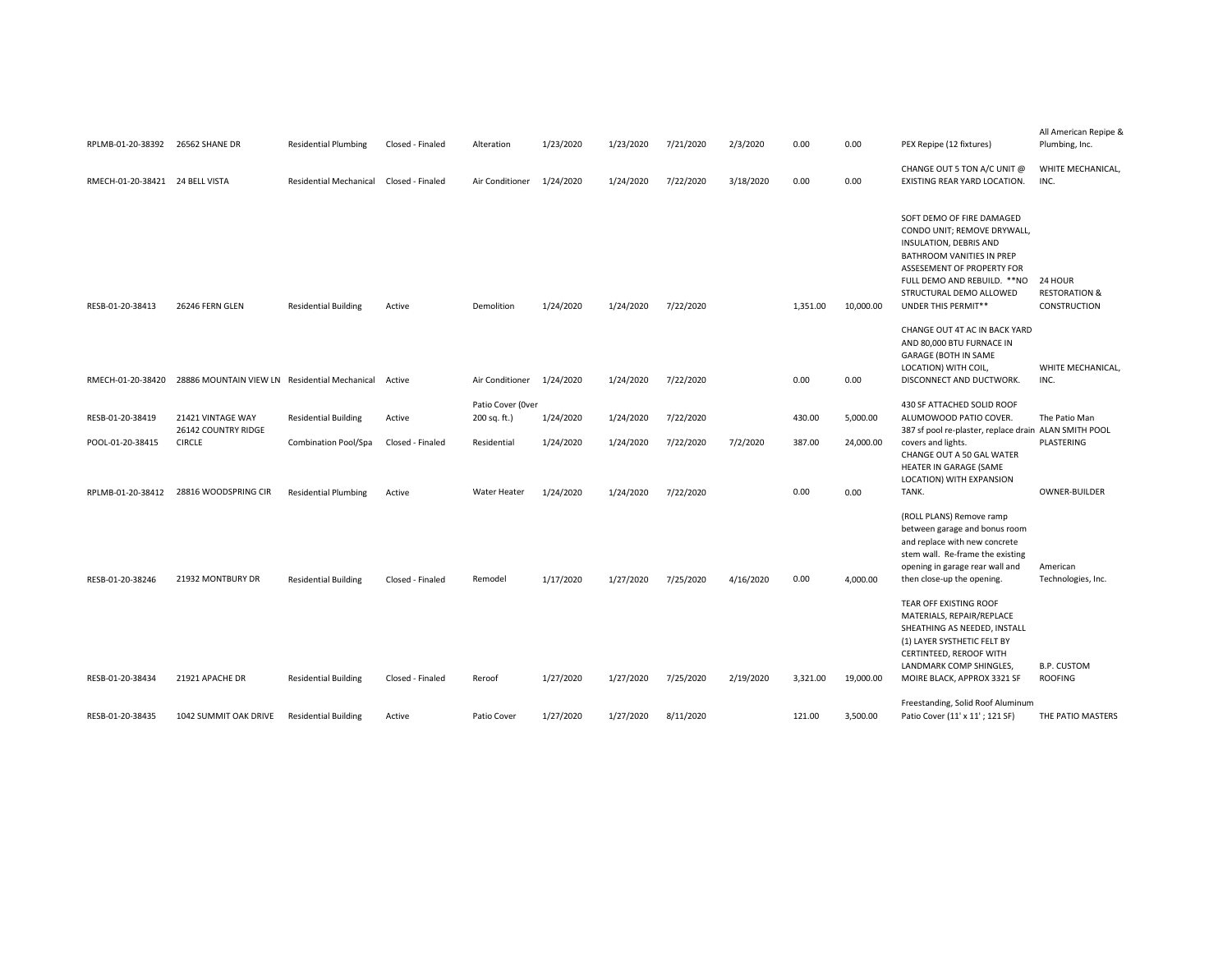| RPLMB-01-20-38392               | 26562 SHANE DR                                       | <b>Residential Plumbing</b>   | Closed - Finaled | Alteration                        | 1/23/2020 | 1/23/2020 | 7/21/2020 | 2/3/2020  | 0.00     | 0.00      | PEX Repipe (12 fixtures)                                                                                                                                                                                                        | All American Repipe &<br>Plumbing, Inc.             |
|---------------------------------|------------------------------------------------------|-------------------------------|------------------|-----------------------------------|-----------|-----------|-----------|-----------|----------|-----------|---------------------------------------------------------------------------------------------------------------------------------------------------------------------------------------------------------------------------------|-----------------------------------------------------|
| RMECH-01-20-38421 24 BELL VISTA |                                                      | <b>Residential Mechanical</b> | Closed - Finaled | Air Conditioner                   | 1/24/2020 | 1/24/2020 | 7/22/2020 | 3/18/2020 | 0.00     | 0.00      | CHANGE OUT 5 TON A/C UNIT @<br>EXISTING REAR YARD LOCATION.                                                                                                                                                                     | WHITE MECHANICAL,<br>INC.                           |
| RESB-01-20-38413                | 26246 FERN GLEN                                      | <b>Residential Building</b>   | Active           | Demolition                        | 1/24/2020 | 1/24/2020 | 7/22/2020 |           | 1,351.00 | 10,000.00 | SOFT DEMO OF FIRE DAMAGED<br>CONDO UNIT; REMOVE DRYWALL,<br>INSULATION, DEBRIS AND<br>BATHROOM VANITIES IN PREP<br>ASSESEMENT OF PROPERTY FOR<br>FULL DEMO AND REBUILD. ** NO<br>STRUCTURAL DEMO ALLOWED<br>UNDER THIS PERMIT** | 24 HOUR<br><b>RESTORATION &amp;</b><br>CONSTRUCTION |
| RMECH-01-20-38420               | 28886 MOUNTAIN VIEW LN Residential Mechanical Active |                               |                  | Air Conditioner                   | 1/24/2020 | 1/24/2020 | 7/22/2020 |           | 0.00     | 0.00      | CHANGE OUT 4T AC IN BACK YARD<br>AND 80,000 BTU FURNACE IN<br>GARAGE (BOTH IN SAME<br>LOCATION) WITH COIL,<br>DISCONNECT AND DUCTWORK.                                                                                          | WHITE MECHANICAL,<br>INC.                           |
| RESB-01-20-38419                | 21421 VINTAGE WAY<br>26142 COUNTRY RIDGE             | <b>Residential Building</b>   | Active           | Patio Cover (Over<br>200 sq. ft.) | 1/24/2020 | 1/24/2020 | 7/22/2020 |           | 430.00   | 5,000.00  | 430 SF ATTACHED SOLID ROOF<br>ALUMOWOOD PATIO COVER.<br>387 sf pool re-plaster, replace drain ALAN SMITH POOL                                                                                                                   | The Patio Man                                       |
| POOL-01-20-38415                | <b>CIRCLE</b>                                        | Combination Pool/Spa          | Closed - Finaled | Residential                       | 1/24/2020 | 1/24/2020 | 7/22/2020 | 7/2/2020  | 387.00   | 24,000.00 | covers and lights.<br>CHANGE OUT A 50 GAL WATER<br>HEATER IN GARAGE (SAME<br>LOCATION) WITH EXPANSION                                                                                                                           | PLASTERING                                          |
| RPLMB-01-20-38412               | 28816 WOODSPRING CIR                                 | <b>Residential Plumbing</b>   | Active           | Water Heater                      | 1/24/2020 | 1/24/2020 | 7/22/2020 |           | 0.00     | 0.00      | TANK.                                                                                                                                                                                                                           | OWNER-BUILDER                                       |
| RESB-01-20-38246                | 21932 MONTBURY DR                                    | <b>Residential Building</b>   | Closed - Finaled | Remodel                           | 1/17/2020 | 1/27/2020 | 7/25/2020 | 4/16/2020 | 0.00     | 4,000.00  | (ROLL PLANS) Remove ramp<br>between garage and bonus room<br>and replace with new concrete<br>stem wall. Re-frame the existing<br>opening in garage rear wall and<br>then close-up the opening.                                 | American<br>Technologies, Inc.                      |
| RESB-01-20-38434                | 21921 APACHE DR                                      | <b>Residential Building</b>   | Closed - Finaled | Reroof                            | 1/27/2020 | 1/27/2020 | 7/25/2020 | 2/19/2020 | 3,321.00 | 19,000.00 | TEAR OFF EXISTING ROOF<br>MATERIALS, REPAIR/REPLACE<br>SHEATHING AS NEEDED, INSTALL<br>(1) LAYER SYSTHETIC FELT BY<br>CERTINTEED, REROOF WITH<br>LANDMARK COMP SHINGLES,<br>MOIRE BLACK, APPROX 3321 SF                         | <b>B.P. CUSTOM</b><br><b>ROOFING</b>                |
| RESB-01-20-38435                | 1042 SUMMIT OAK DRIVE                                | <b>Residential Building</b>   | Active           | Patio Cover                       | 1/27/2020 | 1/27/2020 | 8/11/2020 |           | 121.00   | 3,500.00  | Freestanding, Solid Roof Aluminum<br>Patio Cover (11' x 11'; 121 SF)                                                                                                                                                            | THE PATIO MASTERS                                   |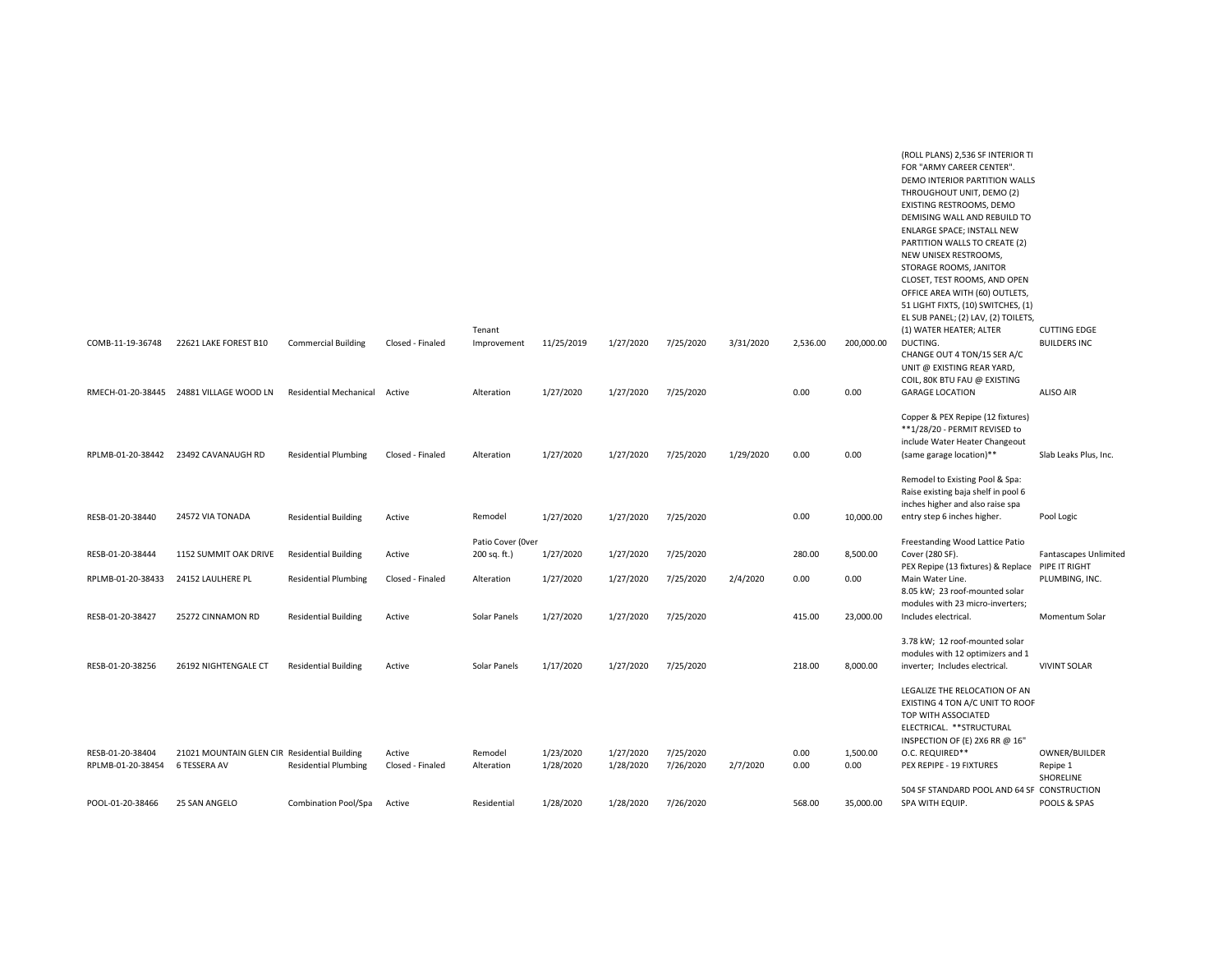| COMB-11-19-36748                      | 22621 LAKE FOREST B10                                        | <b>Commercial Building</b>    | Closed - Finaled           | Tenant<br>Improvement             | 11/25/2019             | 1/27/2020              | 7/25/2020              | 3/31/2020 | 2,536.00     | 200,000.00       | THROUGHOUT UNIT, DEMO (2)<br>EXISTING RESTROOMS, DEMO<br>DEMISING WALL AND REBUILD TO<br><b>ENLARGE SPACE; INSTALL NEW</b><br>PARTITION WALLS TO CREATE (2)<br>NEW UNISEX RESTROOMS,<br>STORAGE ROOMS, JANITOR<br>CLOSET, TEST ROOMS, AND OPEN<br>OFFICE AREA WITH (60) OUTLETS,<br>51 LIGHT FIXTS, (10) SWITCHES, (1)<br>EL SUB PANEL; (2) LAV, (2) TOILETS,<br>(1) WATER HEATER; ALTER<br>DUCTING.<br>CHANGE OUT 4 TON/15 SER A/C<br>UNIT @ EXISTING REAR YARD, | <b>CUTTING EDGE</b><br><b>BUILDERS INC</b> |
|---------------------------------------|--------------------------------------------------------------|-------------------------------|----------------------------|-----------------------------------|------------------------|------------------------|------------------------|-----------|--------------|------------------|-------------------------------------------------------------------------------------------------------------------------------------------------------------------------------------------------------------------------------------------------------------------------------------------------------------------------------------------------------------------------------------------------------------------------------------------------------------------|--------------------------------------------|
| RMECH-01-20-38445                     | 24881 VILLAGE WOOD LN                                        | <b>Residential Mechanical</b> | Active                     | Alteration                        | 1/27/2020              | 1/27/2020              | 7/25/2020              |           | 0.00         | 0.00             | COIL, 80K BTU FAU @ EXISTING<br><b>GARAGE LOCATION</b>                                                                                                                                                                                                                                                                                                                                                                                                            | <b>ALISO AIR</b>                           |
| RPLMB-01-20-38442                     | 23492 CAVANAUGH RD                                           | <b>Residential Plumbing</b>   | Closed - Finaled           | Alteration                        | 1/27/2020              | 1/27/2020              | 7/25/2020              | 1/29/2020 | 0.00         | 0.00             | Copper & PEX Repipe (12 fixtures)<br>**1/28/20 - PERMIT REVISED to<br>include Water Heater Changeout<br>(same garage location)**<br>Remodel to Existing Pool & Spa:                                                                                                                                                                                                                                                                                               | Slab Leaks Plus, Inc.                      |
| RESB-01-20-38440                      | 24572 VIA TONADA                                             | <b>Residential Building</b>   | Active                     | Remodel                           | 1/27/2020              | 1/27/2020              | 7/25/2020              |           | 0.00         | 10,000.00        | Raise existing baja shelf in pool 6<br>inches higher and also raise spa<br>entry step 6 inches higher.                                                                                                                                                                                                                                                                                                                                                            | Pool Logic                                 |
| RESB-01-20-38444                      | 1152 SUMMIT OAK DRIVE                                        | <b>Residential Building</b>   | Active                     | Patio Cover (Over<br>200 sq. ft.) | 1/27/2020              | 1/27/2020              | 7/25/2020              |           | 280.00       | 8,500.00         | Freestanding Wood Lattice Patio<br>Cover (280 SF).                                                                                                                                                                                                                                                                                                                                                                                                                | Fantascapes Unlimited                      |
| RPLMB-01-20-38433                     | 24152 LAULHERE PL                                            | <b>Residential Plumbing</b>   | Closed - Finaled           | Alteration                        | 1/27/2020              | 1/27/2020              | 7/25/2020              | 2/4/2020  | 0.00         | 0.00             | PEX Repipe (13 fixtures) & Replace PIPE IT RIGHT<br>Main Water Line.<br>8.05 kW; 23 roof-mounted solar                                                                                                                                                                                                                                                                                                                                                            | PLUMBING, INC.                             |
| RESB-01-20-38427                      | 25272 CINNAMON RD                                            | <b>Residential Building</b>   | Active                     | Solar Panels                      | 1/27/2020              | 1/27/2020              | 7/25/2020              |           | 415.00       | 23,000.00        | modules with 23 micro-inverters;<br>Includes electrical.                                                                                                                                                                                                                                                                                                                                                                                                          | Momentum Solar                             |
| RESB-01-20-38256                      | 26192 NIGHTENGALE CT                                         | <b>Residential Building</b>   | Active                     | Solar Panels                      | 1/17/2020              | 1/27/2020              | 7/25/2020              |           | 218.00       | 8,000.00         | 3.78 kW; 12 roof-mounted solar<br>modules with 12 optimizers and 1<br>inverter; Includes electrical.                                                                                                                                                                                                                                                                                                                                                              | <b>VIVINT SOLAR</b>                        |
|                                       |                                                              |                               |                            |                                   |                        |                        |                        |           |              |                  | LEGALIZE THE RELOCATION OF AN<br>EXISTING 4 TON A/C UNIT TO ROOF<br>TOP WITH ASSOCIATED<br>ELECTRICAL. ** STRUCTURAL<br>INSPECTION OF (E) 2X6 RR @ 16"                                                                                                                                                                                                                                                                                                            |                                            |
| RESB-01-20-38404<br>RPLMB-01-20-38454 | 21021 MOUNTAIN GLEN CIR Residential Building<br>6 TESSERA AV | <b>Residential Plumbing</b>   | Active<br>Closed - Finaled | Remodel<br>Alteration             | 1/23/2020<br>1/28/2020 | 1/27/2020<br>1/28/2020 | 7/25/2020<br>7/26/2020 | 2/7/2020  | 0.00<br>0.00 | 1,500.00<br>0.00 | O.C. REQUIRED**<br>PEX REPIPE - 19 FIXTURES                                                                                                                                                                                                                                                                                                                                                                                                                       | OWNER/BUILDER<br>Repipe 1<br>SHORELINE     |
| POOL-01-20-38466                      | 25 SAN ANGELO                                                | Combination Pool/Spa          | Active                     | Residential                       | 1/28/2020              | 1/28/2020              | 7/26/2020              |           | 568.00       | 35.000.00        | 504 SF STANDARD POOL AND 64 SF CONSTRUCTION<br>SPA WITH EQUIP.                                                                                                                                                                                                                                                                                                                                                                                                    | POOLS & SPAS                               |

(ROLL PLANS) 2,536 SF INTERIOR TI FOR "ARMY CAREER CENTER". DEMO INTERIOR PARTITION WALLS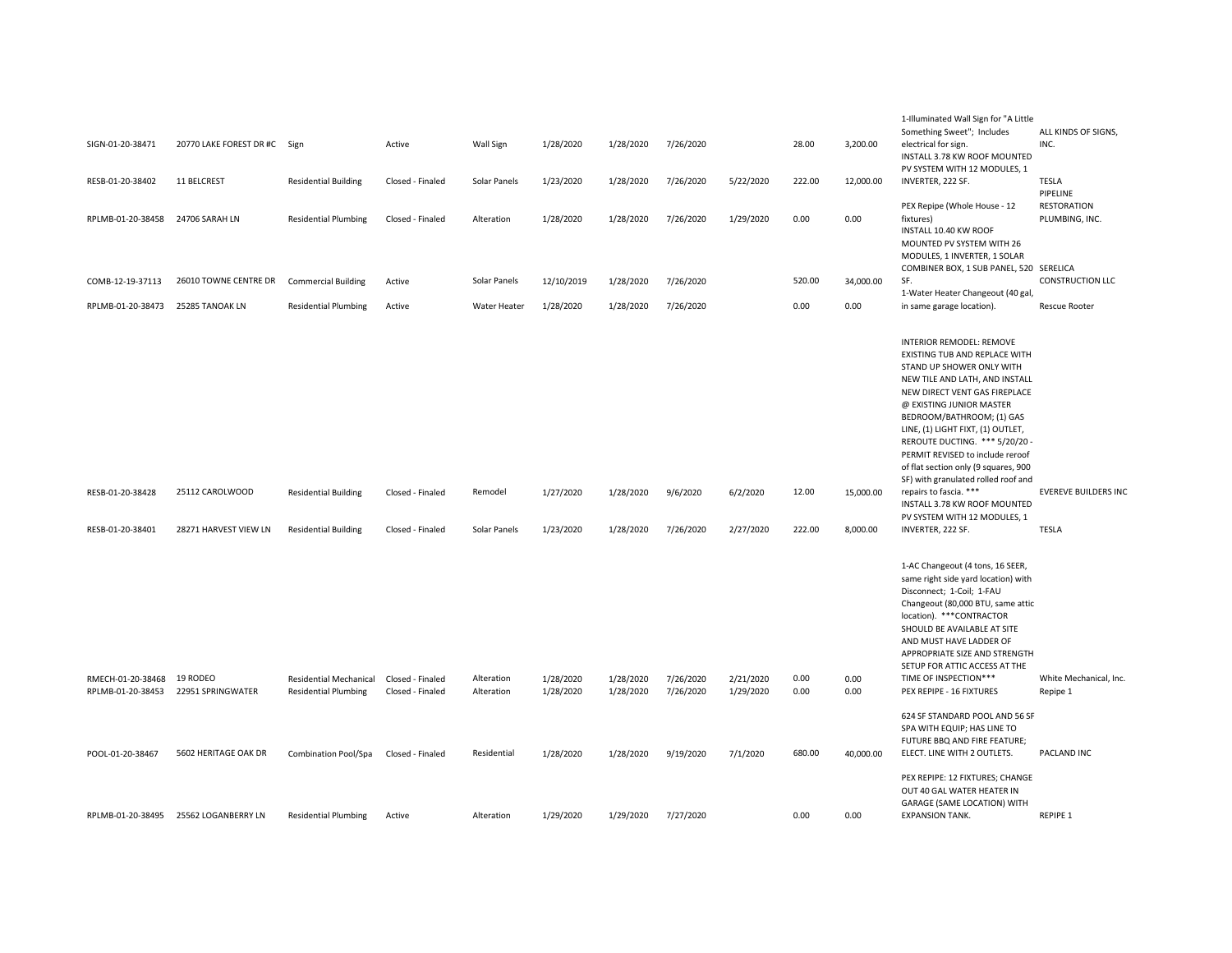|                                        |                               |                                                              |                                      |                          |                        |                        |                        |                        |              |              | 1-Illuminated Wall Sign for "A Little                                                                                                                                                                                                                                                                                                                                        |                                    |
|----------------------------------------|-------------------------------|--------------------------------------------------------------|--------------------------------------|--------------------------|------------------------|------------------------|------------------------|------------------------|--------------|--------------|------------------------------------------------------------------------------------------------------------------------------------------------------------------------------------------------------------------------------------------------------------------------------------------------------------------------------------------------------------------------------|------------------------------------|
| SIGN-01-20-38471                       | 20770 LAKE FOREST DR #C Sign  |                                                              | Active                               | Wall Sign                | 1/28/2020              | 1/28/2020              | 7/26/2020              |                        | 28.00        | 3,200.00     | Something Sweet"; Includes<br>electrical for sign.<br>INSTALL 3.78 KW ROOF MOUNTED                                                                                                                                                                                                                                                                                           | ALL KINDS OF SIGNS,<br>INC.        |
| RESB-01-20-38402                       | 11 BELCREST                   | <b>Residential Building</b>                                  | Closed - Finaled                     | Solar Panels             | 1/23/2020              | 1/28/2020              | 7/26/2020              | 5/22/2020              | 222.00       | 12,000.00    | PV SYSTEM WITH 12 MODULES, 1<br>INVERTER, 222 SF.                                                                                                                                                                                                                                                                                                                            | TESLA<br>PIPELINE                  |
| RPLMB-01-20-38458                      | 24706 SARAH LN                | <b>Residential Plumbing</b>                                  | Closed - Finaled                     | Alteration               | 1/28/2020              | 1/28/2020              | 7/26/2020              | 1/29/2020              | 0.00         | 0.00         | PEX Repipe (Whole House - 12<br>fixtures)<br>INSTALL 10.40 KW ROOF<br>MOUNTED PV SYSTEM WITH 26<br>MODULES, 1 INVERTER, 1 SOLAR                                                                                                                                                                                                                                              | RESTORATION<br>PLUMBING, INC.      |
| COMB-12-19-37113                       | 26010 TOWNE CENTRE DR         | <b>Commercial Building</b>                                   | Active                               | Solar Panels             | 12/10/2019             | 1/28/2020              | 7/26/2020              |                        | 520.00       | 34,000.00    | COMBINER BOX, 1 SUB PANEL, 520 SERELICA<br>SF.                                                                                                                                                                                                                                                                                                                               | <b>CONSTRUCTION LLC</b>            |
| RPLMB-01-20-38473                      | 25285 TANOAK LN               | <b>Residential Plumbing</b>                                  | Active                               | Water Heater             | 1/28/2020              | 1/28/2020              | 7/26/2020              |                        | 0.00         | 0.00         | 1-Water Heater Changeout (40 gal,<br>in same garage location).                                                                                                                                                                                                                                                                                                               | <b>Rescue Rooter</b>               |
|                                        |                               |                                                              |                                      |                          |                        |                        |                        |                        |              |              | <b>INTERIOR REMODEL: REMOVE</b><br>EXISTING TUB AND REPLACE WITH<br>STAND UP SHOWER ONLY WITH<br>NEW TILE AND LATH, AND INSTALL<br>NEW DIRECT VENT GAS FIREPLACE<br>@ EXISTING JUNIOR MASTER<br>BEDROOM/BATHROOM; (1) GAS<br>LINE, (1) LIGHT FIXT, (1) OUTLET,<br>REROUTE DUCTING. *** 5/20/20 -<br>PERMIT REVISED to include reroof<br>of flat section only (9 squares, 900 |                                    |
| RESB-01-20-38428                       | 25112 CAROLWOOD               | <b>Residential Building</b>                                  | Closed - Finaled                     | Remodel                  | 1/27/2020              | 1/28/2020              | 9/6/2020               | 6/2/2020               | 12.00        | 15,000.00    | SF) with granulated rolled roof and<br>repairs to fascia. ***<br>INSTALL 3.78 KW ROOF MOUNTED<br>PV SYSTEM WITH 12 MODULES, 1                                                                                                                                                                                                                                                | <b>EVEREVE BUILDERS INC</b>        |
| RESB-01-20-38401                       | 28271 HARVEST VIEW LN         | <b>Residential Building</b>                                  | Closed - Finaled                     | Solar Panels             | 1/23/2020              | 1/28/2020              | 7/26/2020              | 2/27/2020              | 222.00       | 8,000.00     | INVERTER, 222 SF.                                                                                                                                                                                                                                                                                                                                                            | <b>TESLA</b>                       |
| RMECH-01-20-38468<br>RPLMB-01-20-38453 | 19 RODEO<br>22951 SPRINGWATER | <b>Residential Mechanical</b><br><b>Residential Plumbing</b> | Closed - Finaled<br>Closed - Finaled | Alteration<br>Alteration | 1/28/2020<br>1/28/2020 | 1/28/2020<br>1/28/2020 | 7/26/2020<br>7/26/2020 | 2/21/2020<br>1/29/2020 | 0.00<br>0.00 | 0.00<br>0.00 | 1-AC Changeout (4 tons, 16 SEER,<br>same right side yard location) with<br>Disconnect; 1-Coil; 1-FAU<br>Changeout (80,000 BTU, same attic<br>location). *** CONTRACTOR<br>SHOULD BE AVAILABLE AT SITE<br>AND MUST HAVE LADDER OF<br>APPROPRIATE SIZE AND STRENGTH<br>SETUP FOR ATTIC ACCESS AT THE<br>TIME OF INSPECTION***<br>PEX REPIPE - 16 FIXTURES                      | White Mechanical, Inc.<br>Repipe 1 |
| POOL-01-20-38467                       | 5602 HERITAGE OAK DR          | <b>Combination Pool/Spa</b>                                  | Closed - Finaled                     | Residential              | 1/28/2020              | 1/28/2020              | 9/19/2020              | 7/1/2020               | 680.00       | 40,000.00    | 624 SF STANDARD POOL AND 56 SF<br>SPA WITH EQUIP; HAS LINE TO<br>FUTURE BBQ AND FIRE FEATURE;<br>ELECT. LINE WITH 2 OUTLETS.                                                                                                                                                                                                                                                 | PACLAND INC                        |
| RPLMB-01-20-38495                      | 25562 LOGANBERRY LN           | <b>Residential Plumbing</b>                                  | Active                               | Alteration               | 1/29/2020              | 1/29/2020              | 7/27/2020              |                        | 0.00         | 0.00         | PEX REPIPE: 12 FIXTURES; CHANGE<br>OUT 40 GAL WATER HEATER IN<br>GARAGE (SAME LOCATION) WITH<br><b>EXPANSION TANK.</b>                                                                                                                                                                                                                                                       | REPIPE 1                           |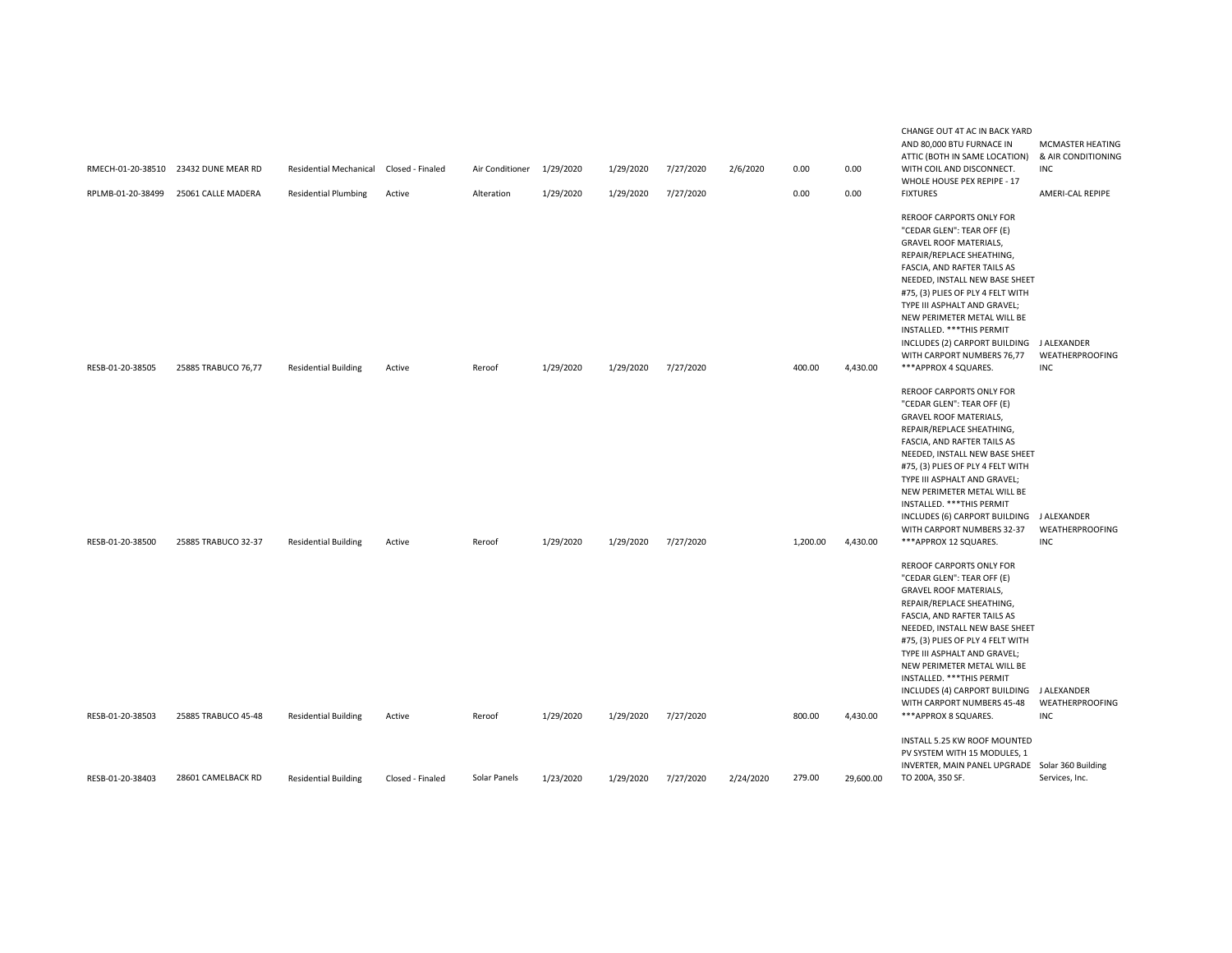| RPLMB-01-20-38499 | RMECH-01-20-38510 23432 DUNE MEAR RD<br>25061 CALLE MADERA | Residential Mechanical Closed - Finaled<br><b>Residential Plumbing</b> | Active           | Air Conditioner 1/29/2020<br>Alteration | 1/29/2020 | 1/29/2020<br>1/29/2020 | 7/27/2020<br>7/27/2020 | 2/6/2020  | 0.00<br>0.00 | 0.00<br>0.00 | ATTIC (BOTH IN SAME LOCATION)<br>WITH COIL AND DISCONNECT.<br>WHOLE HOUSE PEX REPIPE - 17<br><b>FIXTURES</b>                                                                                                                                                                                                                                                                                                                       | & AIR CONDITIONING<br>INC<br>AMERI-CAL REPIPE |
|-------------------|------------------------------------------------------------|------------------------------------------------------------------------|------------------|-----------------------------------------|-----------|------------------------|------------------------|-----------|--------------|--------------|------------------------------------------------------------------------------------------------------------------------------------------------------------------------------------------------------------------------------------------------------------------------------------------------------------------------------------------------------------------------------------------------------------------------------------|-----------------------------------------------|
|                   |                                                            |                                                                        |                  |                                         |           |                        |                        |           |              |              | <b>REROOF CARPORTS ONLY FOR</b><br>"CEDAR GLEN": TEAR OFF (E)<br><b>GRAVEL ROOF MATERIALS,</b><br>REPAIR/REPLACE SHEATHING,<br>FASCIA, AND RAFTER TAILS AS<br>NEEDED, INSTALL NEW BASE SHEET<br>#75, (3) PLIES OF PLY 4 FELT WITH<br>TYPE III ASPHALT AND GRAVEL;<br>NEW PERIMETER METAL WILL BE<br>INSTALLED. *** THIS PERMIT<br>INCLUDES (2) CARPORT BUILDING J ALEXANDER<br>WITH CARPORT NUMBERS 76,77                          | <b>WEATHERPROOFING</b>                        |
| RESB-01-20-38505  | 25885 TRABUCO 76,77                                        | <b>Residential Building</b>                                            | Active           | Reroof                                  | 1/29/2020 | 1/29/2020              | 7/27/2020              |           | 400.00       | 4,430.00     | ***APPROX 4 SQUARES.                                                                                                                                                                                                                                                                                                                                                                                                               | INC                                           |
| RESB-01-20-38500  | 25885 TRABUCO 32-37                                        | <b>Residential Building</b>                                            | Active           | Reroof                                  | 1/29/2020 | 1/29/2020              | 7/27/2020              |           | 1,200.00     | 4,430.00     | <b>REROOF CARPORTS ONLY FOR</b><br>"CEDAR GLEN": TEAR OFF (E)<br><b>GRAVEL ROOF MATERIALS,</b><br>REPAIR/REPLACE SHEATHING,<br>FASCIA, AND RAFTER TAILS AS<br>NEEDED, INSTALL NEW BASE SHEET<br>#75, (3) PLIES OF PLY 4 FELT WITH<br>TYPE III ASPHALT AND GRAVEL;<br>NEW PERIMETER METAL WILL BE<br>INSTALLED. *** THIS PERMIT<br>INCLUDES (6) CARPORT BUILDING J ALEXANDER<br>WITH CARPORT NUMBERS 32-37<br>***APPROX 12 SQUARES. | <b>WEATHERPROOFING</b><br>INC                 |
|                   |                                                            |                                                                        |                  |                                         |           |                        |                        |           |              |              | <b>REROOF CARPORTS ONLY FOR</b><br>"CEDAR GLEN": TEAR OFF (E)<br><b>GRAVEL ROOF MATERIALS,</b><br>REPAIR/REPLACE SHEATHING,<br>FASCIA, AND RAFTER TAILS AS<br>NEEDED, INSTALL NEW BASE SHEET<br>#75, (3) PLIES OF PLY 4 FELT WITH<br>TYPE III ASPHALT AND GRAVEL;<br>NEW PERIMETER METAL WILL BE<br>INSTALLED. *** THIS PERMIT<br>INCLUDES (4) CARPORT BUILDING J ALEXANDER<br>WITH CARPORT NUMBERS 45-48                          | <b>WEATHERPROOFING</b>                        |
| RESB-01-20-38503  | 25885 TRABUCO 45-48                                        | <b>Residential Building</b>                                            | Active           | Reroof                                  | 1/29/2020 | 1/29/2020              | 7/27/2020              |           | 800.00       | 4,430.00     | ***APPROX 8 SQUARES.                                                                                                                                                                                                                                                                                                                                                                                                               | INC                                           |
| RESB-01-20-38403  | 28601 CAMELBACK RD                                         | <b>Residential Building</b>                                            | Closed - Finaled | Solar Panels                            | 1/23/2020 | 1/29/2020              | 7/27/2020              | 2/24/2020 | 279.00       | 29,600.00    | INSTALL 5.25 KW ROOF MOUNTED<br>PV SYSTEM WITH 15 MODULES, 1<br>INVERTER, MAIN PANEL UPGRADE Solar 360 Building<br>TO 200A, 350 SF.                                                                                                                                                                                                                                                                                                | Services, Inc.                                |

CHANGE OUT 4T AC IN BACK YARD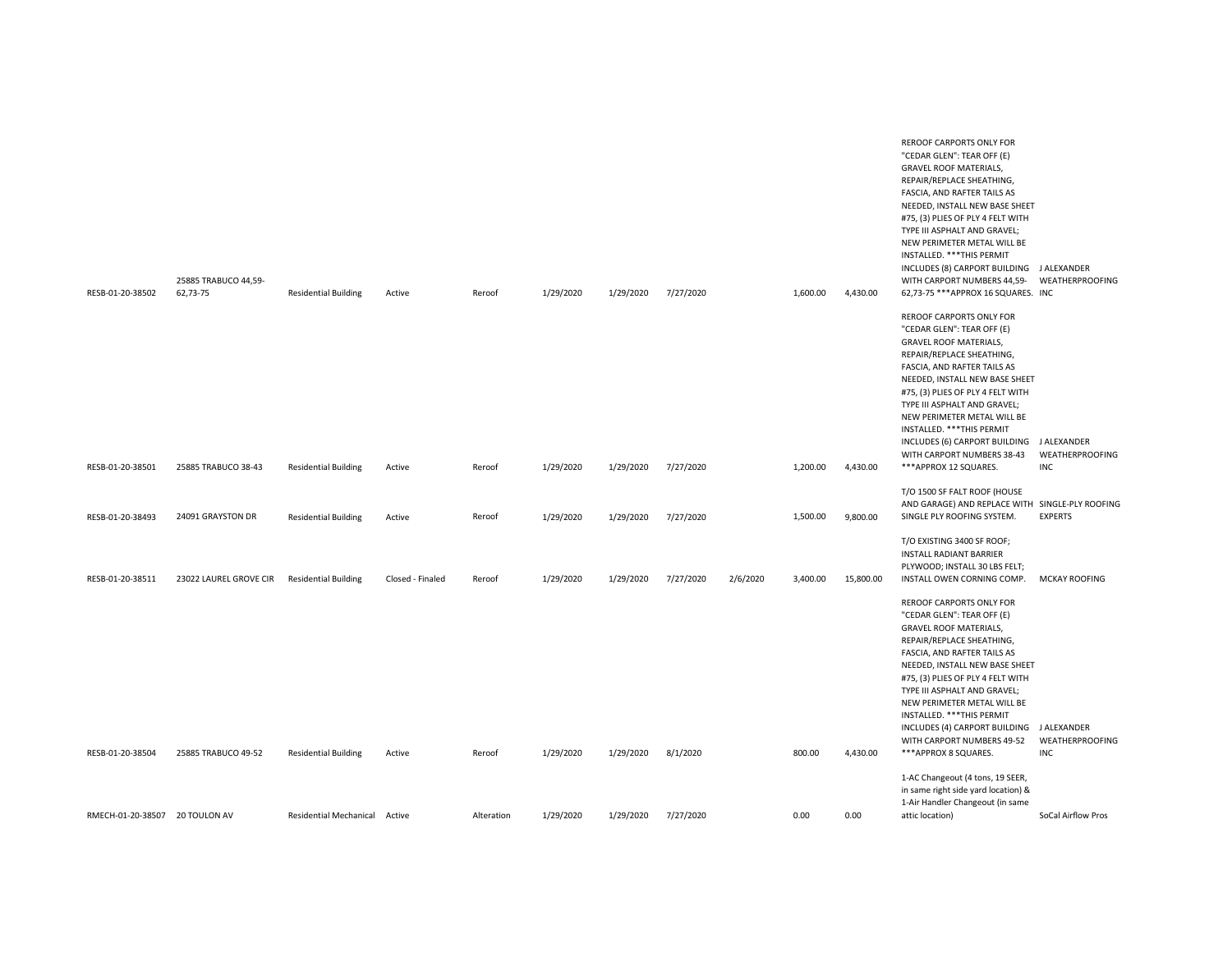| RESB-01-20-38502               | 25885 TRABUCO 44,59-<br>62,73-75 | <b>Residential Building</b>   | Active           | Reroof     | 1/29/2020 | 1/29/2020 | 7/27/2020 |          | 1,600.00 | 4,430.00  | REROOF CARPORTS ONLY FOR<br>"CEDAR GLEN": TEAR OFF (E)<br><b>GRAVEL ROOF MATERIALS,</b><br>REPAIR/REPLACE SHEATHING,<br>FASCIA, AND RAFTER TAILS AS<br>NEEDED, INSTALL NEW BASE SHEET<br>#75, (3) PLIES OF PLY 4 FELT WITH<br>TYPE III ASPHALT AND GRAVEL;<br>NEW PERIMETER METAL WILL BE<br>INSTALLED. *** THIS PERMIT<br>INCLUDES (8) CARPORT BUILDING J ALEXANDER<br>WITH CARPORT NUMBERS 44,59-<br>62,73-75 *** APPROX 16 SQUARES. INC<br>REROOF CARPORTS ONLY FOR | WEATHERPROOFING               |
|--------------------------------|----------------------------------|-------------------------------|------------------|------------|-----------|-----------|-----------|----------|----------|-----------|------------------------------------------------------------------------------------------------------------------------------------------------------------------------------------------------------------------------------------------------------------------------------------------------------------------------------------------------------------------------------------------------------------------------------------------------------------------------|-------------------------------|
| RESB-01-20-38501               | 25885 TRABUCO 38-43              | <b>Residential Building</b>   | Active           | Reroof     | 1/29/2020 | 1/29/2020 | 7/27/2020 |          | 1,200.00 | 4,430.00  | "CEDAR GLEN": TEAR OFF (E)<br><b>GRAVEL ROOF MATERIALS,</b><br>REPAIR/REPLACE SHEATHING,<br>FASCIA, AND RAFTER TAILS AS<br>NEEDED, INSTALL NEW BASE SHEET<br>#75, (3) PLIES OF PLY 4 FELT WITH<br>TYPE III ASPHALT AND GRAVEL;<br>NEW PERIMETER METAL WILL BE<br>INSTALLED. *** THIS PERMIT<br>INCLUDES (6) CARPORT BUILDING J ALEXANDER<br>WITH CARPORT NUMBERS 38-43<br>***APPROX 12 SQUARES.                                                                        | <b>WEATHERPROOFING</b><br>INC |
| RESB-01-20-38493               | 24091 GRAYSTON DR                | <b>Residential Building</b>   | Active           | Reroof     | 1/29/2020 | 1/29/2020 | 7/27/2020 |          | 1,500.00 | 9,800.00  | T/O 1500 SF FALT ROOF (HOUSE<br>AND GARAGE) AND REPLACE WITH SINGLE-PLY ROOFING<br>SINGLE PLY ROOFING SYSTEM.                                                                                                                                                                                                                                                                                                                                                          | <b>EXPERTS</b>                |
| RESB-01-20-38511               | 23022 LAUREL GROVE CIR           | <b>Residential Building</b>   | Closed - Finaled | Reroof     | 1/29/2020 | 1/29/2020 | 7/27/2020 | 2/6/2020 | 3,400.00 | 15,800.00 | T/O EXISTING 3400 SF ROOF;<br>INSTALL RADIANT BARRIER<br>PLYWOOD; INSTALL 30 LBS FELT;<br>INSTALL OWEN CORNING COMP.                                                                                                                                                                                                                                                                                                                                                   | <b>MCKAY ROOFING</b>          |
|                                |                                  |                               |                  |            |           |           |           |          |          |           | REROOF CARPORTS ONLY FOR<br>"CEDAR GLEN": TEAR OFF (E)<br><b>GRAVEL ROOF MATERIALS,</b><br>REPAIR/REPLACE SHEATHING,<br>FASCIA, AND RAFTER TAILS AS<br>NEEDED, INSTALL NEW BASE SHEET<br>#75, (3) PLIES OF PLY 4 FELT WITH<br>TYPE III ASPHALT AND GRAVEL;<br>NEW PERIMETER METAL WILL BE<br>INSTALLED. *** THIS PERMIT<br>INCLUDES (4) CARPORT BUILDING J ALEXANDER<br>WITH CARPORT NUMBERS 49-52                                                                     | WEATHERPROOFING               |
| RESB-01-20-38504               | 25885 TRABUCO 49-52              | <b>Residential Building</b>   | Active           | Reroof     | 1/29/2020 | 1/29/2020 | 8/1/2020  |          | 800.00   | 4,430.00  | ***APPROX 8 SQUARES.                                                                                                                                                                                                                                                                                                                                                                                                                                                   | <b>INC</b>                    |
| RMECH-01-20-38507 20 TOULON AV |                                  | Residential Mechanical Active |                  | Alteration | 1/29/2020 | 1/29/2020 | 7/27/2020 |          | 0.00     | 0.00      | 1-AC Changeout (4 tons, 19 SEER,<br>in same right side yard location) &<br>1-Air Handler Changeout (in same<br>attic location)                                                                                                                                                                                                                                                                                                                                         | SoCal Airflow Pros            |
|                                |                                  |                               |                  |            |           |           |           |          |          |           |                                                                                                                                                                                                                                                                                                                                                                                                                                                                        |                               |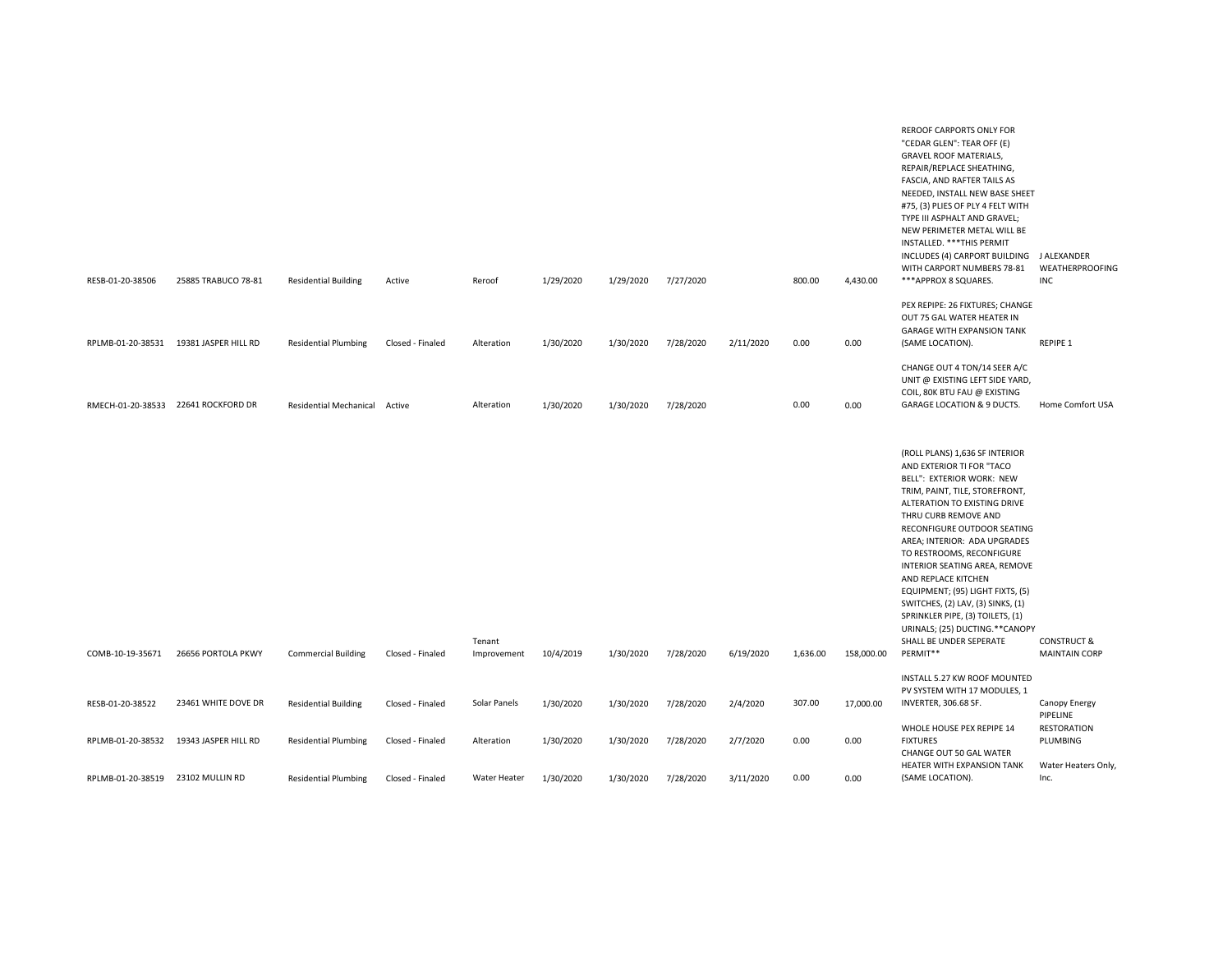| RESB-01-20-38506                    | 25885 TRABUCO 78-81  | <b>Residential Building</b>   | Active           | Reroof                | 1/29/2020 | 1/29/2020 | 7/27/2020 |           | 800.00   | 4,430.00   | REROOF CARPORTS ONLY FOR<br>"CEDAR GLEN": TEAR OFF (E)<br><b>GRAVEL ROOF MATERIALS,</b><br>REPAIR/REPLACE SHEATHING,<br>FASCIA, AND RAFTER TAILS AS<br>NEEDED, INSTALL NEW BASE SHEET<br>#75, (3) PLIES OF PLY 4 FELT WITH<br>TYPE III ASPHALT AND GRAVEL;<br>NEW PERIMETER METAL WILL BE<br>INSTALLED. *** THIS PERMIT<br>INCLUDES (4) CARPORT BUILDING J ALEXANDER<br>WITH CARPORT NUMBERS 78-81<br>***APPROX 8 SQUARES.                                                                                                   | WEATHERPROOFING<br>INC                                |
|-------------------------------------|----------------------|-------------------------------|------------------|-----------------------|-----------|-----------|-----------|-----------|----------|------------|------------------------------------------------------------------------------------------------------------------------------------------------------------------------------------------------------------------------------------------------------------------------------------------------------------------------------------------------------------------------------------------------------------------------------------------------------------------------------------------------------------------------------|-------------------------------------------------------|
|                                     |                      |                               |                  |                       |           |           |           |           |          |            | PEX REPIPE: 26 FIXTURES; CHANGE                                                                                                                                                                                                                                                                                                                                                                                                                                                                                              |                                                       |
| RPLMB-01-20-38531                   | 19381 JASPER HILL RD | <b>Residential Plumbing</b>   | Closed - Finaled | Alteration            | 1/30/2020 | 1/30/2020 | 7/28/2020 | 2/11/2020 | 0.00     | 0.00       | OUT 75 GAL WATER HEATER IN<br><b>GARAGE WITH EXPANSION TANK</b><br>(SAME LOCATION).                                                                                                                                                                                                                                                                                                                                                                                                                                          | REPIPE 1                                              |
| RMECH-01-20-38533 22641 ROCKFORD DR |                      | Residential Mechanical Active |                  | Alteration            | 1/30/2020 | 1/30/2020 | 7/28/2020 |           | 0.00     | 0.00       | CHANGE OUT 4 TON/14 SEER A/C<br>UNIT @ EXISTING LEFT SIDE YARD,<br>COIL, 80K BTU FAU @ EXISTING<br><b>GARAGE LOCATION &amp; 9 DUCTS.</b>                                                                                                                                                                                                                                                                                                                                                                                     | Home Comfort USA                                      |
| COMB-10-19-35671                    | 26656 PORTOLA PKWY   | <b>Commercial Building</b>    | Closed - Finaled | Tenant<br>Improvement | 10/4/2019 | 1/30/2020 | 7/28/2020 | 6/19/2020 | 1,636.00 | 158,000.00 | (ROLL PLANS) 1,636 SF INTERIOR<br>AND EXTERIOR TI FOR "TACO<br>BELL": EXTERIOR WORK: NEW<br>TRIM, PAINT, TILE, STOREFRONT,<br>ALTERATION TO EXISTING DRIVE<br>THRU CURB REMOVE AND<br>RECONFIGURE OUTDOOR SEATING<br>AREA; INTERIOR: ADA UPGRADES<br>TO RESTROOMS, RECONFIGURE<br>INTERIOR SEATING AREA, REMOVE<br>AND REPLACE KITCHEN<br>EQUIPMENT; (95) LIGHT FIXTS, (5)<br>SWITCHES, (2) LAV, (3) SINKS, (1)<br>SPRINKLER PIPE, (3) TOILETS, (1)<br>URINALS; (25) DUCTING.**CANOPY<br>SHALL BE UNDER SEPERATE<br>PERMIT** | <b>CONSTRUCT &amp;</b><br><b>MAINTAIN CORP</b>        |
|                                     |                      |                               |                  |                       |           |           |           |           |          |            | INSTALL 5.27 KW ROOF MOUNTED<br>PV SYSTEM WITH 17 MODULES, 1                                                                                                                                                                                                                                                                                                                                                                                                                                                                 |                                                       |
| RESB-01-20-38522                    | 23461 WHITE DOVE DR  | <b>Residential Building</b>   | Closed - Finaled | Solar Panels          | 1/30/2020 | 1/30/2020 | 7/28/2020 | 2/4/2020  | 307.00   | 17,000.00  | INVERTER, 306.68 SF.                                                                                                                                                                                                                                                                                                                                                                                                                                                                                                         | Canopy Energy<br>PIPELINE                             |
| RPLMB-01-20-38532                   | 19343 JASPER HILL RD | <b>Residential Plumbing</b>   | Closed - Finaled | Alteration            | 1/30/2020 | 1/30/2020 | 7/28/2020 | 2/7/2020  | 0.00     | 0.00       | WHOLE HOUSE PEX REPIPE 14<br><b>FIXTURES</b><br>CHANGE OUT 50 GAL WATER<br>HEATER WITH EXPANSION TANK                                                                                                                                                                                                                                                                                                                                                                                                                        | <b>RESTORATION</b><br>PLUMBING<br>Water Heaters Only, |
| RPLMB-01-20-38519                   | 23102 MULLIN RD      | <b>Residential Plumbing</b>   | Closed - Finaled | Water Heater          | 1/30/2020 | 1/30/2020 | 7/28/2020 | 3/11/2020 | 0.00     | 0.00       | (SAME LOCATION).                                                                                                                                                                                                                                                                                                                                                                                                                                                                                                             | Inc.                                                  |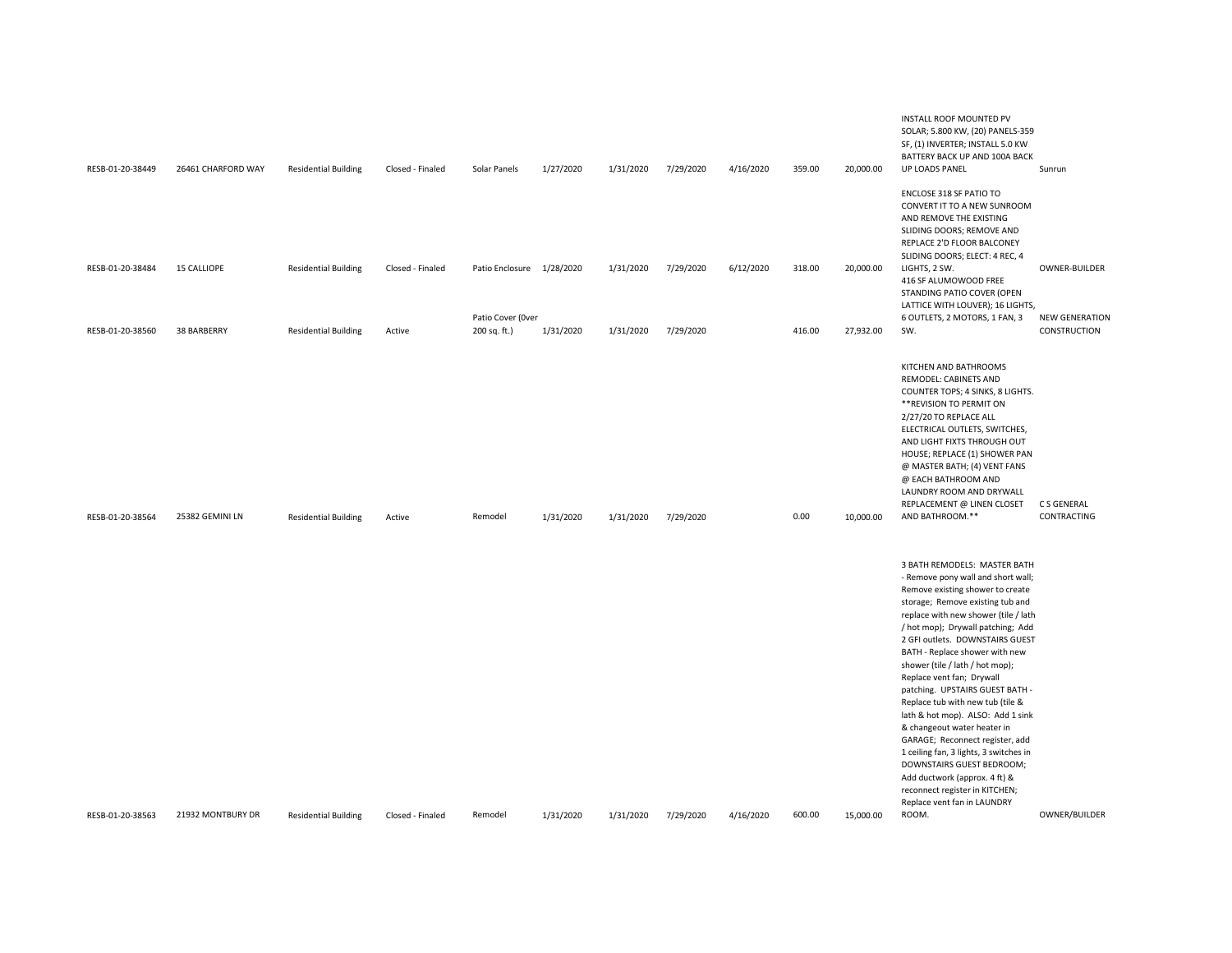| RESB-01-20-38449 | 26461 CHARFORD WAY | <b>Residential Building</b> | Closed - Finaled | Solar Panels                                   | 1/27/2020 | 1/31/2020 | 7/29/2020 | 4/16/2020 | 359.00 | 20,000.00 | INSTALL ROOF MOUNTED PV<br>SOLAR; 5.800 KW, (20) PANELS-359<br>SF, (1) INVERTER; INSTALL 5.0 KW<br>BATTERY BACK UP AND 100A BACK<br>UP LOADS PANEL                                                                                                                                                                                                                                                                                                                                                                                                                                                                                                                                                                           | Sunrun                     |
|------------------|--------------------|-----------------------------|------------------|------------------------------------------------|-----------|-----------|-----------|-----------|--------|-----------|------------------------------------------------------------------------------------------------------------------------------------------------------------------------------------------------------------------------------------------------------------------------------------------------------------------------------------------------------------------------------------------------------------------------------------------------------------------------------------------------------------------------------------------------------------------------------------------------------------------------------------------------------------------------------------------------------------------------------|----------------------------|
| RESB-01-20-38484 | <b>15 CALLIOPE</b> | <b>Residential Building</b> | Closed - Finaled |                                                |           |           |           |           | 318.00 |           | ENCLOSE 318 SF PATIO TO<br>CONVERT IT TO A NEW SUNROOM<br>AND REMOVE THE EXISTING<br>SLIDING DOORS; REMOVE AND<br>REPLACE 2'D FLOOR BALCONEY<br>SLIDING DOORS; ELECT: 4 REC, 4<br>LIGHTS, 2 SW.                                                                                                                                                                                                                                                                                                                                                                                                                                                                                                                              | OWNER-BUILDER              |
|                  |                    |                             |                  | Patio Enclosure 1/28/2020<br>Patio Cover (Over |           | 1/31/2020 | 7/29/2020 | 6/12/2020 |        | 20,000.00 | 416 SF ALUMOWOOD FREE<br>STANDING PATIO COVER (OPEN<br>LATTICE WITH LOUVER); 16 LIGHTS,<br>6 OUTLETS, 2 MOTORS, 1 FAN, 3                                                                                                                                                                                                                                                                                                                                                                                                                                                                                                                                                                                                     | <b>NEW GENERATION</b>      |
| RESB-01-20-38560 | 38 BARBERRY        | <b>Residential Building</b> | Active           | 200 sq. ft.)                                   | 1/31/2020 | 1/31/2020 | 7/29/2020 |           | 416.00 | 27,932.00 | SW.                                                                                                                                                                                                                                                                                                                                                                                                                                                                                                                                                                                                                                                                                                                          | CONSTRUCTION               |
| RESB-01-20-38564 | 25382 GEMINI LN    | <b>Residential Building</b> | Active           | Remodel                                        | 1/31/2020 | 1/31/2020 | 7/29/2020 |           | 0.00   | 10,000.00 | KITCHEN AND BATHROOMS<br>REMODEL: CABINETS AND<br>COUNTER TOPS; 4 SINKS, 8 LIGHTS.<br>** REVISION TO PERMIT ON<br>2/27/20 TO REPLACE ALL<br>ELECTRICAL OUTLETS, SWITCHES,<br>AND LIGHT FIXTS THROUGH OUT<br>HOUSE; REPLACE (1) SHOWER PAN<br>@ MASTER BATH; (4) VENT FANS<br>@ EACH BATHROOM AND<br>LAUNDRY ROOM AND DRYWALL<br>REPLACEMENT @ LINEN CLOSET<br>AND BATHROOM.**                                                                                                                                                                                                                                                                                                                                                | C S GENERAL<br>CONTRACTING |
| RESB-01-20-38563 | 21932 MONTBURY DR  | <b>Residential Building</b> | Closed - Finaled | Remodel                                        | 1/31/2020 | 1/31/2020 | 7/29/2020 | 4/16/2020 | 600.00 | 15,000.00 | 3 BATH REMODELS: MASTER BATH<br>- Remove pony wall and short wall;<br>Remove existing shower to create<br>storage; Remove existing tub and<br>replace with new shower (tile / lath<br>/ hot mop); Drywall patching; Add<br>2 GFI outlets. DOWNSTAIRS GUEST<br>BATH - Replace shower with new<br>shower (tile / lath / hot mop);<br>Replace vent fan; Drywall<br>patching. UPSTAIRS GUEST BATH -<br>Replace tub with new tub (tile &<br>lath & hot mop). ALSO: Add 1 sink<br>& changeout water heater in<br>GARAGE; Reconnect register, add<br>1 ceiling fan, 3 lights, 3 switches in<br>DOWNSTAIRS GUEST BEDROOM;<br>Add ductwork (approx. 4 ft) &<br>reconnect register in KITCHEN;<br>Replace vent fan in LAUNDRY<br>ROOM. | OWNER/BUILDER              |